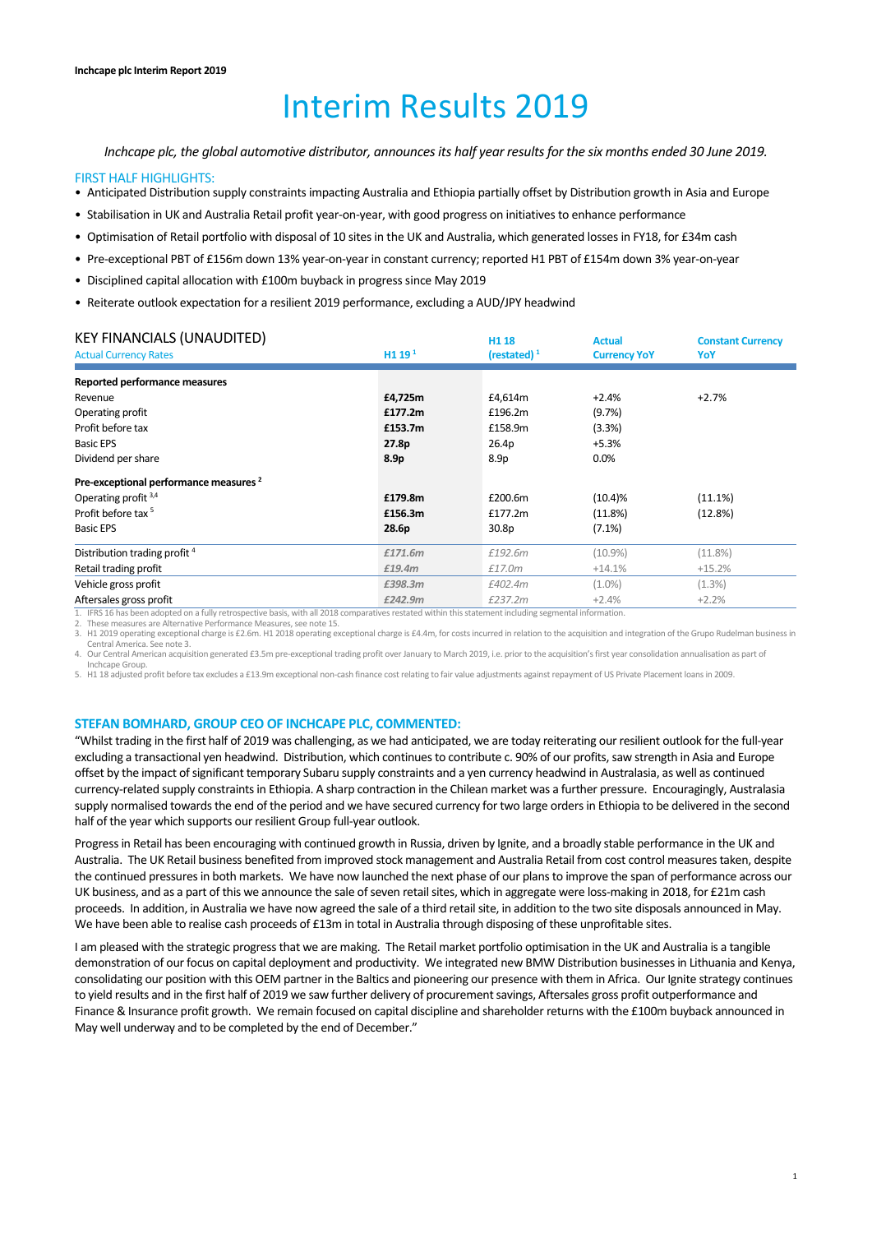# Interim Results 2019

*Inchcape plc, the global automotive distributor, announces its half year results for the six months ended 30 June 2019.* 

#### FIRST HALF HIGHLIGHTS:

- Anticipated Distribution supply constraints impacting Australia and Ethiopia partially offset by Distribution growth in Asia and Europe
- Stabilisation in UK and Australia Retail profit year‐on‐year, with good progress on initiatives to enhance performance
- Optimisation of Retail portfolio with disposal of 10 sites in the UK and Australia, which generated losses in FY18, for £34m cash
- Pre‐exceptional PBT of £156m down 13% year‐on‐year in constant currency; reported H1 PBT of £154m down 3% year‐on‐year
- Disciplined capital allocation with £100m buyback in progress since May 2019
- Reiterate outlook expectation for a resilient 2019 performance, excluding a AUD/JPY headwind

| <b>KEY FINANCIALS (UNAUDITED)</b>                                                                                                                      |                               | H <sub>1</sub> 18 | <b>Actual</b>       | <b>Constant Currency</b> |
|--------------------------------------------------------------------------------------------------------------------------------------------------------|-------------------------------|-------------------|---------------------|--------------------------|
| <b>Actual Currency Rates</b>                                                                                                                           | H <sub>119</sub> <sup>1</sup> | (restated) $1$    | <b>Currency YoY</b> | YoY                      |
| Reported performance measures                                                                                                                          |                               |                   |                     |                          |
| Revenue                                                                                                                                                | £4,725m                       | £4,614m           | $+2.4%$             | $+2.7%$                  |
| Operating profit                                                                                                                                       | £177.2m                       | £196.2m           | (9.7%)              |                          |
| Profit before tax                                                                                                                                      | £153.7m                       | £158.9m           | (3.3%)              |                          |
| <b>Basic EPS</b>                                                                                                                                       | 27.8p                         | 26.4p             | $+5.3%$             |                          |
| Dividend per share                                                                                                                                     | 8.9p                          | 8.9 <sub>p</sub>  | $0.0\%$             |                          |
| Pre-exceptional performance measures <sup>2</sup>                                                                                                      |                               |                   |                     |                          |
| Operating profit $3,4$                                                                                                                                 | £179.8m                       | £200.6m           | $(10.4)\%$          | (11.1%)                  |
| Profit before tax <sup>5</sup>                                                                                                                         | £156.3m                       | £177.2m           | (11.8%)             | (12.8%)                  |
| <b>Basic EPS</b>                                                                                                                                       | 28.6p                         | 30.8p             | $(7.1\%)$           |                          |
| Distribution trading profit <sup>4</sup>                                                                                                               | £171.6m                       | £192.6m           | $(10.9\%)$          | $(11.8\%)$               |
| Retail trading profit                                                                                                                                  | £19.4m                        | £17.0m            | $+14.1%$            | $+15.2%$                 |
| Vehicle gross profit                                                                                                                                   | £398.3m                       | £402.4m           | $(1.0\%)$           | (1.3%)                   |
| Aftersales gross profit                                                                                                                                | £242.9m                       | £237.2m           | $+2.4%$             | $+2.2%$                  |
| 1. IFRS 16 has been adopted on a fully retrospective basis, with all 2018 comparatives restated within this statement including segmental information. |                               |                   |                     |                          |

2. These measures are Alternative Performance Measures, see note 15.

3. H1 2019 operating exceptional charge is £2.6m. H1 2018 operating exceptional charge is £4.4m, for costs incurred in relation to the acquisition and integration of the Grupo Rudelman business in

Central America. See note 3. 4. Our Central American acquisition generated £3.5m pre-exceptional trading profit over January to March 2019, i.e. prior to the acquisition's first year consolidation annualisation as part of

Inchcape Group.

5. H1 18 adjusted profit before tax excludes a £13.9m exceptional non‐cash finance cost relating to fair value adjustments against repayment of US Private Placement loans in 2009.

#### **STEFAN BOMHARD, GROUP CEO OF INCHCAPE PLC, COMMENTED:**

"Whilst trading in the first half of 2019 was challenging, as we had anticipated, we are today reiterating our resilient outlook for the full‐year excluding a transactional yen headwind. Distribution, which continues to contribute c. 90% of our profits, saw strength in Asia and Europe offset by the impact of significant temporary Subaru supply constraints and a yen currency headwind in Australasia, as well as continued currency‐related supply constraints in Ethiopia. A sharp contraction in the Chilean market was a further pressure. Encouragingly, Australasia supply normalised towards the end of the period and we have secured currency for two large orders in Ethiopia to be delivered in the second half of the year which supports our resilient Group full-year outlook.

Progress in Retail has been encouraging with continued growth in Russia, driven by Ignite, and a broadly stable performance in the UK and Australia. The UK Retail business benefited from improved stock management and Australia Retail from cost control measures taken, despite the continued pressures in both markets. We have now launched the next phase of our plans to improve the span of performance across our UK business, and as a part of this we announce the sale of seven retail sites, which in aggregate were loss-making in 2018, for £21m cash proceeds. In addition, in Australia we have now agreed the sale of a third retail site, in addition to the two site disposals announced in May. We have been able to realise cash proceeds of £13m in total in Australia through disposing of these unprofitable sites.

I am pleased with the strategic progress that we are making. The Retail market portfolio optimisation in the UK and Australia is a tangible demonstration of our focus on capital deployment and productivity. We integrated new BMW Distribution businesses in Lithuania and Kenya, consolidating our position with this OEM partner in the Baltics and pioneering our presence with them in Africa. Our Ignite strategy continues to yield results and in the first half of 2019 we saw further delivery of procurement savings, Aftersales gross profit outperformance and Finance & Insurance profit growth. We remain focused on capital discipline and shareholder returns with the £100m buyback announced in May well underway and to be completed by the end of December."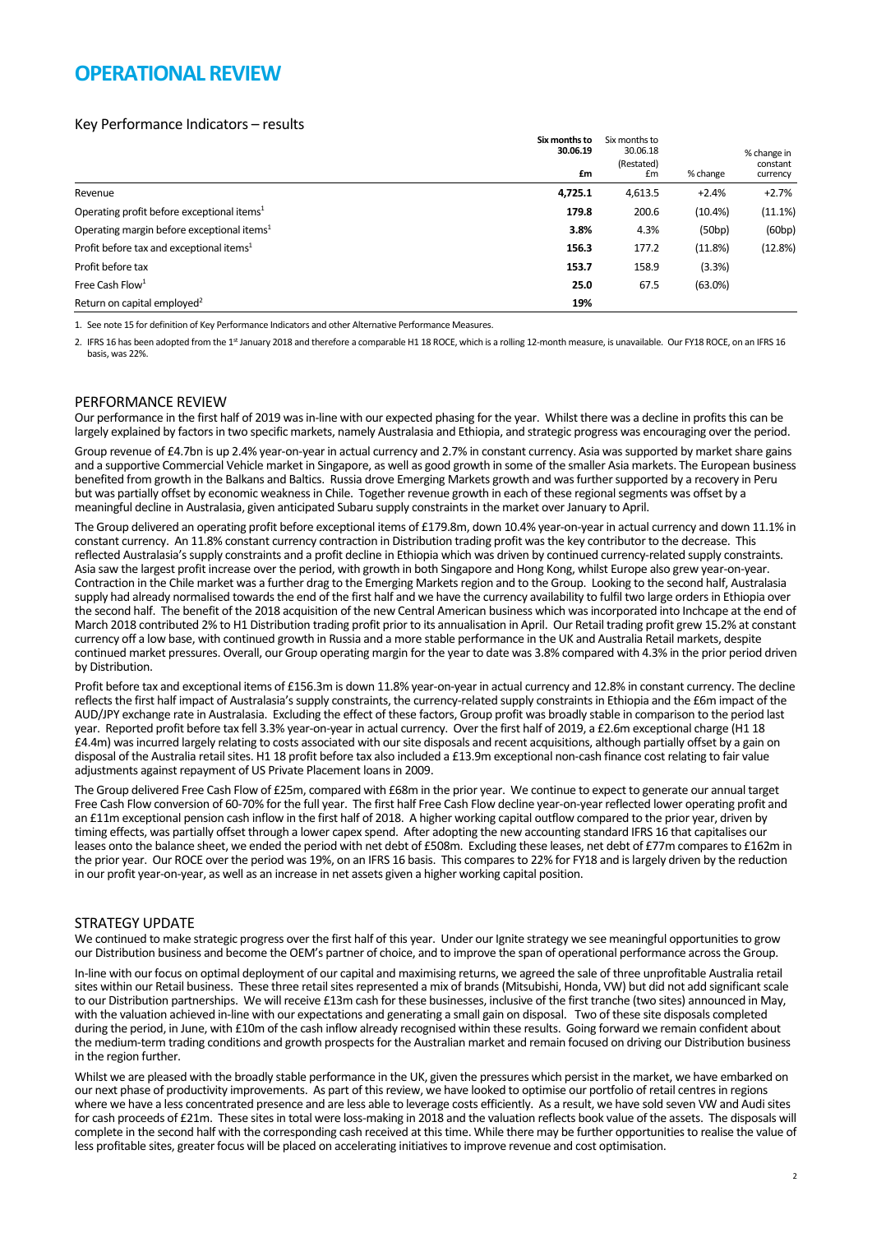## **OPERATIONAL REVIEW**

## Key Performance Indicators – results

|                                                        | Six months to<br>30.06.19<br>£m | Six months to<br>30.06.18<br>(Restated)<br>£m | % change | % change in<br>constant<br>currency |
|--------------------------------------------------------|---------------------------------|-----------------------------------------------|----------|-------------------------------------|
| Revenue                                                | 4,725.1                         | 4,613.5                                       | $+2.4%$  | $+2.7%$                             |
| Operating profit before exceptional items <sup>1</sup> | 179.8                           | 200.6                                         | (10.4%)  | (11.1%)                             |
| Operating margin before exceptional items <sup>1</sup> | 3.8%                            | 4.3%                                          | (50bp)   | (60bp)                              |
| Profit before tax and exceptional items <sup>1</sup>   | 156.3                           | 177.2                                         | (11.8%)  | (12.8%)                             |
| Profit before tax                                      | 153.7                           | 158.9                                         | (3.3%)   |                                     |
| Free Cash Flow <sup>1</sup>                            | 25.0                            | 67.5                                          | (63.0%)  |                                     |
| Return on capital employed <sup>2</sup>                | 19%                             |                                               |          |                                     |

1. See note 15 for definition of Key Performance Indicators and other Alternative Performance Measures.

2. IFRS 16 has been adopted from the 1<sup>st</sup> January 2018 and therefore a comparable H1 18 ROCE, which is a rolling 12-month measure, is unavailable. Our FY18 ROCE, on an IFRS 16 basis, was 22%.

## PERFORMANCE REVIEW

Our performance in the first half of 2019 was in‐line with our expected phasing for the year. Whilst there was a decline in profits this can be largely explained by factors in two specific markets, namely Australasia and Ethiopia, and strategic progress was encouraging over the period.

Group revenue of £4.7bn is up 2.4% year-on-year in actual currency and 2.7% in constant currency. Asia was supported by market share gains and a supportive Commercial Vehicle market in Singapore, as well as good growth in some of the smaller Asia markets. The European business benefited from growth in the Balkans and Baltics. Russia drove Emerging Markets growth and was further supported by a recovery in Peru but was partially offset by economic weakness in Chile. Together revenue growth in each of these regional segments was offset by a meaningful decline in Australasia, given anticipated Subaru supply constraints in the market over January to April.

The Group delivered an operating profit before exceptional items of £179.8m, down 10.4% year-on-year in actual currency and down 11.1% in constant currency. An 11.8% constant currency contraction in Distribution trading profit was the key contributor to the decrease. This reflected Australasia's supply constraints and a profit decline in Ethiopia which was driven by continued currency‐related supply constraints. Asia saw the largest profit increase over the period, with growth in both Singapore and Hong Kong, whilst Europe also grew year‐on‐year. Contraction in the Chile market was a further drag to the Emerging Markets region and to the Group. Looking to the second half, Australasia supply had already normalised towards the end of the first half and we have the currency availability to fulfil two large orders in Ethiopia over the second half. The benefit of the 2018 acquisition of the new Central American business which was incorporated into Inchcape at the end of March 2018 contributed 2% to H1 Distribution trading profit prior to its annualisation in April. Our Retail trading profit grew 15.2% at constant currency off a low base, with continued growth in Russia and a more stable performance in the UK and Australia Retail markets, despite continued market pressures. Overall, our Group operating margin for the year to date was 3.8% compared with 4.3% in the prior period driven by Distribution.

Profit before tax and exceptional items of £156.3m is down 11.8% year-on-year in actual currency and 12.8% in constant currency. The decline reflects the first half impact of Australasia's supply constraints, the currency-related supply constraints in Ethiopia and the £6m impact of the AUD/JPY exchange rate in Australasia. Excluding the effect of these factors, Group profit was broadly stable in comparison to the period last year. Reported profit before tax fell 3.3% year-on-year in actual currency. Over the first half of 2019, a £2.6m exceptional charge (H1 18 £4.4m) was incurred largely relating to costs associated with our site disposals and recent acquisitions, although partially offset by a gain on disposal of the Australia retail sites. H1 18 profit before tax also included a £13.9m exceptional non‐cash finance cost relating to fair value adjustments against repayment of US Private Placement loans in 2009.

The Group delivered Free Cash Flow of £25m, compared with £68m in the prior year. We continue to expect to generate our annual target Free Cash Flow conversion of 60-70% for the full year. The first half Free Cash Flow decline year-on-year reflected lower operating profit and an £11m exceptional pension cash inflow in the first half of 2018. A higher working capital outflow compared to the prior year, driven by timing effects, was partially offset through a lower capex spend. After adopting the new accounting standard IFRS 16 that capitalises our leases onto the balance sheet, we ended the period with net debt of £508m. Excluding these leases, net debt of £77m compares to £162m in the prior year. Our ROCE over the period was 19%, on an IFRS 16 basis. This compares to 22% for FY18 and is largely driven by the reduction in our profit year-on-year, as well as an increase in net assets given a higher working capital position.

#### STRATEGY UPDATE

We continued to make strategic progress over the first half of this year. Under our Ignite strategy we see meaningful opportunities to grow our Distribution business and become the OEM's partner of choice, and to improve the span of operational performance across the Group.

In‐line with our focus on optimal deployment of our capital and maximising returns, we agreed the sale of three unprofitable Australia retail sites within our Retail business. These three retail sites represented a mix of brands (Mitsubishi, Honda, VW) but did not add significant scale to our Distribution partnerships. We will receive £13m cash for these businesses, inclusive of the first tranche (two sites) announced in May, with the valuation achieved in‐line with our expectations and generating a small gain on disposal. Two of these site disposals completed during the period, in June, with £10m of the cash inflow already recognised within these results. Going forward we remain confident about the medium-term trading conditions and growth prospects for the Australian market and remain focused on driving our Distribution business in the region further.

Whilst we are pleased with the broadly stable performance in the UK, given the pressures which persist in the market, we have embarked on our next phase of productivity improvements. As part of this review, we have looked to optimise our portfolio of retail centres in regions where we have a less concentrated presence and are less able to leverage costs efficiently. As a result, we have sold seven VW and Audi sites for cash proceeds of £21m. These sites in total were loss-making in 2018 and the valuation reflects book value of the assets. The disposals will complete in the second half with the corresponding cash received at this time. While there may be further opportunities to realise the value of less profitable sites, greater focus will be placed on accelerating initiatives to improve revenue and cost optimisation.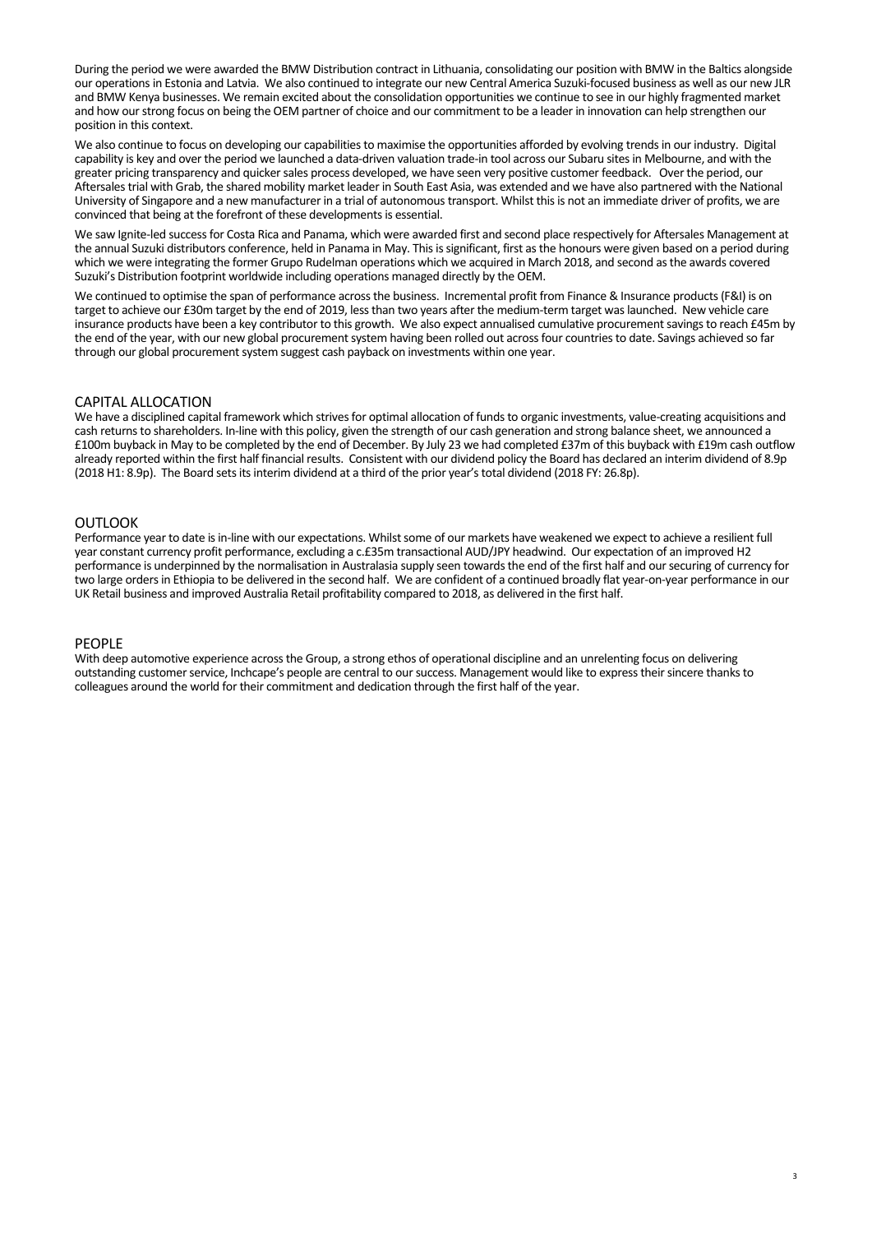During the period we were awarded the BMW Distribution contract in Lithuania, consolidating our position with BMW in the Baltics alongside our operations in Estonia and Latvia. We also continued to integrate our new Central America Suzuki‐focused business as well as our new JLR and BMW Kenya businesses. We remain excited about the consolidation opportunities we continue to see in our highly fragmented market and how our strong focus on being the OEM partner of choice and our commitment to be a leader in innovation can help strengthen our position in this context.

We also continue to focus on developing our capabilities to maximise the opportunities afforded by evolving trends in our industry. Digital capability is key and over the period we launched a data‐driven valuation trade‐in tool across our Subaru sites in Melbourne, and with the greater pricing transparency and quicker sales process developed, we have seen very positive customer feedback. Over the period, our Aftersales trial with Grab, the shared mobility market leader in South East Asia, was extended and we have also partnered with the National University of Singapore and a new manufacturer in a trial of autonomous transport. Whilst this is not an immediate driver of profits, we are convinced that being at the forefront of these developments is essential.

We saw Ignite-led success for Costa Rica and Panama, which were awarded first and second place respectively for Aftersales Management at the annual Suzuki distributors conference, held in Panama in May. This is significant, first as the honours were given based on a period during which we were integrating the former Grupo Rudelman operations which we acquired in March 2018, and second as the awards covered Suzuki's Distribution footprint worldwide including operations managed directly by the OEM.

We continued to optimise the span of performance across the business. Incremental profit from Finance & Insurance products (F&I) is on target to achieve our £30m target by the end of 2019, less than two years after the medium‐term target was launched. New vehicle care insurance products have been a key contributor to this growth. We also expect annualised cumulative procurement savings to reach £45m by the end of the year, with our new global procurement system having been rolled out across four countries to date. Savings achieved so far through our global procurement system suggest cash payback on investments within one year.

## CAPITAL ALLOCATION

We have a disciplined capital framework which strives for optimal allocation of funds to organic investments, value-creating acquisitions and cash returns to shareholders. In‐line with this policy, given the strength of our cash generation and strong balance sheet, we announced a £100m buyback in May to be completed by the end of December. By July 23 we had completed £37m of this buyback with £19m cash outflow already reported within the first half financial results. Consistent with our dividend policy the Board has declared an interim dividend of 8.9p (2018 H1: 8.9p). The Board sets its interim dividend at a third of the prior year's total dividend (2018 FY: 26.8p).

## **OUTLOOK**

Performance year to date is in‐line with our expectations. Whilst some of our markets have weakened we expect to achieve a resilient full year constant currency profit performance, excluding a c.£35m transactional AUD/JPY headwind. Our expectation of an improved H2 performance is underpinned by the normalisation in Australasia supply seen towards the end of the first half and our securing of currency for two large orders in Ethiopia to be delivered in the second half. We are confident of a continued broadly flat year‐on‐year performance in our UK Retail business and improved Australia Retail profitability compared to 2018, as delivered in the first half.

#### PEOPLE

With deep automotive experience across the Group, a strong ethos of operational discipline and an unrelenting focus on delivering outstanding customer service, Inchcape's people are central to our success. Management would like to express their sincere thanks to colleagues around the world for their commitment and dedication through the first half of the year.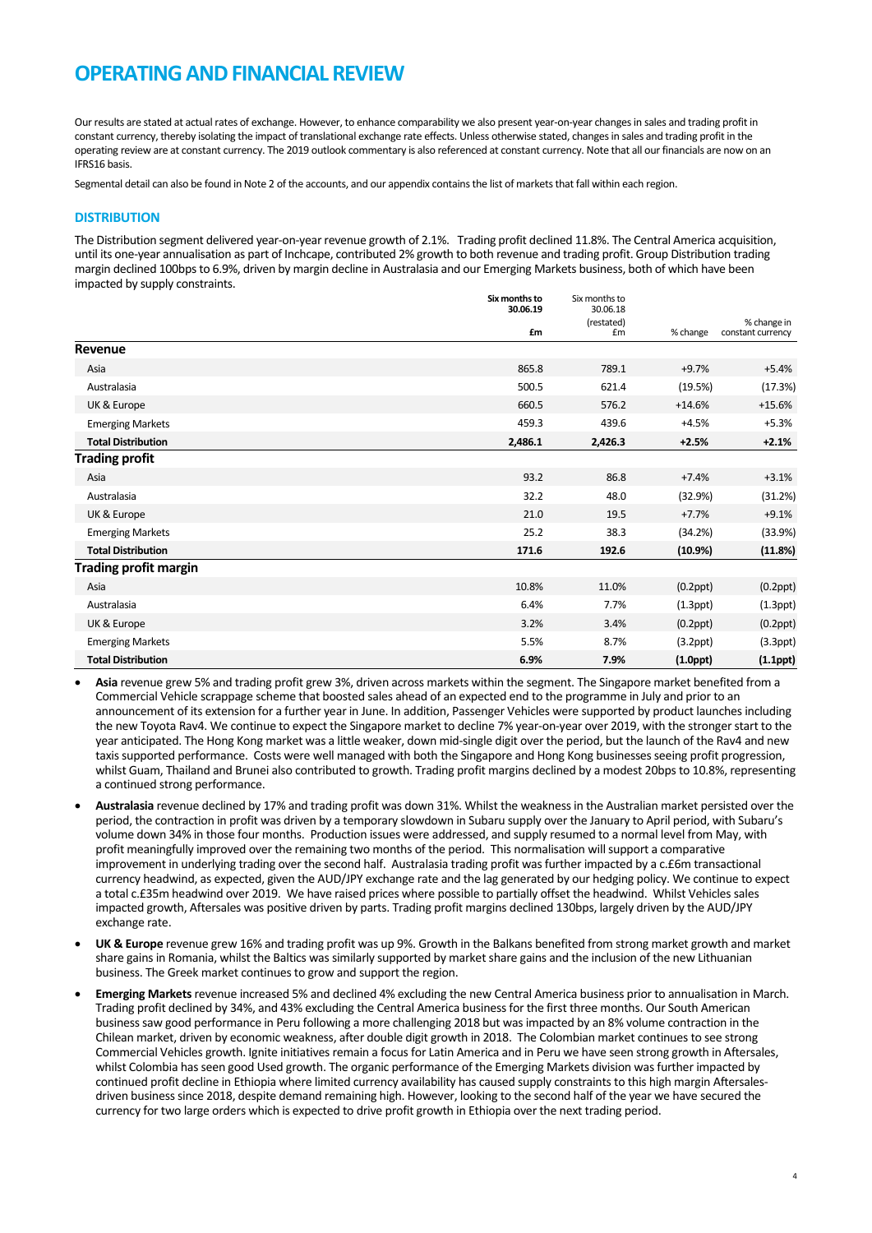## **OPERATING AND FINANCIAL REVIEW**

Our results are stated at actual rates of exchange. However, to enhance comparability we also present year-on-year changes in sales and trading profit in constant currency, thereby isolating the impact of translational exchange rate effects. Unless otherwise stated, changes in sales and trading profit in the operating review are at constant currency. The 2019 outlook commentary is also referenced at constant currency. Note that all our financials are now on an IFRS16 basis.

Segmental detail can also be found in Note 2 of the accounts, and our appendix contains the list of markets that fall within each region.

#### **DISTRIBUTION**

The Distribution segment delivered year‐on‐year revenue growth of 2.1%. Trading profit declined 11.8%. The Central America acquisition, until its one‐year annualisation as part of Inchcape, contributed 2% growth to both revenue and trading profit. Group Distribution trading margin declined 100bps to 6.9%, driven by margin decline in Australasia and our Emerging Markets business, both of which have been impacted by supply constraints.

|                              | Six months to<br>30.06.19 | Six months to<br>30.06.18 |                |                                  |
|------------------------------|---------------------------|---------------------------|----------------|----------------------------------|
|                              | £m                        | (restated)<br>£m          | % change       | % change in<br>constant currency |
| Revenue                      |                           |                           |                |                                  |
| Asia                         | 865.8                     | 789.1                     | $+9.7%$        | $+5.4%$                          |
| Australasia                  | 500.5                     | 621.4                     | (19.5%)        | (17.3%)                          |
| UK & Europe                  | 660.5                     | 576.2                     | $+14.6%$       | $+15.6%$                         |
| <b>Emerging Markets</b>      | 459.3                     | 439.6                     | $+4.5%$        | $+5.3%$                          |
| <b>Total Distribution</b>    | 2,486.1                   | 2,426.3                   | $+2.5%$        | $+2.1%$                          |
| <b>Trading profit</b>        |                           |                           |                |                                  |
| Asia                         | 93.2                      | 86.8                      | $+7.4%$        | $+3.1%$                          |
| Australasia                  | 32.2                      | 48.0                      | (32.9%)        | (31.2%)                          |
| UK & Europe                  | 21.0                      | 19.5                      | $+7.7%$        | $+9.1%$                          |
| <b>Emerging Markets</b>      | 25.2                      | 38.3                      | (34.2%)        | (33.9%)                          |
| <b>Total Distribution</b>    | 171.6                     | 192.6                     | (10.9%)        | (11.8%)                          |
| <b>Trading profit margin</b> |                           |                           |                |                                  |
| Asia                         | 10.8%                     | 11.0%                     | $(0.2$ ppt $)$ | $(0.2$ ppt $)$                   |
| Australasia                  | 6.4%                      | 7.7%                      | $(1.3$ ppt $)$ | $(1.3$ ppt $)$                   |
| UK & Europe                  | 3.2%                      | 3.4%                      | $(0.2$ ppt $)$ | $(0.2$ ppt $)$                   |
| <b>Emerging Markets</b>      | 5.5%                      | 8.7%                      | $(3.2$ ppt $)$ | $(3.3$ ppt $)$                   |
| <b>Total Distribution</b>    | 6.9%                      | 7.9%                      | $(1.0$ ppt $)$ | $(1.1$ ppt $)$                   |

- **Asia** revenue grew 5% and trading profit grew 3%, driven across markets within the segment. The Singapore market benefited from a Commercial Vehicle scrappage scheme that boosted sales ahead of an expected end to the programme in July and prior to an announcement of its extension for a further year in June. In addition, Passenger Vehicles were supported by product launches including the new Toyota Rav4. We continue to expect the Singapore market to decline 7% year-on-year over 2019, with the stronger start to the year anticipated. The Hong Kong market was a little weaker, down mid‐single digit over the period, but the launch of the Rav4 and new taxis supported performance. Costs were well managed with both the Singapore and Hong Kong businesses seeing profit progression, whilst Guam, Thailand and Brunei also contributed to growth. Trading profit margins declined by a modest 20bps to 10.8%, representing a continued strong performance.
- **Australasia** revenue declined by 17% and trading profit was down 31%. Whilst the weakness in the Australian market persisted over the period, the contraction in profit was driven by a temporary slowdown in Subaru supply over the January to April period, with Subaru's volume down 34% in those four months. Production issues were addressed, and supply resumed to a normal level from May, with profit meaningfully improved over the remaining two months of the period. This normalisation will support a comparative improvement in underlying trading over the second half. Australasia trading profit was further impacted by a c.£6m transactional currency headwind, as expected, given the AUD/JPY exchange rate and the lag generated by our hedging policy. We continue to expect a total c.£35m headwind over 2019. We have raised prices where possible to partially offset the headwind. Whilst Vehicles sales impacted growth, Aftersales was positive driven by parts. Trading profit margins declined 130bps, largely driven by the AUD/JPY exchange rate.
- **UK & Europe** revenue grew 16% and trading profit was up 9%. Growth in the Balkans benefited from strong market growth and market share gains in Romania, whilst the Baltics was similarly supported by market share gains and the inclusion of the new Lithuanian business. The Greek market continues to grow and support the region.
- **Emerging Markets** revenue increased 5% and declined 4% excluding the new Central America business prior to annualisation in March. Trading profit declined by 34%, and 43% excluding the Central America business for the first three months. Our South American business saw good performance in Peru following a more challenging 2018 but was impacted by an 8% volume contraction in the Chilean market, driven by economic weakness, after double digit growth in 2018. The Colombian market continues to see strong Commercial Vehicles growth. Ignite initiatives remain a focus for Latin America and in Peru we have seen strong growth in Aftersales, whilst Colombia has seen good Used growth. The organic performance of the Emerging Markets division was further impacted by continued profit decline in Ethiopia where limited currency availability has caused supply constraints to this high margin Aftersalesdriven business since 2018, despite demand remaining high. However, looking to the second half of the year we have secured the currency for two large orders which is expected to drive profit growth in Ethiopia over the next trading period.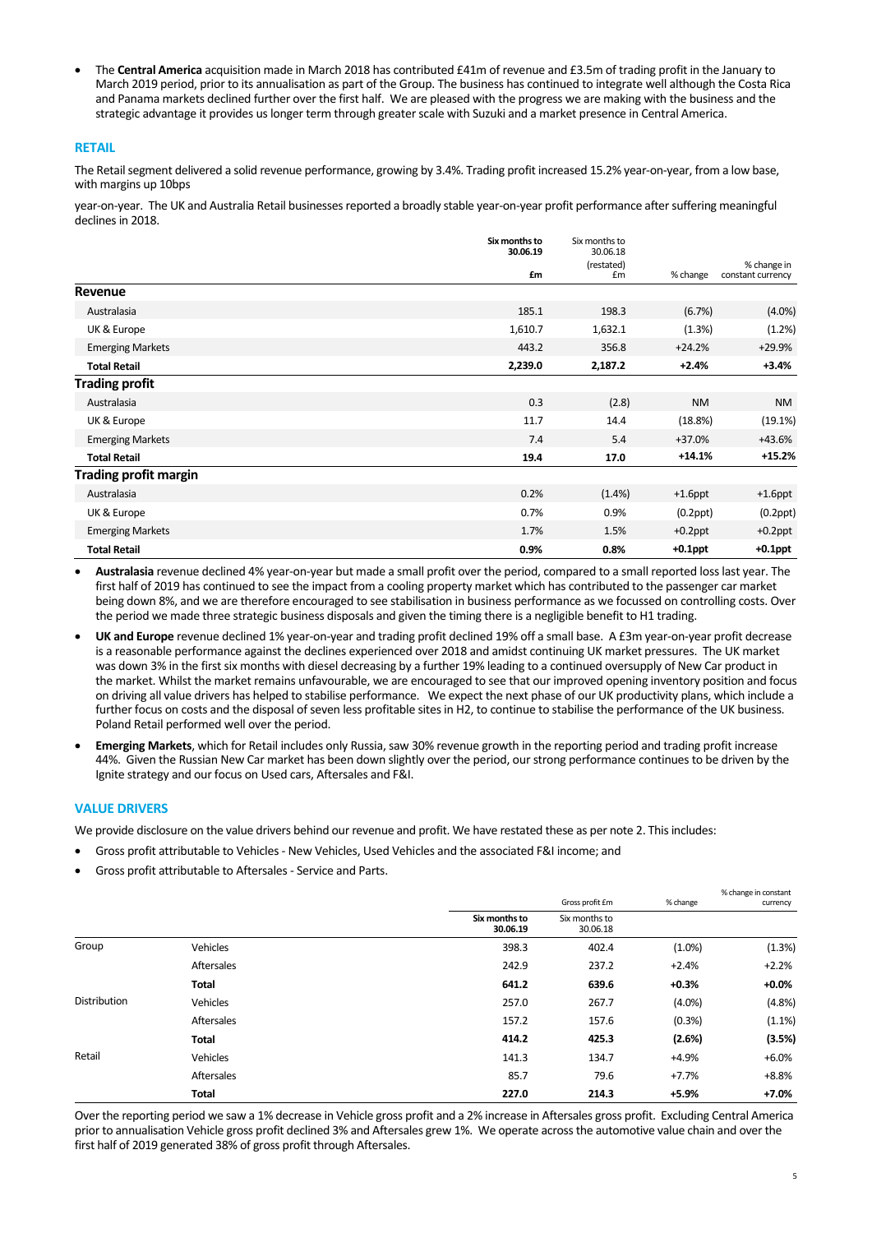The **Central America** acquisition made in March 2018 has contributed £41m of revenue and £3.5m of trading profit in the January to March 2019 period, prior to its annualisation as part of the Group. The business has continued to integrate well although the Costa Rica and Panama markets declined further over the first half. We are pleased with the progress we are making with the business and the strategic advantage it provides us longer term through greater scale with Suzuki and a market presence in Central America.

#### **RETAIL**

The Retail segment delivered a solid revenue performance, growing by 3.4%. Trading profit increased 15.2% year-on-year, from a low base, with margins up 10bps

year‐on‐year. The UK and Australia Retail businesses reported a broadly stable year‐on‐year profit performance after suffering meaningful declines in 2018.

|                              | Six months to<br>30.06.19 | Six months to<br>30.06.18<br>(restated) |                | % change in       |
|------------------------------|---------------------------|-----------------------------------------|----------------|-------------------|
|                              | £m                        | £m                                      | % change       | constant currency |
| Revenue                      |                           |                                         |                |                   |
| Australasia                  | 185.1                     | 198.3                                   | (6.7%)         | $(4.0\%)$         |
| UK & Europe                  | 1,610.7                   | 1,632.1                                 | (1.3%)         | (1.2%)            |
| <b>Emerging Markets</b>      | 443.2                     | 356.8                                   | $+24.2%$       | $+29.9%$          |
| <b>Total Retail</b>          | 2,239.0                   | 2,187.2                                 | $+2.4%$        | $+3.4%$           |
| <b>Trading profit</b>        |                           |                                         |                |                   |
| Australasia                  | 0.3                       | (2.8)                                   | <b>NM</b>      | <b>NM</b>         |
| UK & Europe                  | 11.7                      | 14.4                                    | (18.8%)        | (19.1%)           |
| <b>Emerging Markets</b>      | 7.4                       | 5.4                                     | +37.0%         | +43.6%            |
| <b>Total Retail</b>          | 19.4                      | 17.0                                    | $+14.1%$       | $+15.2%$          |
| <b>Trading profit margin</b> |                           |                                         |                |                   |
| Australasia                  | 0.2%                      | (1.4% )                                 | $+1.6$ ppt     | $+1.6$ ppt        |
| UK & Europe                  | 0.7%                      | 0.9%                                    | $(0.2$ ppt $)$ | $(0.2$ ppt $)$    |
| <b>Emerging Markets</b>      | 1.7%                      | 1.5%                                    | $+0.2$ ppt     | $+0.2$ ppt        |
| <b>Total Retail</b>          | 0.9%                      | 0.8%                                    | $+0.1$ ppt     | $+0.1$ ppt        |

 **Australasia** revenue declined 4% year‐on‐year but made a small profit over the period, compared to a small reported loss last year. The first half of 2019 has continued to see the impact from a cooling property market which has contributed to the passenger car market being down 8%, and we are therefore encouraged to see stabilisation in business performance as we focussed on controlling costs. Over the period we made three strategic business disposals and given the timing there is a negligible benefit to H1 trading.

- **UK and Europe** revenue declined 1% year‐on‐year and trading profit declined 19% off a small base. A £3m year‐on‐year profit decrease is a reasonable performance against the declines experienced over 2018 and amidst continuing UK market pressures. The UK market was down 3% in the first six months with diesel decreasing by a further 19% leading to a continued oversupply of New Car product in the market. Whilst the market remains unfavourable, we are encouraged to see that our improved opening inventory position and focus on driving all value drivers has helped to stabilise performance. We expect the next phase of our UK productivity plans, which include a further focus on costs and the disposal of seven less profitable sites in H2, to continue to stabilise the performance of the UK business. Poland Retail performed well over the period.
- **Emerging Markets**, which for Retail includes only Russia, saw 30% revenue growth in the reporting period and trading profit increase 44%. Given the Russian New Car market has been down slightly over the period, our strong performance continues to be driven by the Ignite strategy and our focus on Used cars, Aftersales and F&I.

#### **VALUE DRIVERS**

We provide disclosure on the value drivers behind our revenue and profit. We have restated these as per note 2. This includes:

- Gross profit attributable to Vehicles ‐ New Vehicles, Used Vehicles and the associated F&I income; and
- Gross profit attributable to Aftersales ‐ Service and Parts.

|                     |                 |                           |                           |           | % change in constant |
|---------------------|-----------------|---------------------------|---------------------------|-----------|----------------------|
|                     |                 |                           | Gross profit £m           | % change  | currency             |
|                     |                 | Six months to<br>30.06.19 | Six months to<br>30.06.18 |           |                      |
| Group               | <b>Vehicles</b> | 398.3                     | 402.4                     | $(1.0\%)$ | (1.3%)               |
|                     | Aftersales      | 242.9                     | 237.2                     | $+2.4%$   | $+2.2%$              |
|                     | <b>Total</b>    | 641.2                     | 639.6                     | $+0.3%$   | $+0.0%$              |
| <b>Distribution</b> | Vehicles        | 257.0                     | 267.7                     | $(4.0\%)$ | (4.8%)               |
|                     | Aftersales      | 157.2                     | 157.6                     | (0.3%)    | (1.1%)               |
|                     | <b>Total</b>    | 414.2                     | 425.3                     | (2.6%)    | (3.5%)               |
| Retail              | Vehicles        | 141.3                     | 134.7                     | $+4.9%$   | $+6.0%$              |
|                     | Aftersales      | 85.7                      | 79.6                      | $+7.7%$   | $+8.8%$              |
|                     | <b>Total</b>    | 227.0                     | 214.3                     | $+5.9%$   | $+7.0%$              |

Over the reporting period we saw a 1% decrease in Vehicle gross profit and a 2% increase in Aftersales gross profit. Excluding Central America prior to annualisation Vehicle gross profit declined 3% and Aftersales grew 1%. We operate across the automotive value chain and over the first half of 2019 generated 38% of gross profit through Aftersales.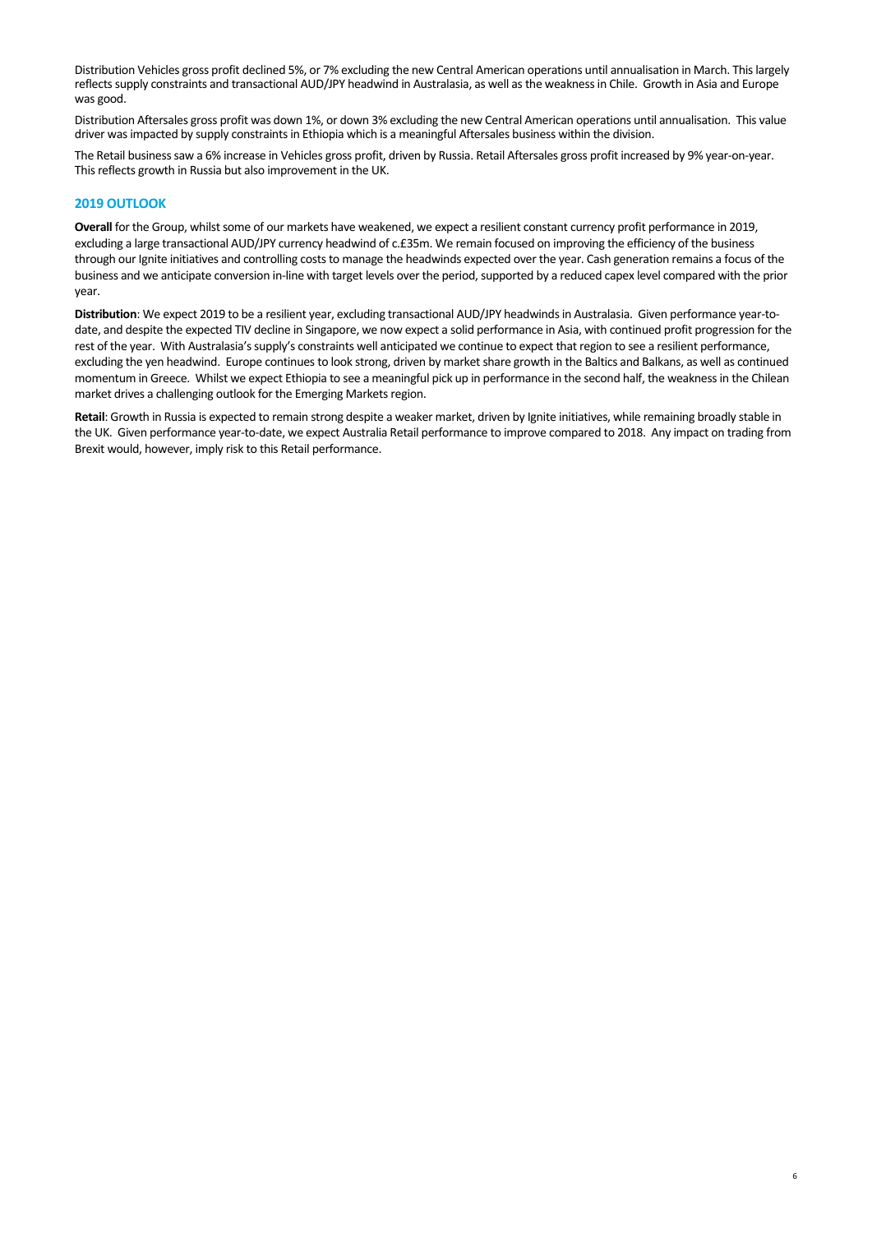Distribution Vehicles gross profit declined 5%, or 7% excluding the new Central American operations until annualisation in March. This largely reflects supply constraints and transactional AUD/JPY headwind in Australasia, as well as the weakness in Chile. Growth in Asia and Europe was good.

Distribution Aftersales gross profit was down 1%, or down 3% excluding the new Central American operations until annualisation. This value driver was impacted by supply constraints in Ethiopia which is a meaningful Aftersales business within the division.

The Retail business saw a 6% increase in Vehicles gross profit, driven by Russia. Retail Aftersales gross profit increased by 9% year‐on‐year. This reflects growth in Russia but also improvement in the UK.

#### **2019 OUTLOOK**

**Overall** for the Group, whilst some of our markets have weakened, we expect a resilient constant currency profit performance in 2019, excluding a large transactional AUD/JPY currency headwind of c.£35m. We remain focused on improving the efficiency of the business through our Ignite initiatives and controlling costs to manage the headwinds expected over the year. Cash generation remains a focus of the business and we anticipate conversion in‐line with target levels over the period, supported by a reduced capex level compared with the prior year.

**Distribution**: We expect 2019 to be a resilient year, excluding transactional AUD/JPY headwinds in Australasia. Given performance year‐to‐ date, and despite the expected TIV decline in Singapore, we now expect a solid performance in Asia, with continued profit progression for the rest of the year. With Australasia's supply's constraints well anticipated we continue to expect that region to see a resilient performance, excluding the yen headwind. Europe continues to look strong, driven by market share growth in the Baltics and Balkans, as well as continued momentum in Greece. Whilst we expect Ethiopia to see a meaningful pick up in performance in the second half, the weakness in the Chilean market drives a challenging outlook for the Emerging Markets region.

**Retail**: Growth in Russia is expected to remain strong despite a weaker market, driven by Ignite initiatives, while remaining broadly stable in the UK. Given performance year‐to‐date, we expect Australia Retail performance to improve compared to 2018. Any impact on trading from Brexit would, however, imply risk to this Retail performance.

6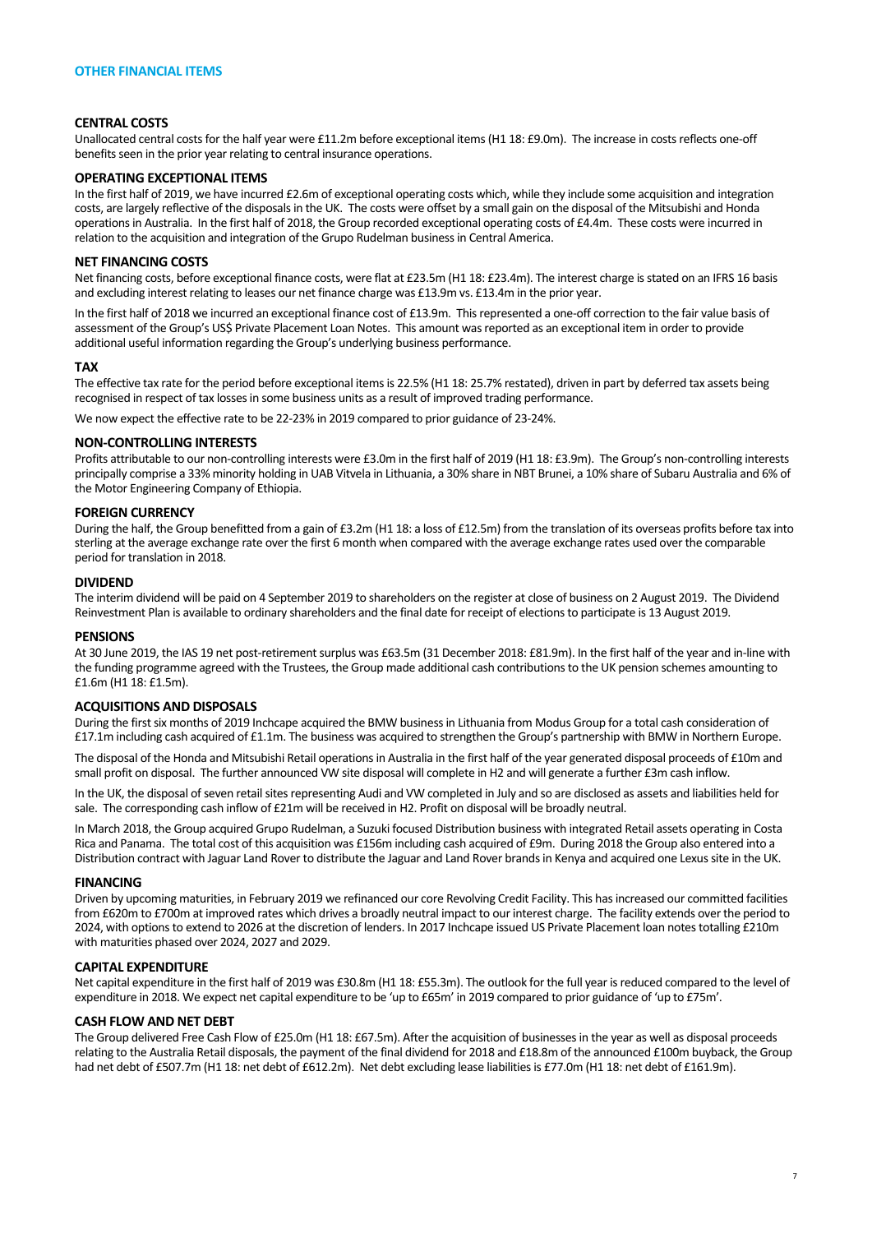#### **CENTRAL COSTS**

Unallocated central costs for the half year were £11.2m before exceptional items (H1 18: £9.0m). The increase in costs reflects one‐off benefits seen in the prior year relating to central insurance operations.

#### **OPERATING EXCEPTIONAL ITEMS**

In the first half of 2019, we have incurred £2.6m of exceptional operating costs which, while they include some acquisition and integration costs, are largely reflective of the disposals in the UK. The costs were offset by a small gain on the disposal of the Mitsubishi and Honda operations in Australia. In the first half of 2018, the Group recorded exceptional operating costs of £4.4m. These costs were incurred in relation to the acquisition and integration of the Grupo Rudelman business in Central America.

#### **NET FINANCING COSTS**

Net financing costs, before exceptional finance costs, were flat at £23.5m (H1 18: £23.4m). The interest charge is stated on an IFRS 16 basis and excluding interest relating to leases our net finance charge was £13.9m vs. £13.4m in the prior year.

In the first half of 2018 we incurred an exceptional finance cost of £13.9m. This represented a one-off correction to the fair value basis of assessment of the Group's US\$ Private Placement Loan Notes. This amount was reported as an exceptional item in order to provide additional useful information regarding the Group's underlying business performance.

#### **TAX**

The effective tax rate for the period before exceptional items is 22.5% (H1 18: 25.7% restated), driven in part by deferred tax assets being recognised in respect of tax losses in some business units as a result of improved trading performance.

We now expect the effective rate to be 22‐23% in 2019 compared to prior guidance of 23‐24%.

#### **NON‐CONTROLLING INTERESTS**

Profits attributable to our non‐controlling interests were £3.0m in the first half of 2019 (H1 18: £3.9m). The Group's non‐controlling interests principally comprise a 33% minority holding in UAB Vitvela in Lithuania, a 30% share in NBT Brunei, a 10% share of Subaru Australia and 6% of the Motor Engineering Company of Ethiopia.

#### **FOREIGN CURRENCY**

During the half, the Group benefitted from a gain of £3.2m (H1 18: a loss of £12.5m) from the translation of its overseas profits before tax into sterling at the average exchange rate over the first 6 month when compared with the average exchange rates used over the comparable period for translation in 2018.

### **DIVIDEND**

The interim dividend will be paid on 4 September 2019 to shareholders on the register at close of business on 2 August 2019. The Dividend Reinvestment Plan is available to ordinary shareholders and the final date for receipt of elections to participate is 13 August 2019.

#### **PENSIONS**

At 30 June 2019, the IAS 19 net post‐retirement surplus was £63.5m (31 December 2018: £81.9m). In the first half of the year and in‐line with the funding programme agreed with the Trustees, the Group made additional cash contributions to the UK pension schemes amounting to £1.6m (H1 18: £1.5m).

#### **ACQUISITIONS AND DISPOSALS**

During the first six months of 2019 Inchcape acquired the BMW business in Lithuania from Modus Group for a total cash consideration of £17.1m including cash acquired of £1.1m. The business was acquired to strengthen the Group's partnership with BMW in Northern Europe.

The disposal of the Honda and Mitsubishi Retail operations in Australia in the first half of the year generated disposal proceeds of £10m and small profit on disposal. The further announced VW site disposal will complete in H2 and will generate a further £3m cash inflow.

In the UK, the disposal of seven retail sites representing Audi and VW completed in July and so are disclosed as assets and liabilities held for sale. The corresponding cash inflow of £21m will be received in H2. Profit on disposal will be broadly neutral.

In March 2018, the Group acquired Grupo Rudelman, a Suzuki focused Distribution business with integrated Retail assets operating in Costa Rica and Panama. The total cost of this acquisition was £156m including cash acquired of £9m. During 2018 the Group also entered into a Distribution contract with Jaguar Land Rover to distribute the Jaguar and Land Rover brands in Kenya and acquired one Lexus site in the UK.

#### **FINANCING**

Driven by upcoming maturities, in February 2019 we refinanced our core Revolving Credit Facility. This has increased our committed facilities from £620m to £700m at improved rates which drives a broadly neutral impact to our interest charge. The facility extends over the period to 2024, with options to extend to 2026 at the discretion of lenders. In 2017 Inchcape issued US Private Placement loan notes totalling £210m with maturities phased over 2024, 2027 and 2029.

#### **CAPITAL EXPENDITURE**

Net capital expenditure in the first half of 2019 was £30.8m (H1 18: £55.3m). The outlook for the full year is reduced compared to the level of expenditure in 2018. We expect net capital expenditure to be 'up to £65m' in 2019 compared to prior guidance of 'up to £75m'.

#### **CASH FLOW AND NET DEBT**

The Group delivered Free Cash Flow of £25.0m (H1 18: £67.5m). After the acquisition of businesses in the year as well as disposal proceeds relating to the Australia Retail disposals, the payment of the final dividend for 2018 and £18.8m of the announced £100m buyback, the Group had net debt of £507.7m (H1 18: net debt of £612.2m). Net debt excluding lease liabilities is £77.0m (H1 18: net debt of £161.9m).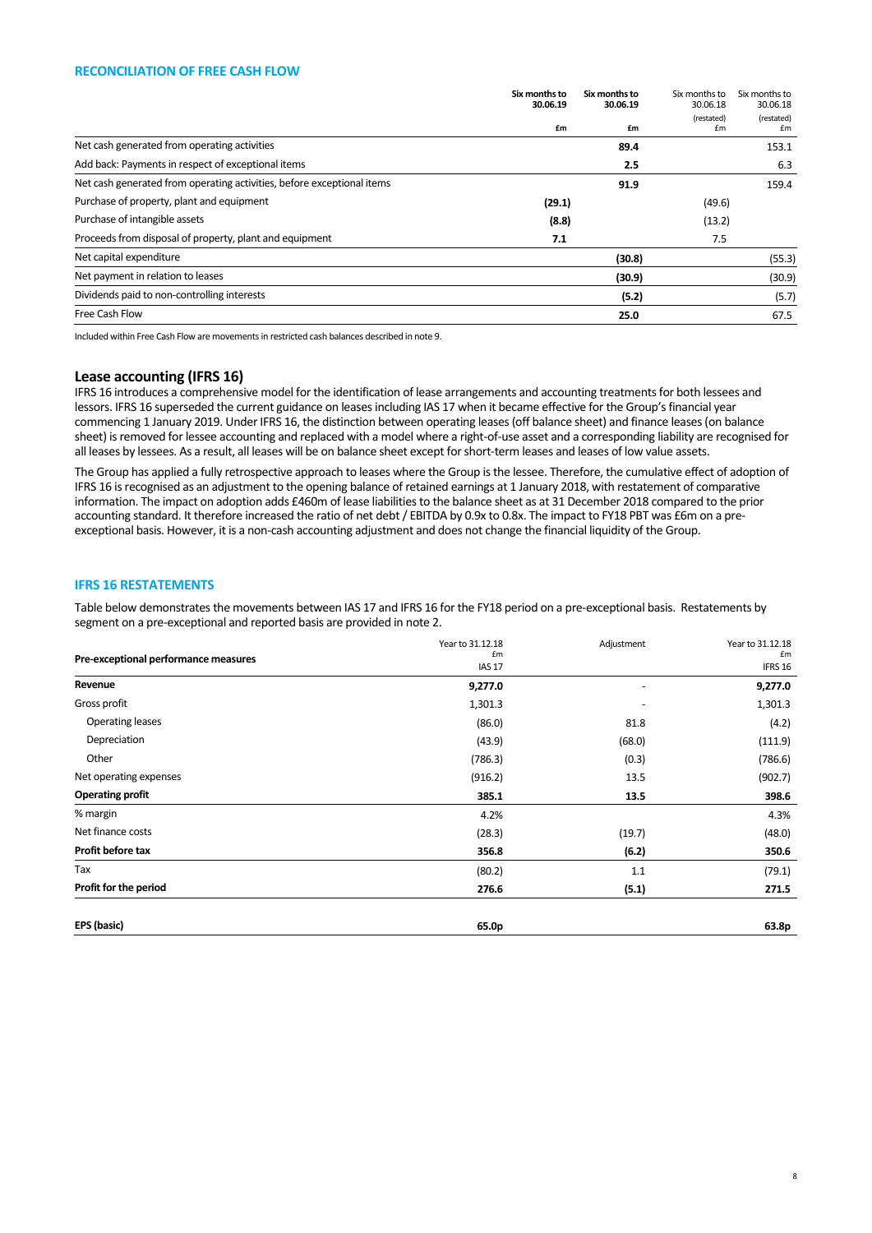#### **RECONCILIATION OF FREE CASH FLOW**

|                                                                        | Six months to<br>30.06.19<br>£m | Six months to<br>30.06.19<br>£m | Six months to<br>30.06.18<br>(restated)<br>£m | Six months to<br>30.06.18<br>(restated)<br>£m |
|------------------------------------------------------------------------|---------------------------------|---------------------------------|-----------------------------------------------|-----------------------------------------------|
| Net cash generated from operating activities                           |                                 | 89.4                            |                                               | 153.1                                         |
| Add back: Payments in respect of exceptional items                     |                                 | 2.5                             |                                               | 6.3                                           |
| Net cash generated from operating activities, before exceptional items |                                 | 91.9                            |                                               | 159.4                                         |
| Purchase of property, plant and equipment                              | (29.1)                          |                                 | (49.6)                                        |                                               |
| Purchase of intangible assets                                          | (8.8)                           |                                 | (13.2)                                        |                                               |
| Proceeds from disposal of property, plant and equipment                | 7.1                             |                                 | 7.5                                           |                                               |
| Net capital expenditure                                                |                                 | (30.8)                          |                                               | (55.3)                                        |
| Net payment in relation to leases                                      |                                 | (30.9)                          |                                               | (30.9)                                        |
| Dividends paid to non-controlling interests                            |                                 | (5.2)                           |                                               | (5.7)                                         |
| Free Cash Flow                                                         |                                 | 25.0                            |                                               | 67.5                                          |

Included within Free Cash Flow are movements in restricted cash balances described in note 9.

## **Lease accounting (IFRS 16)**

IFRS 16 introduces a comprehensive model for the identification of lease arrangements and accounting treatments for both lessees and lessors. IFRS 16 superseded the current guidance on leases including IAS 17 when it became effective for the Group's financial year commencing 1 January 2019. Under IFRS 16, the distinction between operating leases (off balance sheet) and finance leases (on balance sheet) is removed for lessee accounting and replaced with a model where a right‐of‐use asset and a corresponding liability are recognised for all leases by lessees. As a result, all leases will be on balance sheet except for short‐term leases and leases of low value assets.

The Group has applied a fully retrospective approach to leases where the Group is the lessee. Therefore, the cumulative effect of adoption of IFRS 16 is recognised as an adjustment to the opening balance of retained earnings at 1 January 2018, with restatement of comparative information. The impact on adoption adds £460m of lease liabilities to the balance sheet as at 31 December 2018 compared to the prior accounting standard. It therefore increased the ratio of net debt / EBITDA by 0.9x to 0.8x. The impact to FY18 PBT was £6m on a preexceptional basis. However, it is a non‐cash accounting adjustment and does not change the financial liquidity of the Group.

## **IFRS 16 RESTATEMENTS**

Table below demonstrates the movements between IAS 17 and IFRS 16 for the FY18 period on a pre‐exceptional basis. Restatements by segment on a pre‐exceptional and reported basis are provided in note 2.

|                                      | Year to 31.12.18<br>£m | Adjustment | Year to 31.12.18<br>£m |
|--------------------------------------|------------------------|------------|------------------------|
| Pre-exceptional performance measures | IAS <sub>17</sub>      |            | IFRS 16                |
| Revenue                              | 9,277.0                | ٠          | 9,277.0                |
| Gross profit                         | 1,301.3                |            | 1,301.3                |
| Operating leases                     | (86.0)                 | 81.8       | (4.2)                  |
| Depreciation                         | (43.9)                 | (68.0)     | (111.9)                |
| Other                                | (786.3)                | (0.3)      | (786.6)                |
| Net operating expenses               | (916.2)                | 13.5       | (902.7)                |
| <b>Operating profit</b>              | 385.1                  | 13.5       | 398.6                  |
| % margin                             | 4.2%                   |            | 4.3%                   |
| Net finance costs                    | (28.3)                 | (19.7)     | (48.0)                 |
| Profit before tax                    | 356.8                  | (6.2)      | 350.6                  |
| Tax                                  | (80.2)                 | 1.1        | (79.1)                 |
| Profit for the period                | 276.6                  | (5.1)      | 271.5                  |
| EPS (basic)                          | 65.0p                  |            | 63.8p                  |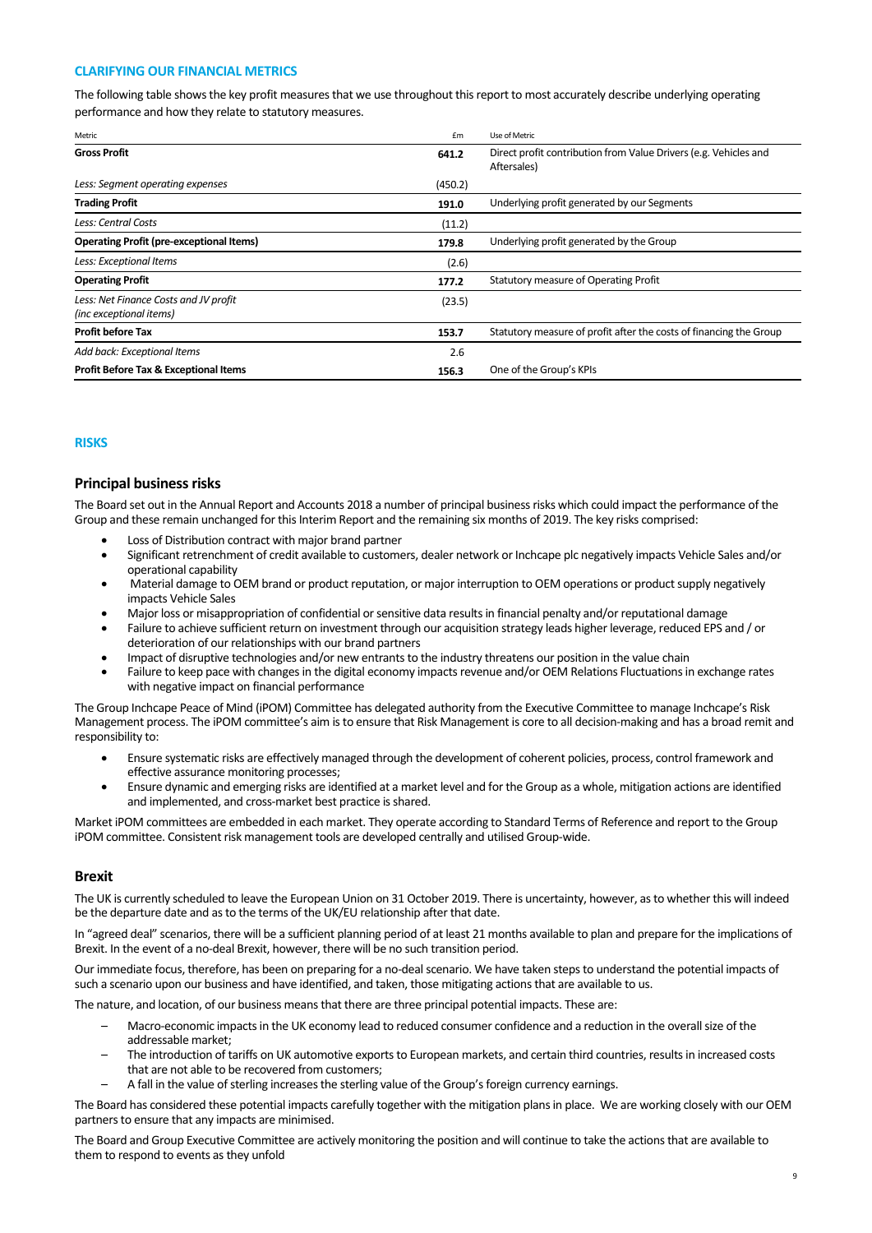## **CLARIFYING OUR FINANCIAL METRICS**

The following table shows the key profit measures that we use throughout this report to most accurately describe underlying operating performance and how they relate to statutory measures.

| Metric                                                           | £m      | Use of Metric                                                                   |
|------------------------------------------------------------------|---------|---------------------------------------------------------------------------------|
| <b>Gross Profit</b>                                              | 641.2   | Direct profit contribution from Value Drivers (e.g. Vehicles and<br>Aftersales) |
| Less: Segment operating expenses                                 | (450.2) |                                                                                 |
| <b>Trading Profit</b>                                            | 191.0   | Underlying profit generated by our Segments                                     |
| Less: Central Costs                                              | (11.2)  |                                                                                 |
| <b>Operating Profit (pre-exceptional Items)</b>                  | 179.8   | Underlying profit generated by the Group                                        |
| Less: Exceptional Items                                          | (2.6)   |                                                                                 |
| <b>Operating Profit</b>                                          | 177.2   | Statutory measure of Operating Profit                                           |
| Less: Net Finance Costs and JV profit<br>(inc exceptional items) | (23.5)  |                                                                                 |
| <b>Profit before Tax</b>                                         | 153.7   | Statutory measure of profit after the costs of financing the Group              |
| Add back: Exceptional Items                                      | 2.6     |                                                                                 |
| <b>Profit Before Tax &amp; Exceptional Items</b>                 | 156.3   | One of the Group's KPIs                                                         |

#### **RISKS**

#### **Principal business risks**

The Board set out in the Annual Report and Accounts 2018 a number of principal business risks which could impact the performance of the Group and these remain unchanged for this Interim Report and the remaining six months of 2019. The key risks comprised:

- Loss of Distribution contract with major brand partner
- Significant retrenchment of credit available to customers, dealer network or Inchcape plc negatively impacts Vehicle Sales and/or operational capability
- Material damage to OEM brand or product reputation, or major interruption to OEM operations or product supply negatively impacts Vehicle Sales
- Major loss or misappropriation of confidential or sensitive data results in financial penalty and/or reputational damage
- Failure to achieve sufficient return on investment through our acquisition strategy leads higher leverage, reduced EPS and / or deterioration of our relationships with our brand partners
- Impact of disruptive technologies and/or new entrants to the industry threatens our position in the value chain
- Failure to keep pace with changes in the digital economy impacts revenue and/or OEM Relations Fluctuations in exchange rates with negative impact on financial performance

The Group Inchcape Peace of Mind (iPOM) Committee has delegated authority from the Executive Committee to manage Inchcape's Risk Management process. The iPOM committee's aim is to ensure that Risk Management is core to all decision‐making and has a broad remit and responsibility to:

- Ensure systematic risks are effectively managed through the development of coherent policies, process, control framework and effective assurance monitoring processes;
- Ensure dynamic and emerging risks are identified at a market level and for the Group as a whole, mitigation actions are identified and implemented, and cross‐market best practice is shared.

Market iPOM committees are embedded in each market. They operate according to Standard Terms of Reference and report to the Group iPOM committee. Consistent risk management tools are developed centrally and utilised Group‐wide.

#### **Brexit**

The UK is currently scheduled to leave the European Union on 31 October 2019. There is uncertainty, however, as to whether this will indeed be the departure date and as to the terms of the UK/EU relationship after that date.

In "agreed deal" scenarios, there will be a sufficient planning period of at least 21 months available to plan and prepare for the implications of Brexit. In the event of a no-deal Brexit, however, there will be no such transition period.

Our immediate focus, therefore, has been on preparing for a no-deal scenario. We have taken steps to understand the potential impacts of such a scenario upon our business and have identified, and taken, those mitigating actions that are available to us.

The nature, and location, of our business means that there are three principal potential impacts. These are:

- Macro‐economic impacts in the UK economy lead to reduced consumer confidence and a reduction in the overall size of the addressable market;
- The introduction of tariffs on UK automotive exports to European markets, and certain third countries, results in increased costs that are not able to be recovered from customers;
- A fall in the value of sterling increases the sterling value of the Group's foreign currency earnings.

The Board has considered these potential impacts carefully together with the mitigation plans in place. We are working closely with our OEM partners to ensure that any impacts are minimised.

The Board and Group Executive Committee are actively monitoring the position and will continue to take the actions that are available to them to respond to events as they unfold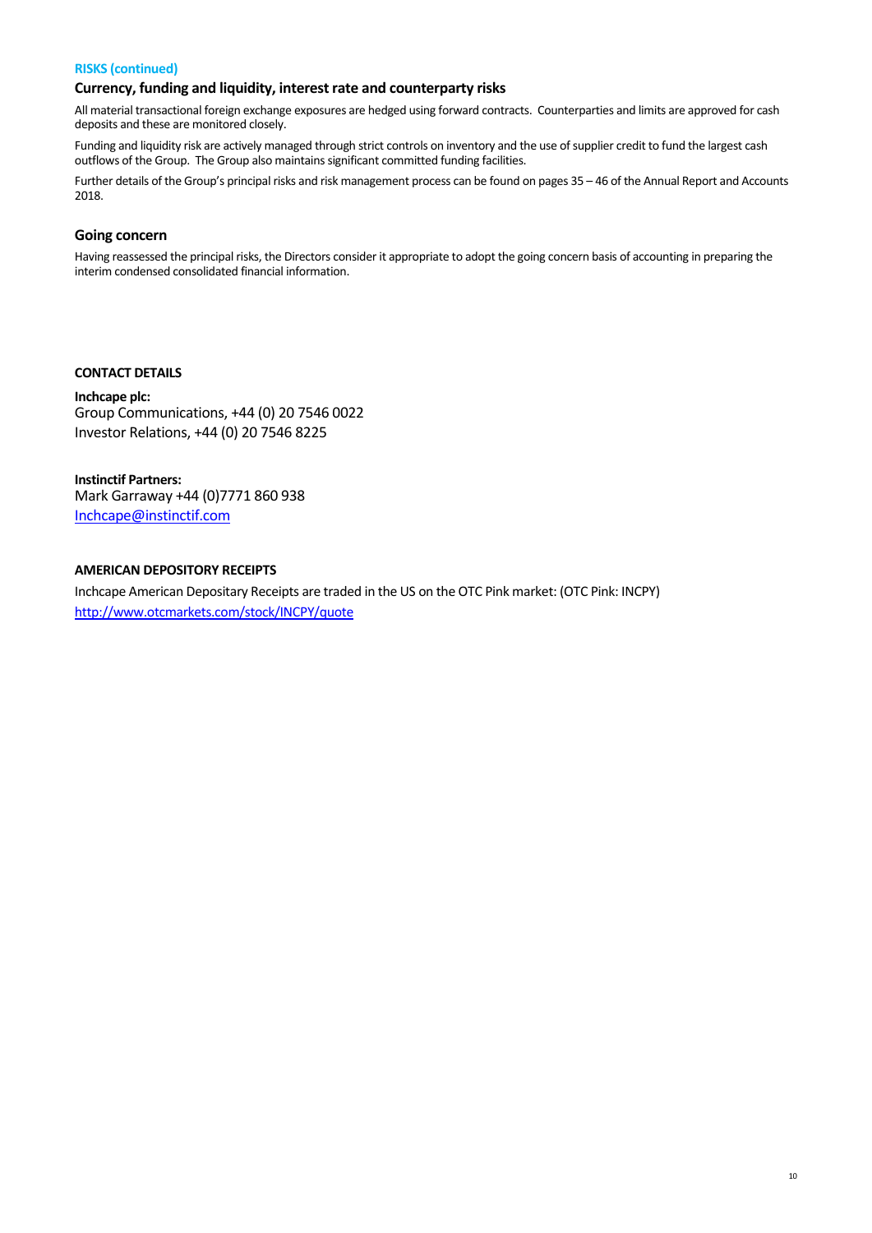## **RISKS (continued)**

## **Currency, funding and liquidity, interest rate and counterparty risks**

All material transactional foreign exchange exposures are hedged using forward contracts. Counterparties and limits are approved for cash deposits and these are monitored closely.

Funding and liquidity risk are actively managed through strict controls on inventory and the use of supplier credit to fund the largest cash outflows of the Group. The Group also maintains significant committed funding facilities.

Further details of the Group's principal risks and risk management process can be found on pages 35 – 46 of the Annual Report and Accounts 2018.

## **Going concern**

Having reassessed the principal risks, the Directors consider it appropriate to adopt the going concern basis of accounting in preparing the interim condensed consolidated financial information.

## **CONTACT DETAILS**

**Inchcape plc:**  Group Communications, +44 (0) 20 7546 0022 Investor Relations, +44 (0) 20 7546 8225

**Instinctif Partners:**  Mark Garraway +44 (0)7771 860 938 Inchcape@instinctif.com

## **AMERICAN DEPOSITORY RECEIPTS**

Inchcape American Depositary Receipts are traded in the US on the OTC Pink market: (OTC Pink: INCPY) http://www.otcmarkets.com/stock/INCPY/quote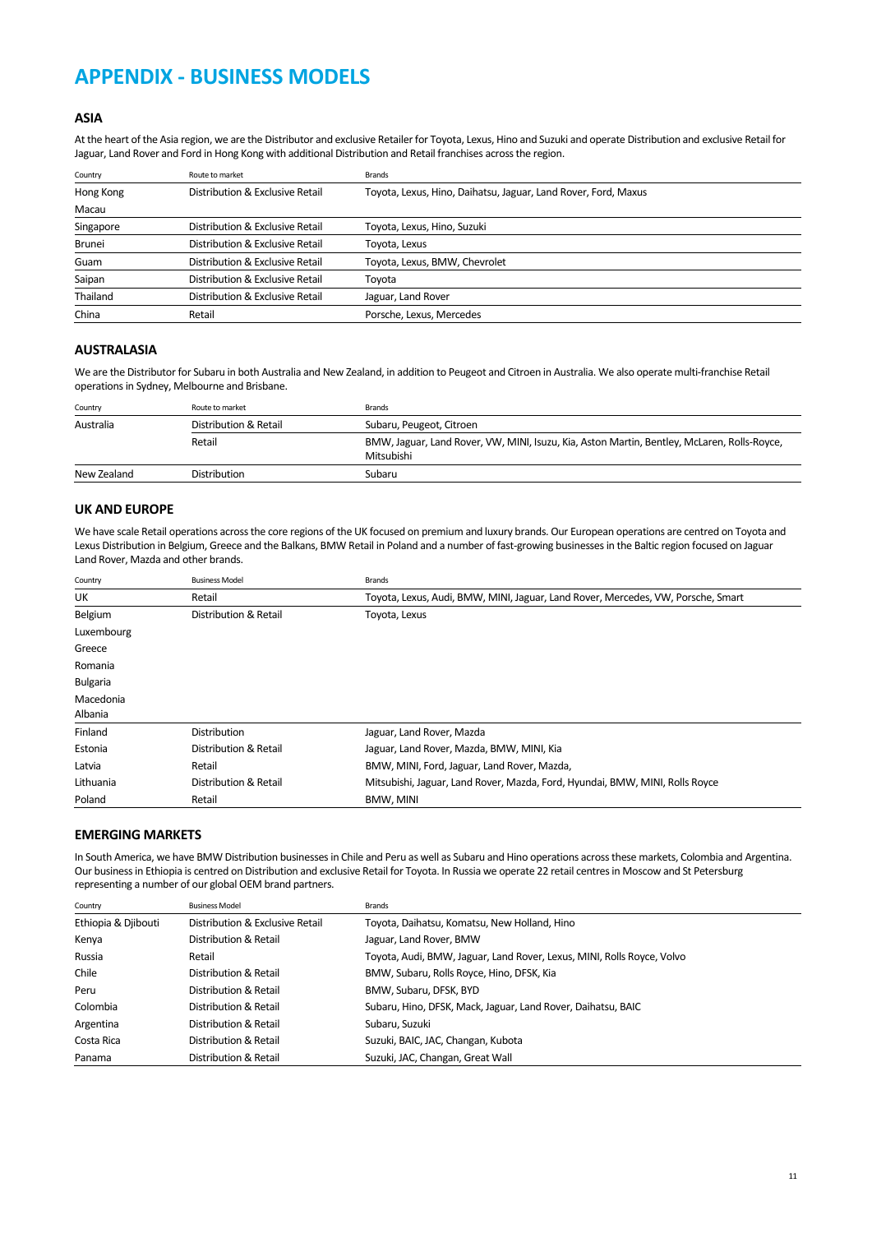## **APPENDIX ‐ BUSINESS MODELS**

## **ASIA**

At the heart of the Asia region, we are the Distributor and exclusive Retailer for Toyota, Lexus, Hino and Suzuki and operate Distribution and exclusive Retail for Jaguar, Land Rover and Ford in Hong Kong with additional Distribution and Retail franchises across the region.

| Country   | Route to market                 | Brands                                                         |
|-----------|---------------------------------|----------------------------------------------------------------|
| Hong Kong | Distribution & Exclusive Retail | Toyota, Lexus, Hino, Daihatsu, Jaguar, Land Rover, Ford, Maxus |
| Macau     |                                 |                                                                |
| Singapore | Distribution & Exclusive Retail | Toyota, Lexus, Hino, Suzuki                                    |
| Brunei    | Distribution & Exclusive Retail | Toyota, Lexus                                                  |
| Guam      | Distribution & Exclusive Retail | Toyota, Lexus, BMW, Chevrolet                                  |
| Saipan    | Distribution & Exclusive Retail | Toyota                                                         |
| Thailand  | Distribution & Exclusive Retail | Jaguar, Land Rover                                             |
| China     | Retail                          | Porsche, Lexus, Mercedes                                       |

### **AUSTRALASIA**

We are the Distributor for Subaru in both Australia and New Zealand, in addition to Peugeot and Citroen in Australia. We also operate multi‐franchise Retail operations in Sydney, Melbourne and Brisbane.

| Country     | Route to market       | <b>Brands</b>                                                                                             |
|-------------|-----------------------|-----------------------------------------------------------------------------------------------------------|
| Australia   | Distribution & Retail | Subaru, Peugeot, Citroen                                                                                  |
|             | Retail                | BMW, Jaguar, Land Rover, VW, MINI, Isuzu, Kia, Aston Martin, Bentley, McLaren, Rolls-Royce,<br>Mitsubishi |
| New Zealand | <b>Distribution</b>   | Subaru                                                                                                    |

## **UK AND EUROPE**

We have scale Retail operations across the core regions of the UK focused on premium and luxury brands. Our European operations are centred on Toyota and Lexus Distribution in Belgium, Greece and the Balkans, BMW Retail in Poland and a number of fast-growing businesses in the Baltic region focused on Jaguar Land Rover, Mazda and other brands.

| Country         | <b>Business Model</b> | <b>Brands</b>                                                                    |
|-----------------|-----------------------|----------------------------------------------------------------------------------|
| UK              | Retail                | Toyota, Lexus, Audi, BMW, MINI, Jaguar, Land Rover, Mercedes, VW, Porsche, Smart |
| Belgium         | Distribution & Retail | Toyota, Lexus                                                                    |
| Luxembourg      |                       |                                                                                  |
| Greece          |                       |                                                                                  |
| Romania         |                       |                                                                                  |
| <b>Bulgaria</b> |                       |                                                                                  |
| Macedonia       |                       |                                                                                  |
| Albania         |                       |                                                                                  |
| Finland         | <b>Distribution</b>   | Jaguar, Land Rover, Mazda                                                        |
| Estonia         | Distribution & Retail | Jaguar, Land Rover, Mazda, BMW, MINI, Kia                                        |
| Latvia          | Retail                | BMW, MINI, Ford, Jaguar, Land Rover, Mazda,                                      |
| Lithuania       | Distribution & Retail | Mitsubishi, Jaguar, Land Rover, Mazda, Ford, Hyundai, BMW, MINI, Rolls Royce     |
| Poland          | Retail                | BMW, MINI                                                                        |

#### **EMERGING MARKETS**

In South America, we have BMW Distribution businesses in Chile and Peru as well as Subaru and Hino operations across these markets, Colombia and Argentina. Our business in Ethiopia is centred on Distribution and exclusive Retail for Toyota. In Russia we operate 22 retail centres in Moscow and St Petersburg representing a number of our global OEM brand partners.

| Country             | <b>Business Model</b>           | <b>Brands</b>                                                          |
|---------------------|---------------------------------|------------------------------------------------------------------------|
| Ethiopia & Djibouti | Distribution & Exclusive Retail | Toyota, Daihatsu, Komatsu, New Holland, Hino                           |
| Kenya               | Distribution & Retail           | Jaguar, Land Rover, BMW                                                |
| Russia              | Retail                          | Toyota, Audi, BMW, Jaguar, Land Rover, Lexus, MINI, Rolls Royce, Volvo |
| Chile               | Distribution & Retail           | BMW, Subaru, Rolls Royce, Hino, DFSK, Kia                              |
| Peru                | Distribution & Retail           | BMW, Subaru, DFSK, BYD                                                 |
| Colombia            | Distribution & Retail           | Subaru, Hino, DFSK, Mack, Jaguar, Land Rover, Daihatsu, BAIC           |
| Argentina           | Distribution & Retail           | Subaru, Suzuki                                                         |
| Costa Rica          | Distribution & Retail           | Suzuki, BAIC, JAC, Changan, Kubota                                     |
| Panama              | Distribution & Retail           | Suzuki, JAC, Changan, Great Wall                                       |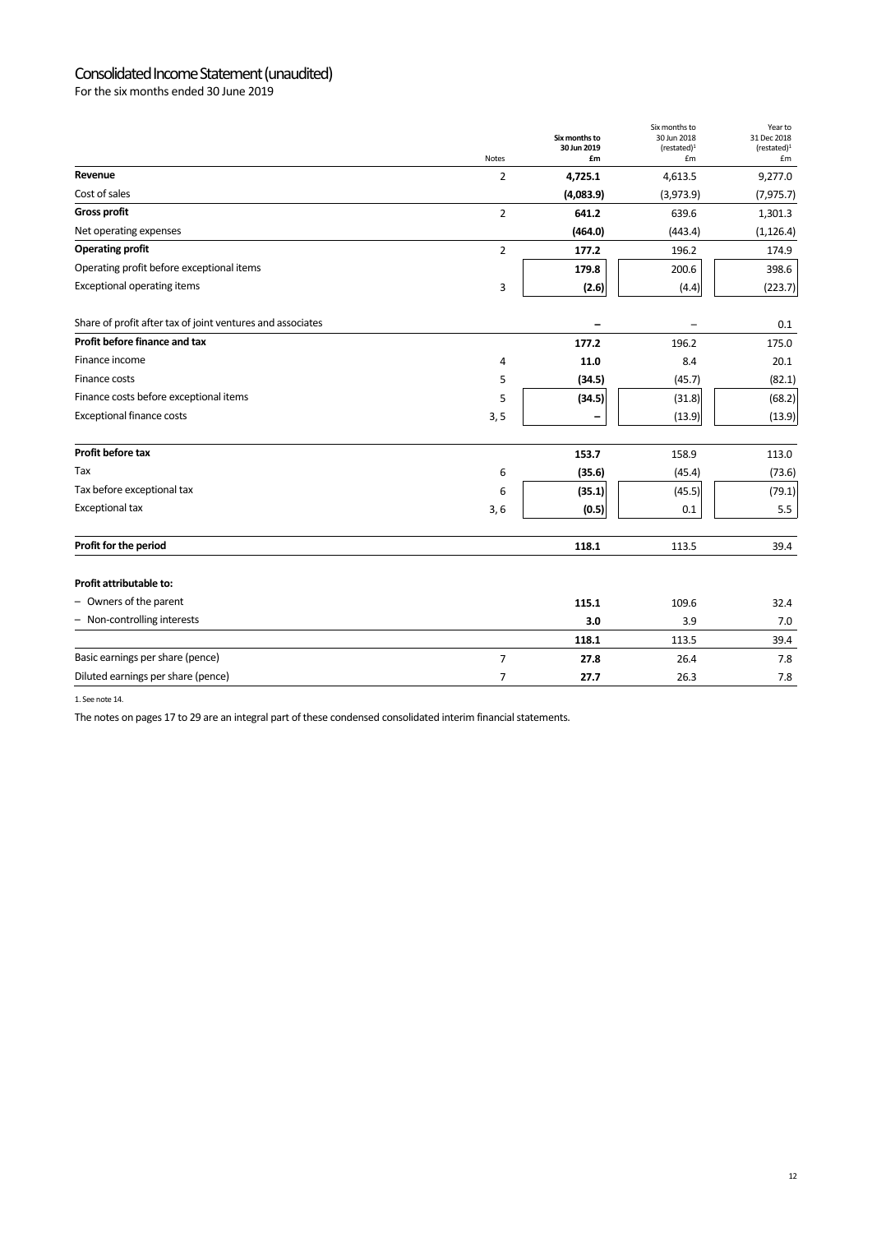## Consolidated Income Statement (unaudited)

For the six months ended 30 June 2019

|                                                            | <b>Notes</b>   | Six months to<br>30 Jun 2019<br>£m | Six months to<br>30 Jun 2018<br>(rested) <sup>1</sup><br>£m | Year to<br>31 Dec 2018<br>(restated) <sup>1</sup><br>£m |
|------------------------------------------------------------|----------------|------------------------------------|-------------------------------------------------------------|---------------------------------------------------------|
| Revenue                                                    | $\overline{2}$ | 4,725.1                            | 4,613.5                                                     | 9,277.0                                                 |
| Cost of sales                                              |                | (4,083.9)                          | (3,973.9)                                                   | (7, 975.7)                                              |
| <b>Gross profit</b>                                        | $\overline{2}$ | 641.2                              | 639.6                                                       | 1,301.3                                                 |
| Net operating expenses                                     |                | (464.0)                            | (443.4)                                                     | (1, 126.4)                                              |
| <b>Operating profit</b>                                    | $\overline{2}$ | 177.2                              | 196.2                                                       | 174.9                                                   |
| Operating profit before exceptional items                  |                | 179.8                              | 200.6                                                       | 398.6                                                   |
| <b>Exceptional operating items</b>                         | 3              | (2.6)                              | (4.4)                                                       | (223.7)                                                 |
| Share of profit after tax of joint ventures and associates |                | -                                  |                                                             | 0.1                                                     |
| Profit before finance and tax                              |                | 177.2                              | 196.2                                                       | 175.0                                                   |
| Finance income                                             | 4              | 11.0                               | 8.4                                                         | 20.1                                                    |
| Finance costs                                              | 5              | (34.5)                             | (45.7)                                                      | (82.1)                                                  |
| Finance costs before exceptional items                     | 5              | (34.5)                             | (31.8)                                                      | (68.2)                                                  |
| <b>Exceptional finance costs</b>                           | 3, 5           | -                                  | (13.9)                                                      | (13.9)                                                  |
| Profit before tax                                          |                | 153.7                              | 158.9                                                       | 113.0                                                   |
| Tax                                                        | 6              | (35.6)                             | (45.4)                                                      | (73.6)                                                  |
| Tax before exceptional tax                                 | 6              | (35.1)                             | (45.5)                                                      | (79.1)                                                  |
| <b>Exceptional tax</b>                                     | 3,6            | (0.5)                              | 0.1                                                         | $5.5\,$                                                 |
| Profit for the period                                      |                | 118.1                              | 113.5                                                       | 39.4                                                    |
| Profit attributable to:                                    |                |                                    |                                                             |                                                         |
| - Owners of the parent                                     |                | 115.1                              | 109.6                                                       | 32.4                                                    |
| - Non-controlling interests                                |                | 3.0                                | 3.9                                                         | 7.0                                                     |
|                                                            |                | 118.1                              | 113.5                                                       | 39.4                                                    |
| Basic earnings per share (pence)                           | $\overline{7}$ | 27.8                               | 26.4                                                        | 7.8                                                     |
| Diluted earnings per share (pence)                         | $\overline{7}$ | 27.7                               | 26.3                                                        | 7.8                                                     |

1. See note 14.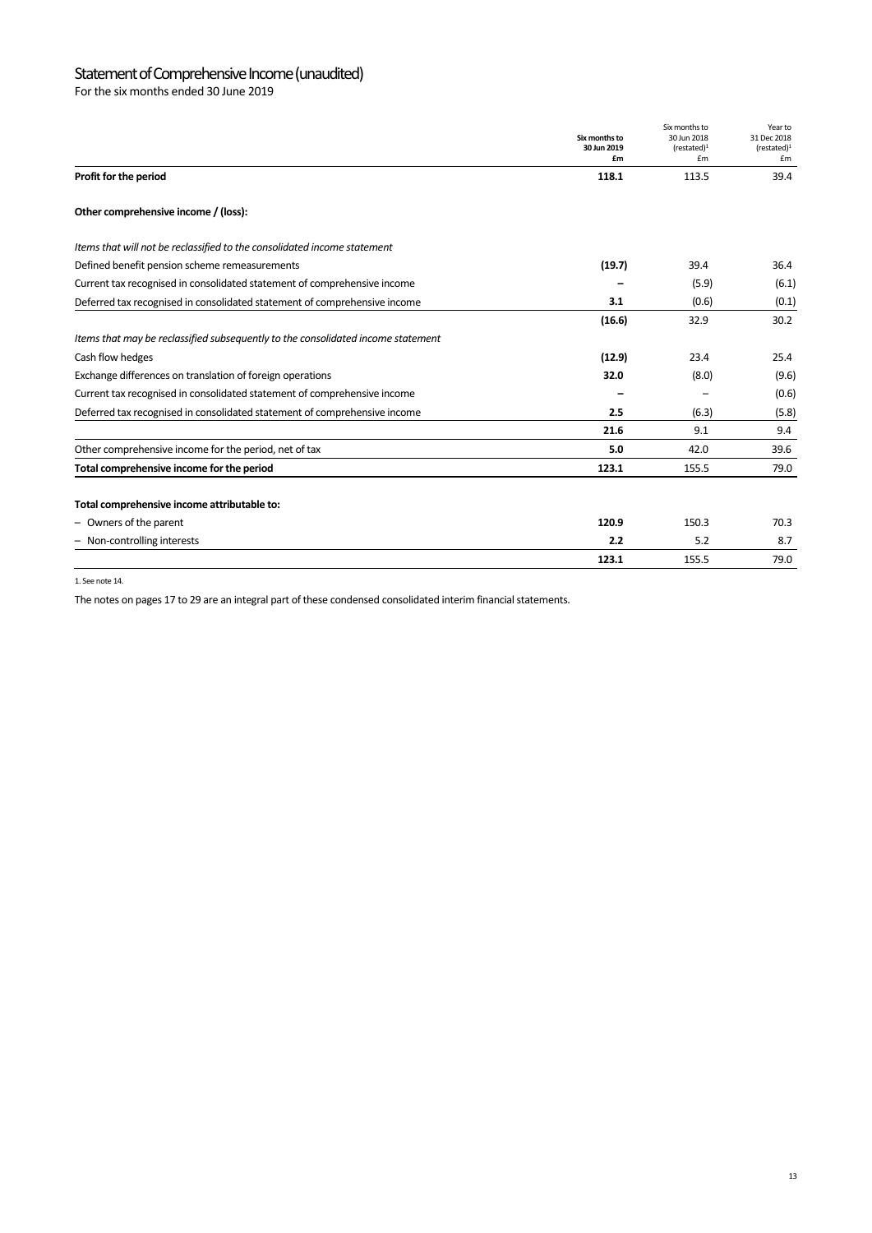## Statement of Comprehensive Income (unaudited)

For the six months ended 30 June 2019

|                                                                                  | Six months to<br>30 Jun 2019 | Six months to<br>30 Jun 2018<br>(rested) <sup>1</sup> | Year to<br>31 Dec 2018<br>(rested) <sup>1</sup> |
|----------------------------------------------------------------------------------|------------------------------|-------------------------------------------------------|-------------------------------------------------|
| Profit for the period                                                            | £m<br>118.1                  | £m<br>113.5                                           | £m<br>39.4                                      |
| Other comprehensive income / (loss):                                             |                              |                                                       |                                                 |
| Items that will not be reclassified to the consolidated income statement         |                              |                                                       |                                                 |
| Defined benefit pension scheme remeasurements                                    | (19.7)                       | 39.4                                                  | 36.4                                            |
| Current tax recognised in consolidated statement of comprehensive income         |                              | (5.9)                                                 | (6.1)                                           |
| Deferred tax recognised in consolidated statement of comprehensive income        | 3.1                          | (0.6)                                                 | (0.1)                                           |
|                                                                                  | (16.6)                       | 32.9                                                  | 30.2                                            |
| Items that may be reclassified subsequently to the consolidated income statement |                              |                                                       |                                                 |
| Cash flow hedges                                                                 | (12.9)                       | 23.4                                                  | 25.4                                            |
| Exchange differences on translation of foreign operations                        | 32.0                         | (8.0)                                                 | (9.6)                                           |
| Current tax recognised in consolidated statement of comprehensive income         |                              |                                                       | (0.6)                                           |
| Deferred tax recognised in consolidated statement of comprehensive income        | 2.5                          | (6.3)                                                 | (5.8)                                           |
|                                                                                  | 21.6                         | 9.1                                                   | 9.4                                             |
| Other comprehensive income for the period, net of tax                            | 5.0                          | 42.0                                                  | 39.6                                            |
| Total comprehensive income for the period                                        | 123.1                        | 155.5                                                 | 79.0                                            |
| Total comprehensive income attributable to:                                      |                              |                                                       |                                                 |
| - Owners of the parent                                                           | 120.9                        | 150.3                                                 | 70.3                                            |
| - Non-controlling interests                                                      | 2.2                          | 5.2                                                   | 8.7                                             |
|                                                                                  | 123.1                        | 155.5                                                 | 79.0                                            |

1. See note 14.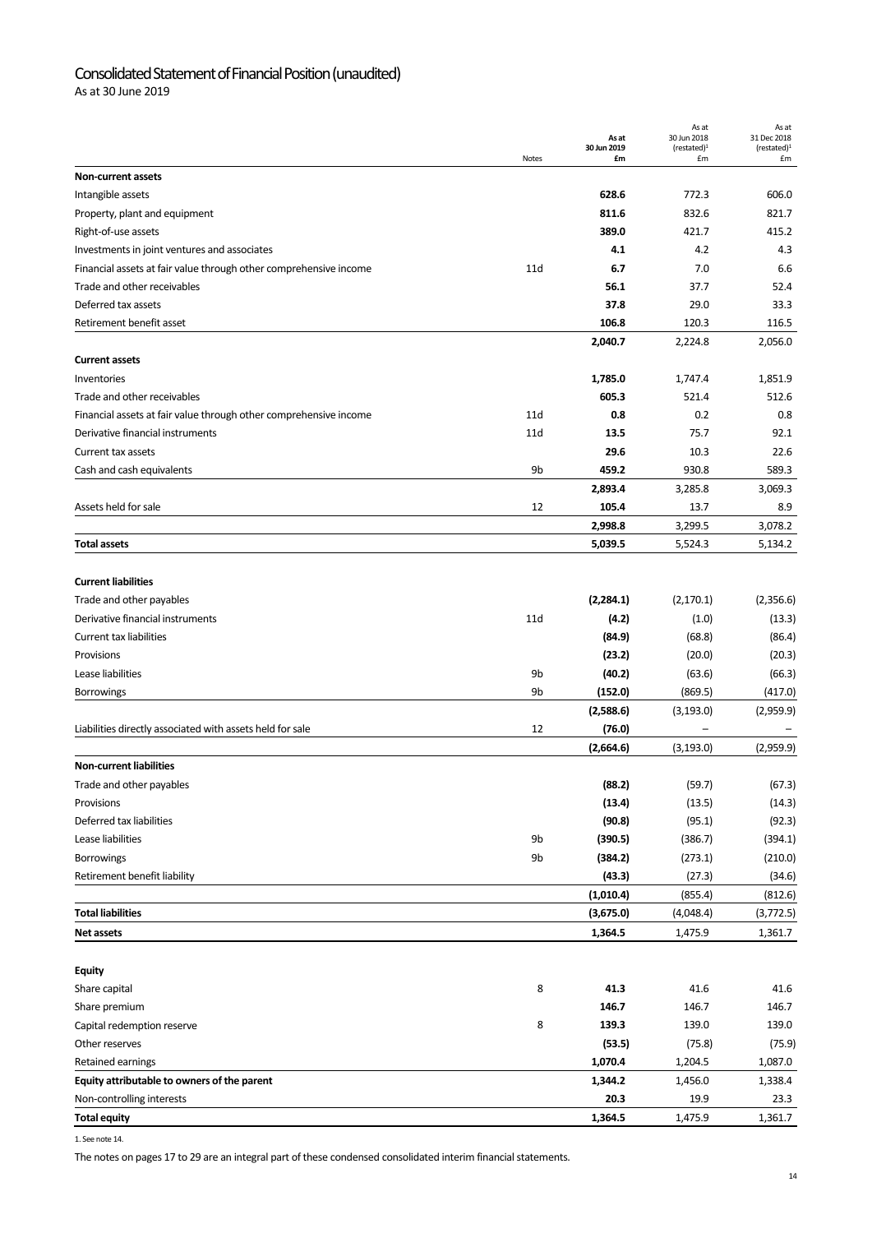## Consolidated Statement of Financial Position (unaudited)

As at 30 June 2019

|                                                                   |       | As at<br>30 Jun 2019 | As at<br>30 Jun 2018<br>(restated) <sup>1</sup> | As at<br>31 Dec 2018<br>(restated) <sup>1</sup> |
|-------------------------------------------------------------------|-------|----------------------|-------------------------------------------------|-------------------------------------------------|
| <b>Non-current assets</b>                                         | Notes | £m                   | £m                                              | £m                                              |
| Intangible assets                                                 |       | 628.6                | 772.3                                           | 606.0                                           |
| Property, plant and equipment                                     |       | 811.6                | 832.6                                           | 821.7                                           |
| Right-of-use assets                                               |       | 389.0                | 421.7                                           | 415.2                                           |
| Investments in joint ventures and associates                      |       | 4.1                  | 4.2                                             | 4.3                                             |
| Financial assets at fair value through other comprehensive income | 11d   | 6.7                  | 7.0                                             | 6.6                                             |
| Trade and other receivables                                       |       | 56.1                 | 37.7                                            | 52.4                                            |
| Deferred tax assets                                               |       | 37.8                 | 29.0                                            | 33.3                                            |
| Retirement benefit asset                                          |       | 106.8                | 120.3                                           | 116.5                                           |
|                                                                   |       | 2,040.7              | 2,224.8                                         | 2,056.0                                         |
| <b>Current assets</b>                                             |       |                      |                                                 |                                                 |
| Inventories                                                       |       | 1,785.0              | 1,747.4                                         | 1,851.9                                         |
| Trade and other receivables                                       |       | 605.3                | 521.4                                           | 512.6                                           |
| Financial assets at fair value through other comprehensive income | 11d   | 0.8                  | 0.2                                             | 0.8                                             |
| Derivative financial instruments                                  | 11d   | 13.5                 | 75.7                                            | 92.1                                            |
| Current tax assets                                                |       | 29.6                 | 10.3                                            | 22.6                                            |
| Cash and cash equivalents                                         | 9b    | 459.2                | 930.8                                           | 589.3                                           |
|                                                                   |       | 2,893.4              | 3,285.8                                         | 3,069.3                                         |
| Assets held for sale                                              | 12    | 105.4                | 13.7                                            | 8.9                                             |
|                                                                   |       | 2,998.8              | 3,299.5                                         | 3,078.2                                         |
| <b>Total assets</b>                                               |       | 5,039.5              | 5,524.3                                         | 5,134.2                                         |
|                                                                   |       |                      |                                                 |                                                 |
| <b>Current liabilities</b>                                        |       |                      |                                                 |                                                 |
| Trade and other payables                                          |       | (2, 284.1)           | (2, 170.1)                                      | (2,356.6)                                       |
| Derivative financial instruments                                  | 11d   | (4.2)                | (1.0)                                           | (13.3)                                          |
| <b>Current tax liabilities</b>                                    |       | (84.9)               | (68.8)                                          | (86.4)                                          |
| Provisions                                                        |       | (23.2)               | (20.0)                                          | (20.3)                                          |
| Lease liabilities                                                 | 9b    | (40.2)               | (63.6)                                          | (66.3)                                          |
| <b>Borrowings</b>                                                 | 9b    | (152.0)              | (869.5)                                         | (417.0)                                         |
|                                                                   |       | (2,588.6)            | (3, 193.0)                                      | (2,959.9)                                       |
| Liabilities directly associated with assets held for sale         | 12    | (76.0)               |                                                 |                                                 |
|                                                                   |       | (2,664.6)            | (3, 193.0)                                      | (2,959.9)                                       |
| <b>Non-current liabilities</b>                                    |       |                      |                                                 |                                                 |
| Trade and other payables                                          |       | (88.2)               | (59.7)                                          | (67.3)                                          |
| Provisions                                                        |       | (13.4)               | (13.5)                                          | (14.3)                                          |
| Deferred tax liabilities                                          |       | (90.8)               | (95.1)                                          | (92.3)                                          |
| Lease liabilities                                                 | 9b    | (390.5)              | (386.7)                                         | (394.1)                                         |
| Borrowings                                                        | 9b    | (384.2)              | (273.1)                                         | (210.0)                                         |
| Retirement benefit liability                                      |       | (43.3)               | (27.3)                                          | (34.6)                                          |
|                                                                   |       | (1,010.4)            | (855.4)                                         | (812.6)                                         |
| <b>Total liabilities</b>                                          |       | (3,675.0)            | (4,048.4)                                       | (3,772.5)                                       |
| <b>Net assets</b>                                                 |       | 1,364.5              | 1,475.9                                         | 1,361.7                                         |
|                                                                   |       |                      |                                                 |                                                 |
| <b>Equity</b>                                                     |       |                      |                                                 |                                                 |
| Share capital                                                     | 8     | 41.3                 | 41.6                                            | 41.6                                            |
| Share premium                                                     |       | 146.7                | 146.7                                           | 146.7                                           |
| Capital redemption reserve                                        | 8     | 139.3                | 139.0                                           | 139.0                                           |
| Other reserves                                                    |       | (53.5)               | (75.8)                                          | (75.9)                                          |
| Retained earnings                                                 |       | 1,070.4              | 1,204.5                                         | 1,087.0                                         |
| Equity attributable to owners of the parent                       |       | 1,344.2              | 1,456.0                                         | 1,338.4                                         |
| Non-controlling interests                                         |       | 20.3                 | 19.9                                            | 23.3                                            |
| <b>Total equity</b>                                               |       | 1,364.5              | 1,475.9                                         | 1,361.7                                         |

1. See note 14.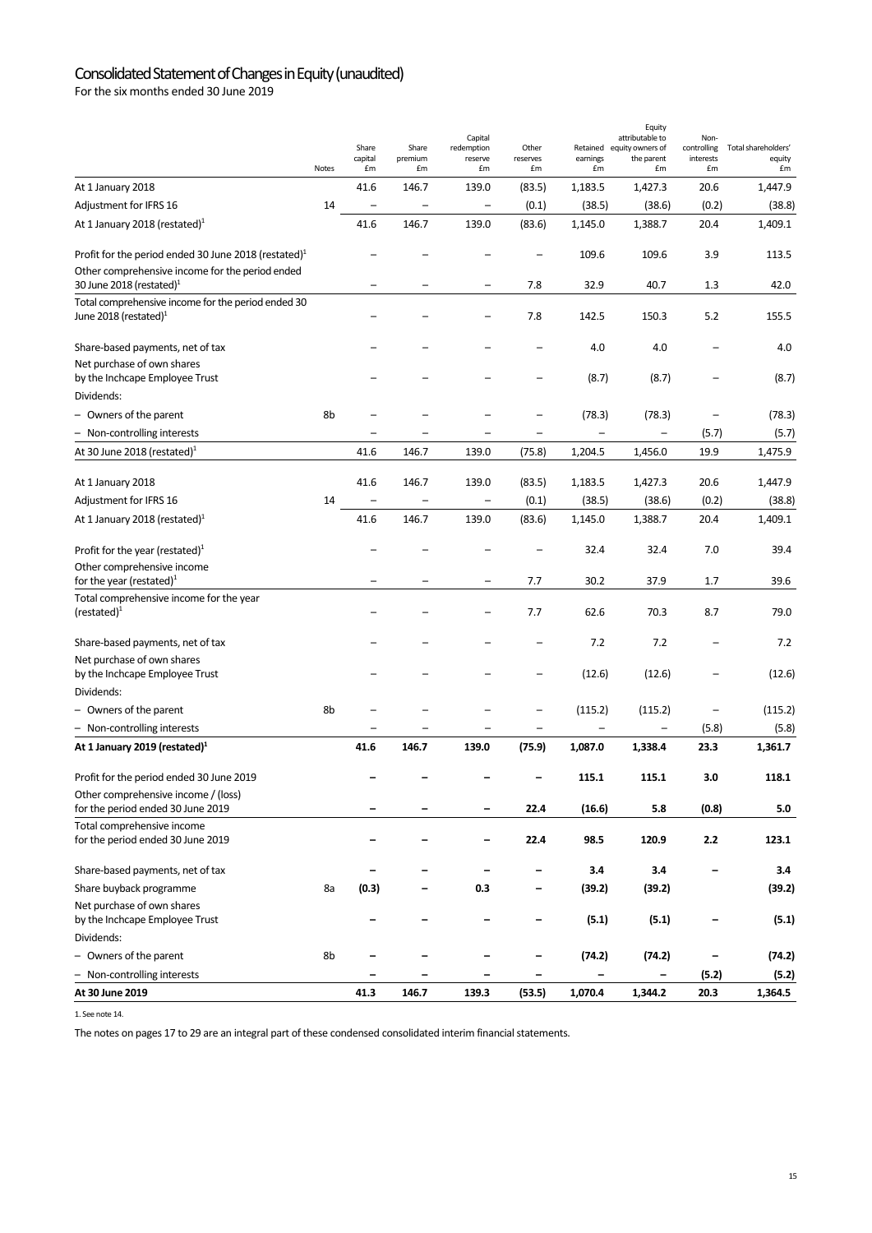## Consolidated Statement of Changes in Equity (unaudited)

For the six months ended 30 June 2019

|                                                                                | Notes | Share<br>capital<br>£m   | Share<br>premium<br>£m | Capital<br>redemption<br>reserve<br>£m | Other<br>reserves<br>£m  | Retained<br>earnings<br>£m | Equity<br>attributable to<br>equity owners of<br>the parent<br>£m | Non-<br>controlling<br>interests<br>£m | Total shareholders'<br>equity<br>£m |
|--------------------------------------------------------------------------------|-------|--------------------------|------------------------|----------------------------------------|--------------------------|----------------------------|-------------------------------------------------------------------|----------------------------------------|-------------------------------------|
| At 1 January 2018                                                              |       | 41.6                     | 146.7                  | 139.0                                  | (83.5)                   | 1,183.5                    | 1,427.3                                                           | 20.6                                   | 1,447.9                             |
| Adjustment for IFRS 16                                                         | 14    | $\overline{\phantom{0}}$ |                        |                                        | (0.1)                    | (38.5)                     | (38.6)                                                            | (0.2)                                  | (38.8)                              |
| At 1 January 2018 (restated) <sup>1</sup>                                      |       | 41.6                     | 146.7                  | 139.0                                  | (83.6)                   | 1,145.0                    | 1,388.7                                                           | 20.4                                   | 1,409.1                             |
| Profit for the period ended 30 June 2018 (restated) <sup>1</sup>               |       |                          |                        |                                        |                          | 109.6                      | 109.6                                                             | 3.9                                    | 113.5                               |
| Other comprehensive income for the period ended<br>30 June 2018 (restated) $1$ |       |                          |                        |                                        | 7.8                      | 32.9                       | 40.7                                                              | 1.3                                    | 42.0                                |
| Total comprehensive income for the period ended 30<br>June 2018 (restated) $1$ |       |                          |                        |                                        | 7.8                      | 142.5                      | 150.3                                                             | 5.2                                    | 155.5                               |
| Share-based payments, net of tax                                               |       |                          |                        |                                        |                          | 4.0                        | 4.0                                                               |                                        | 4.0                                 |
| Net purchase of own shares<br>by the Inchcape Employee Trust                   |       |                          |                        |                                        |                          | (8.7)                      | (8.7)                                                             |                                        | (8.7)                               |
| Dividends:                                                                     |       |                          |                        |                                        |                          |                            |                                                                   |                                        |                                     |
| - Owners of the parent                                                         | 8b    |                          |                        |                                        |                          | (78.3)                     | (78.3)                                                            |                                        | (78.3)                              |
| - Non-controlling interests                                                    |       |                          |                        |                                        |                          | $\overline{\phantom{0}}$   |                                                                   | (5.7)                                  | (5.7)                               |
| At 30 June 2018 (restated) $1$                                                 |       | 41.6                     | 146.7                  | 139.0                                  | (75.8)                   | 1,204.5                    | 1,456.0                                                           | 19.9                                   | 1,475.9                             |
| At 1 January 2018                                                              |       | 41.6                     | 146.7                  | 139.0                                  | (83.5)                   | 1,183.5                    | 1,427.3                                                           | 20.6                                   | 1,447.9                             |
| Adjustment for IFRS 16                                                         | 14    | $\qquad \qquad -$        | -                      |                                        | (0.1)                    | (38.5)                     | (38.6)                                                            | (0.2)                                  | (38.8)                              |
| At 1 January 2018 (restated) <sup>1</sup>                                      |       | 41.6                     | 146.7                  | 139.0                                  | (83.6)                   | 1,145.0                    | 1,388.7                                                           | 20.4                                   | 1,409.1                             |
| Profit for the year (restated) $1$                                             |       |                          |                        |                                        |                          | 32.4                       | 32.4                                                              | 7.0                                    | 39.4                                |
| Other comprehensive income<br>for the year (restated) $1$                      |       |                          |                        |                                        | 7.7                      | 30.2                       | 37.9                                                              | 1.7                                    | 39.6                                |
| Total comprehensive income for the year<br>$(re stated)^1$                     |       |                          |                        |                                        | 7.7                      | 62.6                       | 70.3                                                              | 8.7                                    | 79.0                                |
| Share-based payments, net of tax                                               |       |                          |                        |                                        |                          | 7.2                        | 7.2                                                               |                                        | 7.2                                 |
| Net purchase of own shares<br>by the Inchcape Employee Trust                   |       |                          |                        |                                        |                          | (12.6)                     | (12.6)                                                            |                                        | (12.6)                              |
| Dividends:                                                                     |       |                          |                        |                                        |                          |                            |                                                                   |                                        |                                     |
| - Owners of the parent                                                         | 8b    |                          |                        |                                        | -                        | (115.2)                    | (115.2)                                                           | $\overline{\phantom{0}}$               | (115.2)                             |
| - Non-controlling interests                                                    |       |                          |                        |                                        | $\overline{\phantom{0}}$ |                            |                                                                   | (5.8)                                  | (5.8)                               |
| At 1 January 2019 (restated) <sup>1</sup>                                      |       | 41.6                     | 146.7                  | 139.0                                  | (75.9)                   | 1,087.0                    | 1,338.4                                                           | 23.3                                   | 1,361.7                             |
| Profit for the period ended 30 June 2019                                       |       |                          |                        |                                        |                          | 115.1                      | 115.1                                                             | 3.0                                    | 118.1                               |
| Other comprehensive income / (loss)<br>for the period ended 30 June 2019       |       |                          |                        |                                        | 22.4                     | (16.6)                     | 5.8                                                               | (0.8)                                  | 5.0                                 |
| Total comprehensive income<br>for the period ended 30 June 2019                |       |                          |                        |                                        | 22.4                     | 98.5                       | 120.9                                                             | $2.2\,$                                | 123.1                               |
| Share-based payments, net of tax                                               |       |                          |                        |                                        |                          | 3.4                        | 3.4                                                               |                                        | 3.4                                 |
| Share buyback programme                                                        | 8a    | (0.3)                    |                        | 0.3                                    | -                        | (39.2)                     | (39.2)                                                            |                                        | (39.2)                              |
| Net purchase of own shares                                                     |       |                          |                        |                                        |                          |                            |                                                                   |                                        |                                     |
| by the Inchcape Employee Trust                                                 |       |                          |                        |                                        | -                        | (5.1)                      | (5.1)                                                             |                                        | (5.1)                               |
| Dividends:                                                                     |       |                          |                        |                                        |                          |                            |                                                                   |                                        |                                     |
| - Owners of the parent                                                         | 8b    |                          |                        |                                        | -                        | (74.2)                     | (74.2)                                                            | $\qquad \qquad \blacksquare$           | (74.2)                              |
| - Non-controlling interests                                                    |       |                          |                        |                                        |                          |                            |                                                                   | (5.2)                                  | (5.2)                               |
| At 30 June 2019                                                                |       | 41.3                     | 146.7                  | 139.3                                  | (53.5)                   | 1,070.4                    | 1,344.2                                                           | 20.3                                   | 1,364.5                             |

1. See note 14.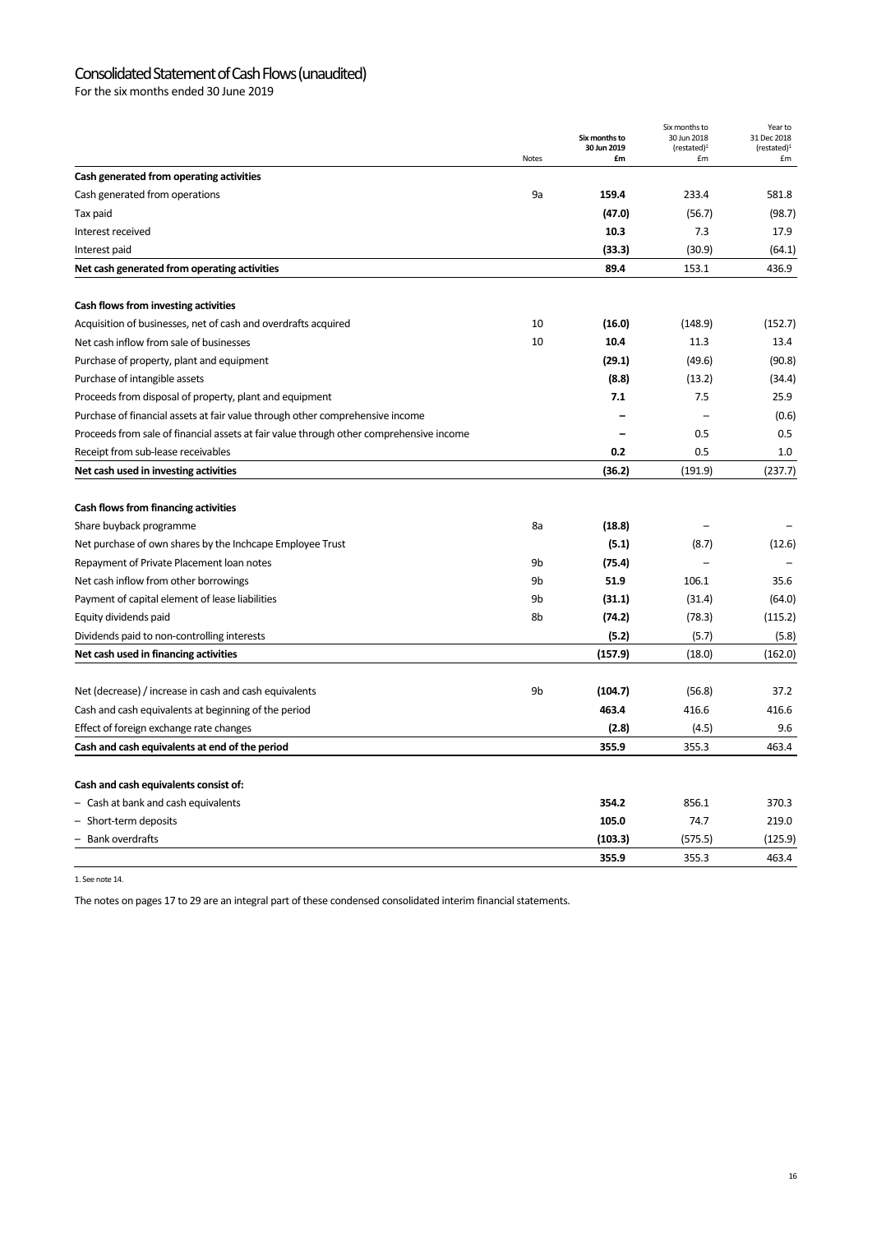## Consolidated Statement of Cash Flows (unaudited)

For the six months ended 30 June 2019

|                                                                                         |                | Six months to<br>30 Jun 2019 | Six months to<br>30 Jun 2018<br>(rested) <sup>1</sup> | Year to<br>31 Dec 2018<br>(restated) <sup>1</sup> |
|-----------------------------------------------------------------------------------------|----------------|------------------------------|-------------------------------------------------------|---------------------------------------------------|
|                                                                                         | <b>Notes</b>   | £m                           | £m                                                    | £m                                                |
| Cash generated from operating activities                                                |                |                              |                                                       |                                                   |
| Cash generated from operations                                                          | 9a             | 159.4                        | 233.4                                                 | 581.8                                             |
| Tax paid                                                                                |                | (47.0)                       | (56.7)                                                | (98.7)                                            |
| Interest received                                                                       |                | 10.3                         | 7.3                                                   | 17.9                                              |
| Interest paid                                                                           |                | (33.3)                       | (30.9)                                                | (64.1)                                            |
| Net cash generated from operating activities                                            |                | 89.4                         | 153.1                                                 | 436.9                                             |
| Cash flows from investing activities                                                    |                |                              |                                                       |                                                   |
| Acquisition of businesses, net of cash and overdrafts acquired                          | 10             | (16.0)                       | (148.9)                                               | (152.7)                                           |
| Net cash inflow from sale of businesses                                                 | 10             | 10.4                         | 11.3                                                  | 13.4                                              |
| Purchase of property, plant and equipment                                               |                | (29.1)                       | (49.6)                                                | (90.8)                                            |
| Purchase of intangible assets                                                           |                | (8.8)                        | (13.2)                                                | (34.4)                                            |
| Proceeds from disposal of property, plant and equipment                                 |                | 7.1                          | 7.5                                                   | 25.9                                              |
| Purchase of financial assets at fair value through other comprehensive income           |                |                              | $\overline{\phantom{0}}$                              | (0.6)                                             |
| Proceeds from sale of financial assets at fair value through other comprehensive income |                |                              | 0.5                                                   | 0.5                                               |
| Receipt from sub-lease receivables                                                      |                | 0.2                          | 0.5                                                   | 1.0                                               |
| Net cash used in investing activities                                                   |                | (36.2)                       | (191.9)                                               | (237.7)                                           |
| Cash flows from financing activities                                                    |                |                              |                                                       |                                                   |
| Share buyback programme                                                                 | 8a             | (18.8)                       |                                                       |                                                   |
| Net purchase of own shares by the Inchcape Employee Trust                               |                | (5.1)                        | (8.7)                                                 | (12.6)                                            |
| Repayment of Private Placement Ioan notes                                               | 9 <sub>b</sub> | (75.4)                       |                                                       |                                                   |
| Net cash inflow from other borrowings                                                   | 9 <sub>b</sub> | 51.9                         | 106.1                                                 | 35.6                                              |
| Payment of capital element of lease liabilities                                         | 9b             | (31.1)                       | (31.4)                                                | (64.0)                                            |
| Equity dividends paid                                                                   | 8b             | (74.2)                       | (78.3)                                                | (115.2)                                           |
| Dividends paid to non-controlling interests                                             |                | (5.2)                        | (5.7)                                                 | (5.8)                                             |
| Net cash used in financing activities                                                   |                | (157.9)                      | (18.0)                                                | (162.0)                                           |
| Net (decrease) / increase in cash and cash equivalents                                  | 9 <sub>b</sub> | (104.7)                      | (56.8)                                                | 37.2                                              |
| Cash and cash equivalents at beginning of the period                                    |                | 463.4                        | 416.6                                                 | 416.6                                             |
| Effect of foreign exchange rate changes                                                 |                | (2.8)                        | (4.5)                                                 | 9.6                                               |
| Cash and cash equivalents at end of the period                                          |                | 355.9                        | 355.3                                                 | 463.4                                             |
|                                                                                         |                |                              |                                                       |                                                   |
| Cash and cash equivalents consist of:                                                   |                | 354.2                        | 856.1                                                 | 370.3                                             |
| - Cash at bank and cash equivalents                                                     |                | 105.0                        | 74.7                                                  | 219.0                                             |
| - Short-term deposits<br>Bank overdrafts                                                |                |                              |                                                       |                                                   |
|                                                                                         |                | (103.3)                      | (575.5)                                               | (125.9)                                           |
|                                                                                         |                | 355.9                        | 355.3                                                 | 463.4                                             |

1. See note 14.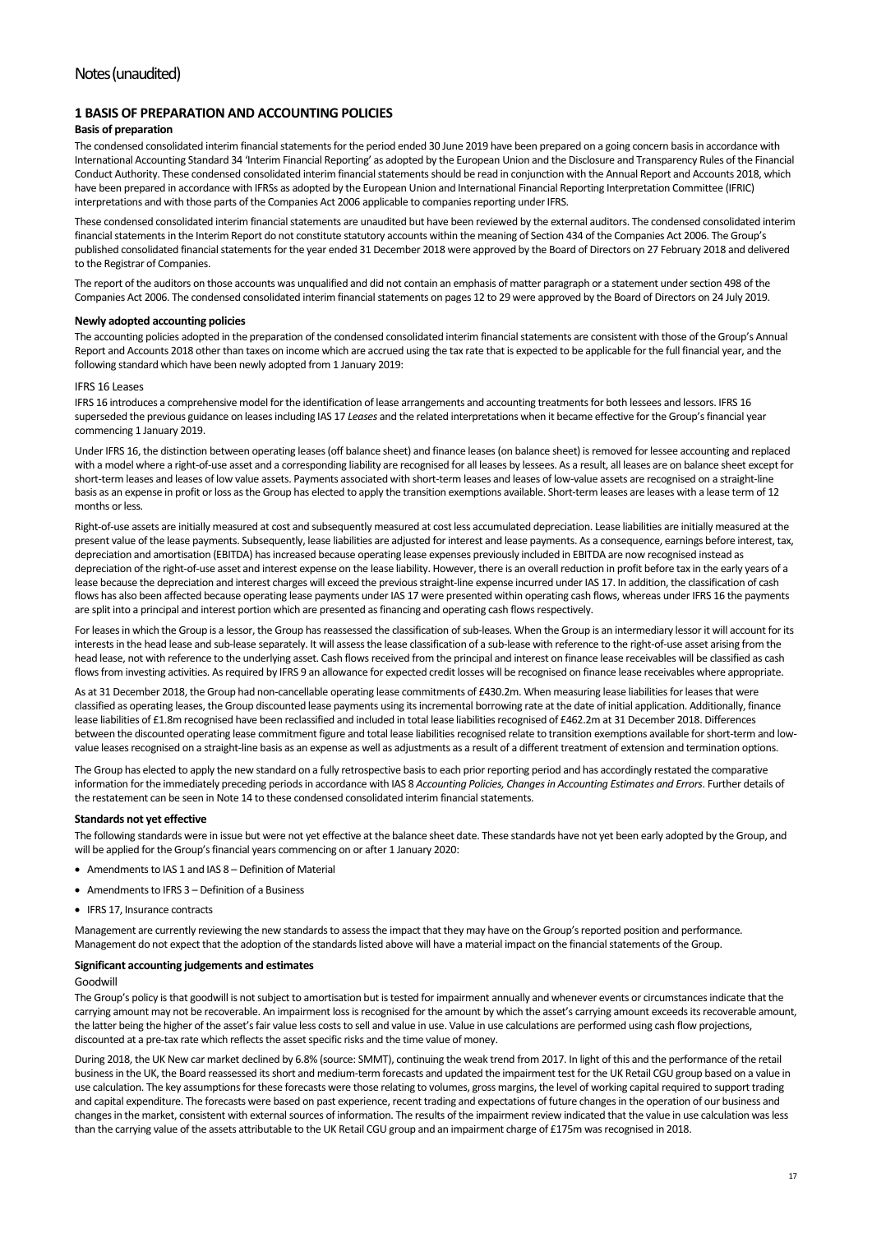## **1 BASIS OF PREPARATION AND ACCOUNTING POLICIES**

#### **Basis of preparation**

The condensed consolidated interim financial statements for the period ended 30 June 2019 have been prepared on a going concern basis in accordance with International Accounting Standard 34 'Interim Financial Reporting' as adopted by the European Union and the Disclosure and Transparency Rules of the Financial Conduct Authority. These condensed consolidated interim financial statements should be read in conjunction with the Annual Report and Accounts 2018, which have been prepared in accordance with IFRSs as adopted by the European Union and International Financial Reporting Interpretation Committee (IFRIC) interpretations and with those parts of the Companies Act 2006 applicable to companies reporting under IFRS.

These condensed consolidated interim financial statements are unaudited but have been reviewed by the external auditors. The condensed consolidated interim financial statements in the Interim Report do not constitute statutory accounts within the meaning of Section 434 of the Companies Act 2006. The Group's published consolidated financial statements for the year ended 31 December 2018 were approved by the Board of Directors on 27 February 2018 and delivered to the Registrar of Companies.

The report of the auditors on those accounts was unqualified and did not contain an emphasis of matter paragraph or a statement under section 498 of the Companies Act 2006. The condensed consolidated interim financial statements on pages 12 to 29 were approved by the Board of Directors on 24 July 2019.

#### **Newly adopted accounting policies**

The accounting policies adopted in the preparation of the condensed consolidated interim financial statements are consistent with those of the Group's Annual Report and Accounts 2018 other than taxes on income which are accrued using the tax rate that is expected to be applicable for the full financial year, and the following standard which have been newly adopted from 1 January 2019:

#### IFRS 16 Leases

IFRS 16 introduces a comprehensive model for the identification of lease arrangements and accounting treatments for both lessees and lessors. IFRS 16 superseded the previous guidance on leases including IAS 17 *Leases* and the related interpretations when it became effective for the Group's financial year commencing 1 January 2019.

Under IFRS 16, the distinction between operating leases (off balance sheet) and finance leases (on balance sheet) is removed for lessee accounting and replaced with a model where a right-of-use asset and a corresponding liability are recognised for all leases by lessees. As a result, all leases are on balance sheet except for short‐term leases and leases of low value assets. Payments associated with short‐term leases and leases of low‐value assets are recognised on a straight‐line basis as an expense in profit or loss as the Group has elected to apply the transition exemptions available. Short-term leases are leases with a lease term of 12 months or less.

Right-of-use assets are initially measured at cost and subsequently measured at cost less accumulated depreciation. Lease liabilities are initially measured at the present value of the lease payments. Subsequently, lease liabilities are adjusted for interest and lease payments. As a consequence, earnings before interest, tax, depreciation and amortisation (EBITDA) has increased because operating lease expenses previously included in EBITDA are now recognised instead as depreciation of the right-of-use asset and interest expense on the lease liability. However, there is an overall reduction in profit before tax in the early years of a lease because the depreciation and interest charges will exceed the previous straight-line expense incurred under IAS 17. In addition, the classification of cash flows has also been affected because operating lease payments under IAS 17 were presented within operating cash flows, whereas under IFRS 16 the payments are split into a principal and interest portion which are presented as financing and operating cash flows respectively.

For leases in which the Group is a lessor, the Group has reassessed the classification of sub-leases. When the Group is an intermediary lessor it will account for its interests in the head lease and sub-lease separately. It will assess the lease classification of a sub-lease with reference to the right-of-use asset arising from the head lease, not with reference to the underlying asset. Cash flows received from the principal and interest on finance lease receivables will be classified as cash flows from investing activities. As required by IFRS 9 an allowance for expected credit losses will be recognised on finance lease receivables where appropriate.

As at 31 December 2018, the Group had non‐cancellable operating lease commitments of £430.2m. When measuring lease liabilities for leases that were classified as operating leases, the Group discounted lease payments using its incremental borrowing rate at the date of initial application. Additionally, finance lease liabilities of £1.8m recognised have been reclassified and included in total lease liabilities recognised of £462.2m at 31 December 2018. Differences between the discounted operating lease commitment figure and total lease liabilities recognised relate to transition exemptions available for short-term and lowvalue leases recognised on a straight-line basis as an expense as well as adjustments as a result of a different treatment of extension and termination options.

The Group has elected to apply the new standard on a fully retrospective basis to each prior reporting period and has accordingly restated the comparative information for the immediately preceding periods in accordance with IAS 8 *Accounting Policies, Changes in Accounting Estimates and Errors*. Further details of the restatement can be seen in Note 14 to these condensed consolidated interim financial statements.

#### **Standards not yet effective**

The following standards were in issue but were not yet effective at the balance sheet date. These standards have not yet been early adopted by the Group, and will be applied for the Group's financial years commencing on or after 1 January 2020:

- Amendments to IAS 1 and IAS 8 Definition of Material
- Amendments to IFRS 3 Definition of a Business
- **IFRS 17, Insurance contracts**

Management are currently reviewing the new standards to assess the impact that they may have on the Group's reported position and performance. Management do not expect that the adoption of the standards listed above will have a material impact on the financial statements of the Group.

#### **Significant accounting judgements and estimates**

#### Goodwill

The Group's policy is that goodwill is not subject to amortisation but is tested for impairment annually and whenever events or circumstances indicate that the carrying amount may not be recoverable. An impairment loss is recognised for the amount by which the asset's carrying amount exceeds its recoverable amount, the latter being the higher of the asset's fair value less costs to sell and value in use. Value in use calculations are performed using cash flow projections, discounted at a pre-tax rate which reflects the asset specific risks and the time value of money.

During 2018, the UK New car market declined by 6.8% (source: SMMT), continuing the weak trend from 2017. In light of this and the performance of the retail business in the UK, the Board reassessed its short and medium‐term forecasts and updated the impairment test for the UK Retail CGU group based on a value in use calculation. The key assumptions for these forecasts were those relating to volumes, gross margins, the level of working capital required to support trading and capital expenditure. The forecasts were based on past experience, recent trading and expectations of future changes in the operation of our business and changes in the market, consistent with external sources of information. The results of the impairment review indicated that the value in use calculation was less than the carrying value of the assets attributable to the UK Retail CGU group and an impairment charge of £175m was recognised in 2018.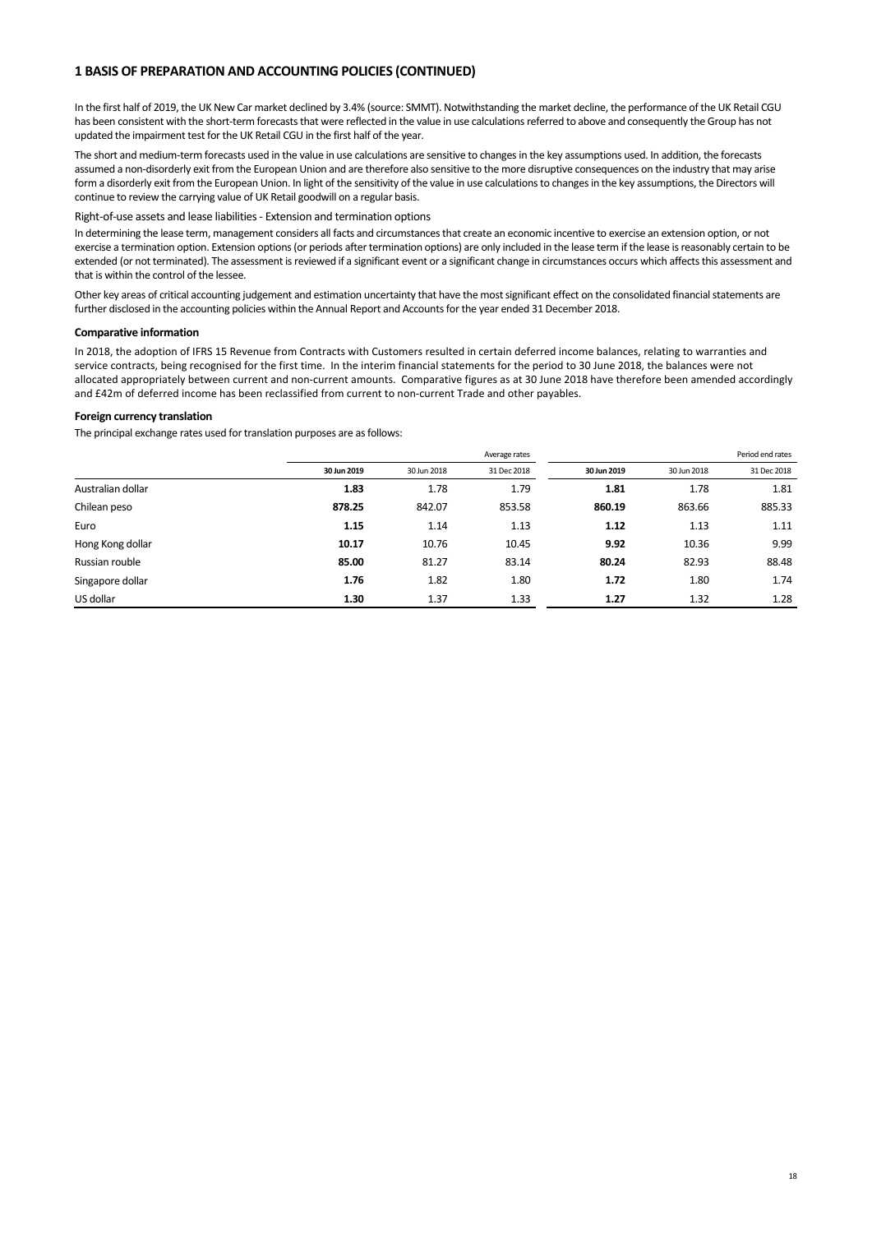## **1 BASIS OF PREPARATION AND ACCOUNTING POLICIES (CONTINUED)**

In the first half of 2019, the UK New Car market declined by 3.4% (source: SMMT). Notwithstanding the market decline, the performance of the UK Retail CGU has been consistent with the short-term forecasts that were reflected in the value in use calculations referred to above and consequently the Group has not updated the impairment test for the UK Retail CGU in the first half of the year.

The short and medium-term forecasts used in the value in use calculations are sensitive to changes in the key assumptions used. In addition, the forecasts assumed a non-disorderly exit from the European Union and are therefore also sensitive to the more disruptive consequences on the industry that may arise form a disorderly exit from the European Union. In light of the sensitivity of the value in use calculations to changes in the key assumptions, the Directors will continue to review the carrying value of UK Retail goodwill on a regular basis.

#### Right‐of‐use assets and lease liabilities ‐ Extension and termination options

In determining the lease term, management considers all facts and circumstances that create an economic incentive to exercise an extension option, or not exercise a termination option. Extension options (or periods after termination options) are only included in the lease term if the lease is reasonably certain to be extended (or not terminated). The assessment is reviewed if a significant event or a significant change in circumstances occurs which affects this assessment and that is within the control of the lessee.

Other key areas of critical accounting judgement and estimation uncertainty that have the most significant effect on the consolidated financial statements are further disclosed in the accounting policies within the Annual Report and Accounts for the year ended 31 December 2018.

#### **Comparative information**

In 2018, the adoption of IFRS 15 Revenue from Contracts with Customers resulted in certain deferred income balances, relating to warranties and service contracts, being recognised for the first time. In the interim financial statements for the period to 30 June 2018, the balances were not allocated appropriately between current and non‐current amounts. Comparative figures as at 30 June 2018 have therefore been amended accordingly and £42m of deferred income has been reclassified from current to non-current Trade and other payables.

#### **Foreign currency translation**

The principal exchange rates used for translation purposes are as follows:

|                   |             |             | Average rates |             | Period end rates |             |  |
|-------------------|-------------|-------------|---------------|-------------|------------------|-------------|--|
|                   | 30 Jun 2019 | 30 Jun 2018 | 31 Dec 2018   | 30 Jun 2019 | 30 Jun 2018      | 31 Dec 2018 |  |
| Australian dollar | 1.83        | 1.78        | 1.79          | 1.81        | 1.78             | 1.81        |  |
| Chilean peso      | 878.25      | 842.07      | 853.58        | 860.19      | 863.66           | 885.33      |  |
| Euro              | 1.15        | 1.14        | 1.13          | 1.12        | 1.13             | 1.11        |  |
| Hong Kong dollar  | 10.17       | 10.76       | 10.45         | 9.92        | 10.36            | 9.99        |  |
| Russian rouble    | 85.00       | 81.27       | 83.14         | 80.24       | 82.93            | 88.48       |  |
| Singapore dollar  | 1.76        | 1.82        | 1.80          | 1.72        | 1.80             | 1.74        |  |
| US dollar         | 1.30        | 1.37        | 1.33          | 1.27        | 1.32             | 1.28        |  |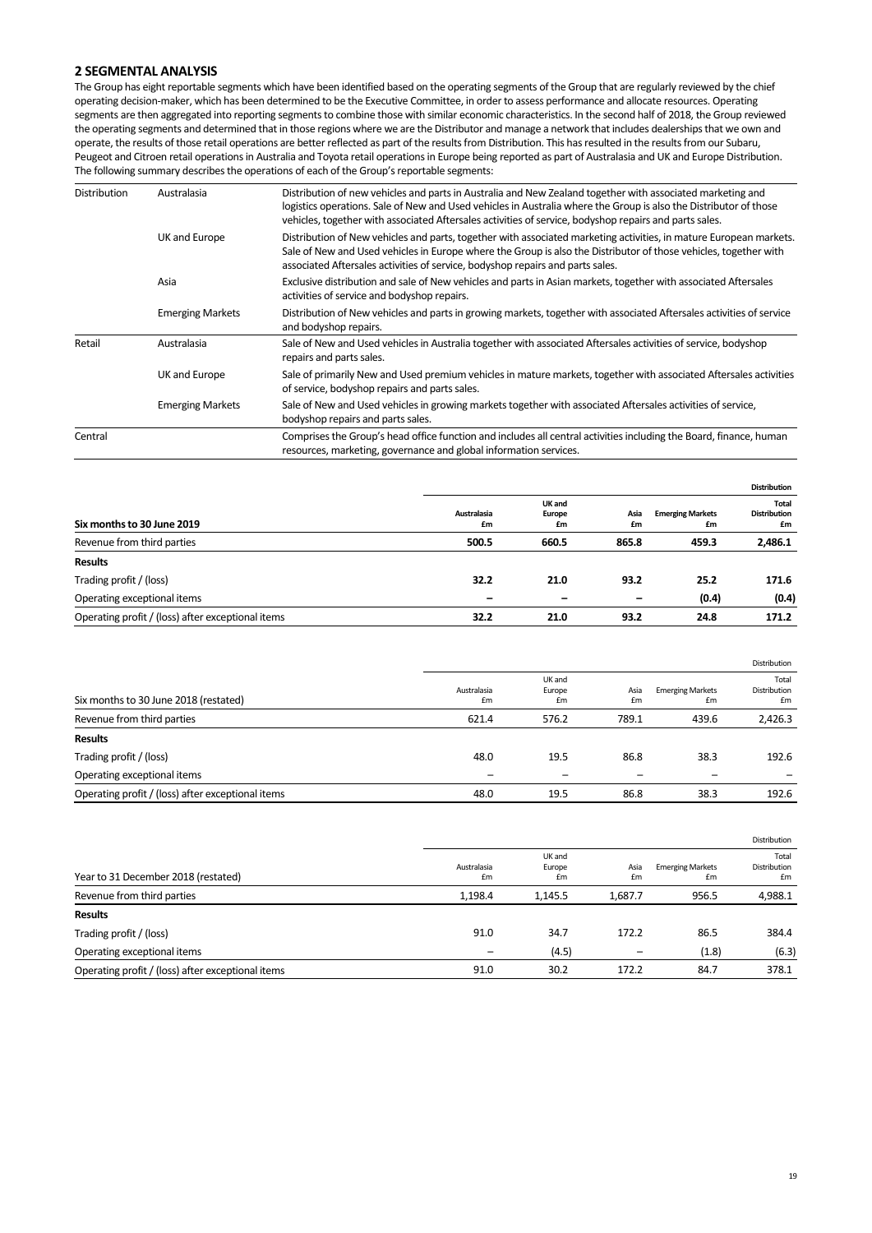## **2 SEGMENTAL ANALYSIS**

The Group has eight reportable segments which have been identified based on the operating segments of the Group that are regularly reviewed by the chief operating decision‐maker, which has been determined to be the Executive Committee, in order to assess performance and allocate resources. Operating segments are then aggregated into reporting segments to combine those with similar economic characteristics. In the second half of 2018, the Group reviewed the operating segments and determined that in those regions where we are the Distributor and manage a network that includes dealerships that we own and operate, the results of those retail operations are better reflected as part of the results from Distribution. This has resulted in the results from our Subaru, Peugeot and Citroen retail operations in Australia and Toyota retail operations in Europe being reported as part of Australasia and UK and Europe Distribution. The following summary describes the operations of each of the Group's reportable segments:

| <b>Distribution</b> | Australasia             | Distribution of new vehicles and parts in Australia and New Zealand together with associated marketing and<br>logistics operations. Sale of New and Used vehicles in Australia where the Group is also the Distributor of those<br>vehicles, together with associated Aftersales activities of service, bodyshop repairs and parts sales. |
|---------------------|-------------------------|-------------------------------------------------------------------------------------------------------------------------------------------------------------------------------------------------------------------------------------------------------------------------------------------------------------------------------------------|
|                     | UK and Europe           | Distribution of New vehicles and parts, together with associated marketing activities, in mature European markets.<br>Sale of New and Used vehicles in Europe where the Group is also the Distributor of those vehicles, together with<br>associated Aftersales activities of service, bodyshop repairs and parts sales.                  |
|                     | Asia                    | Exclusive distribution and sale of New vehicles and parts in Asian markets, together with associated Aftersales<br>activities of service and bodyshop repairs.                                                                                                                                                                            |
|                     | <b>Emerging Markets</b> | Distribution of New vehicles and parts in growing markets, together with associated Aftersales activities of service<br>and bodyshop repairs.                                                                                                                                                                                             |
| Retail              | Australasia             | Sale of New and Used vehicles in Australia together with associated Aftersales activities of service, bodyshop<br>repairs and parts sales.                                                                                                                                                                                                |
|                     | UK and Europe           | Sale of primarily New and Used premium vehicles in mature markets, together with associated Aftersales activities<br>of service, bodyshop repairs and parts sales.                                                                                                                                                                        |
|                     | <b>Emerging Markets</b> | Sale of New and Used vehicles in growing markets together with associated Aftersales activities of service,<br>bodyshop repairs and parts sales.                                                                                                                                                                                          |
| Central             |                         | Comprises the Group's head office function and includes all central activities including the Board, finance, human<br>resources, marketing, governance and global information services.                                                                                                                                                   |

|                                                   |                          |                        |                          |                               | <b>Distribution</b>                |
|---------------------------------------------------|--------------------------|------------------------|--------------------------|-------------------------------|------------------------------------|
| Six months to 30 June 2019                        | Australasia<br>£m        | UK and<br>Europe<br>£m | Asia<br>£m               | <b>Emerging Markets</b><br>£m | Total<br><b>Distribution</b><br>£m |
| Revenue from third parties                        | 500.5                    | 660.5                  | 865.8                    | 459.3                         | 2,486.1                            |
| <b>Results</b>                                    |                          |                        |                          |                               |                                    |
| Trading profit / (loss)                           | 32.2                     | 21.0                   | 93.2                     | 25.2                          | 171.6                              |
| Operating exceptional items                       | $\overline{\phantom{0}}$ |                        | $\overline{\phantom{m}}$ | (0.4)                         | (0.4)                              |
| Operating profit / (loss) after exceptional items | 32.2                     | 21.0                   | 93.2                     | 24.8                          | 171.2                              |

|                                                   |                   |                        |            |                               | Distribution                |
|---------------------------------------------------|-------------------|------------------------|------------|-------------------------------|-----------------------------|
| Six months to 30 June 2018 (restated)             | Australasia<br>£m | UK and<br>Europe<br>£m | Asia<br>£m | <b>Emerging Markets</b><br>£m | Total<br>Distribution<br>£m |
| Revenue from third parties                        | 621.4             | 576.2                  | 789.1      | 439.6                         | 2,426.3                     |
| <b>Results</b>                                    |                   |                        |            |                               |                             |
| Trading profit / (loss)                           | 48.0              | 19.5                   | 86.8       | 38.3                          | 192.6                       |
| Operating exceptional items                       |                   |                        |            |                               |                             |
| Operating profit / (loss) after exceptional items | 48.0              | 19.5                   | 86.8       | 38.3                          | 192.6                       |

|                                                   |                   |                        |            |                               | Distribution                |
|---------------------------------------------------|-------------------|------------------------|------------|-------------------------------|-----------------------------|
| Year to 31 December 2018 (restated)               | Australasia<br>£m | UK and<br>Europe<br>£m | Asia<br>£m | <b>Emerging Markets</b><br>£m | Total<br>Distribution<br>£m |
| Revenue from third parties                        | 1,198.4           | 1,145.5                | 1,687.7    | 956.5                         | 4,988.1                     |
| <b>Results</b>                                    |                   |                        |            |                               |                             |
| Trading profit / (loss)                           | 91.0              | 34.7                   | 172.2      | 86.5                          | 384.4                       |
| Operating exceptional items                       | -                 | (4.5)                  | -          | (1.8)                         | (6.3)                       |
| Operating profit / (loss) after exceptional items | 91.0              | 30.2                   | 172.2      | 84.7                          | 378.1                       |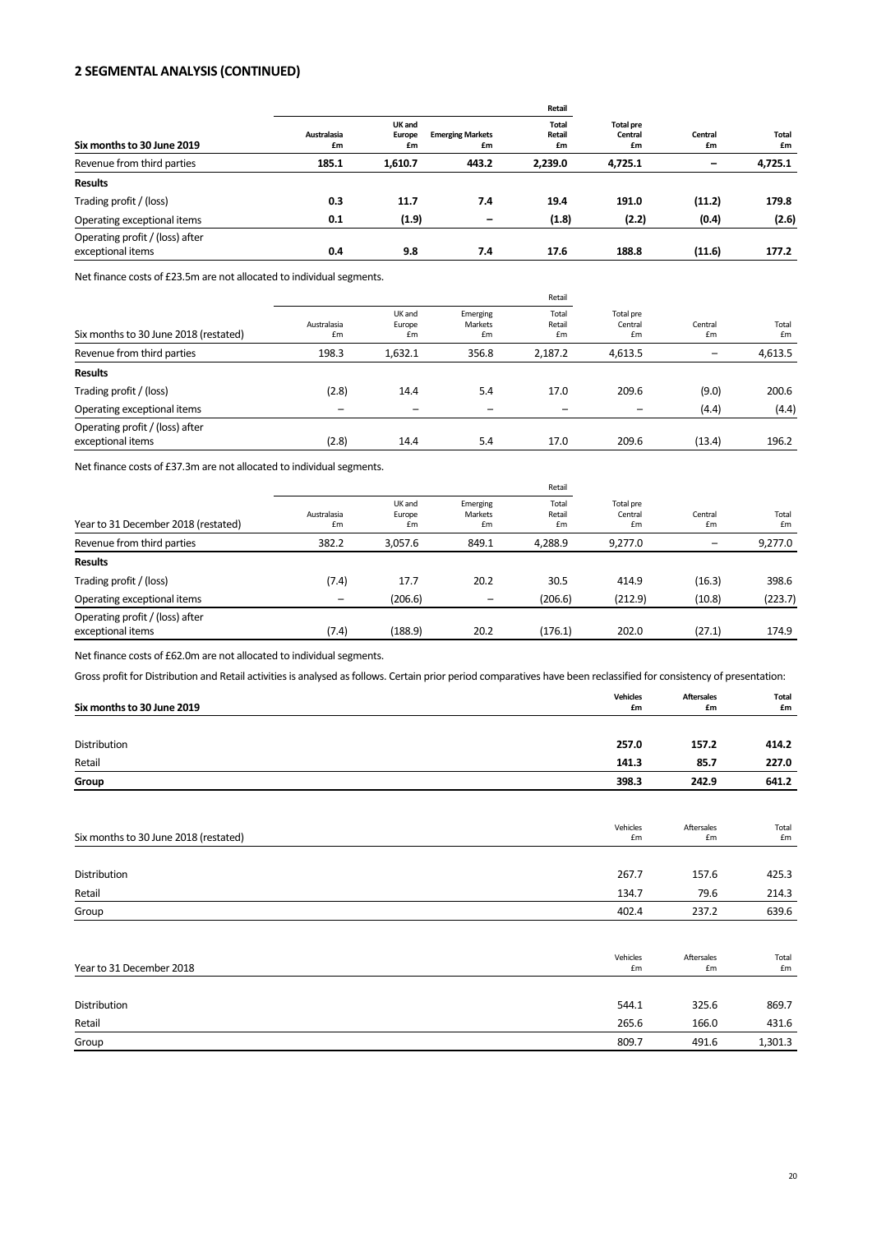## **2 SEGMENTAL ANALYSIS (CONTINUED)**

|                                                      |                   |                        |                               | Retail                       |                                   |               | Total<br>£m |
|------------------------------------------------------|-------------------|------------------------|-------------------------------|------------------------------|-----------------------------------|---------------|-------------|
| Six months to 30 June 2019                           | Australasia<br>£m | UK and<br>Europe<br>£m | <b>Emerging Markets</b><br>£m | <b>Total</b><br>Retail<br>£m | <b>Total pre</b><br>Central<br>£m | Central<br>£m |             |
| Revenue from third parties                           | 185.1             | 1,610.7                | 443.2                         | 2,239.0                      | 4,725.1                           | -             | 4,725.1     |
| <b>Results</b>                                       |                   |                        |                               |                              |                                   |               |             |
| Trading profit / (loss)                              | 0.3               | 11.7                   | 7.4                           | 19.4                         | 191.0                             | (11.2)        | 179.8       |
| Operating exceptional items                          | 0.1               | (1.9)                  | $\overline{\phantom{0}}$      | (1.8)                        | (2.2)                             | (0.4)         | (2.6)       |
| Operating profit / (loss) after<br>exceptional items | 0.4               | 9.8                    | 7.4                           | 17.6                         | 188.8                             | (11.6)        | 177.2       |
|                                                      |                   |                        |                               |                              |                                   |               |             |

Net finance costs of £23.5m are not allocated to individual segments.

|                                                      |                   |                        |                           | Retail                |                            | Central<br>£m |             |
|------------------------------------------------------|-------------------|------------------------|---------------------------|-----------------------|----------------------------|---------------|-------------|
| Six months to 30 June 2018 (restated)                | Australasia<br>£m | UK and<br>Europe<br>£m | Emerging<br>Markets<br>£m | Total<br>Retail<br>£m | Total pre<br>Central<br>£m |               | Total<br>£m |
| Revenue from third parties                           | 198.3             | 1,632.1                | 356.8                     | 2,187.2               | 4,613.5                    |               | 4,613.5     |
| <b>Results</b>                                       |                   |                        |                           |                       |                            |               |             |
| Trading profit / (loss)                              | (2.8)             | 14.4                   | 5.4                       | 17.0                  | 209.6                      | (9.0)         | 200.6       |
| Operating exceptional items                          |                   | -                      |                           |                       | -                          | (4.4)         | (4.4)       |
| Operating profit / (loss) after<br>exceptional items | (2.8)             | 14.4                   | 5.4                       | 17.0                  | 209.6                      | (13.4)        | 196.2       |

Net finance costs of £37.3m are not allocated to individual segments.

|                                                      |                   |                        |                           | Retail                |                            |               |             |
|------------------------------------------------------|-------------------|------------------------|---------------------------|-----------------------|----------------------------|---------------|-------------|
| Year to 31 December 2018 (restated)                  | Australasia<br>£m | UK and<br>Europe<br>£m | Emerging<br>Markets<br>£m | Total<br>Retail<br>£m | Total pre<br>Central<br>£m | Central<br>£m | Total<br>£m |
| Revenue from third parties                           | 382.2             | 3.057.6                | 849.1                     | 4.288.9               | 9.277.0                    |               | 9,277.0     |
| <b>Results</b>                                       |                   |                        |                           |                       |                            |               |             |
| Trading profit / (loss)                              | (7.4)             | 17.7                   | 20.2                      | 30.5                  | 414.9                      | (16.3)        | 398.6       |
| Operating exceptional items                          | -                 | (206.6)                | -                         | (206.6)               | (212.9)                    | (10.8)        | (223.7)     |
| Operating profit / (loss) after<br>exceptional items | (7.4)             | (188.9)                | 20.2                      | (176.1)               | 202.0                      | (27.1)        | 174.9       |

Net finance costs of £62.0m are not allocated to individual segments.

Gross profit for Distribution and Retail activities is analysed as follows. Certain prior period comparatives have been reclassified for consistency of presentation:

| Six months to 30 June 2019            | <b>Vehicles</b><br>£m | <b>Aftersales</b><br>£m        | <b>Total</b><br>£m |
|---------------------------------------|-----------------------|--------------------------------|--------------------|
|                                       |                       |                                |                    |
| Distribution                          | 257.0                 | 157.2                          | 414.2              |
| Retail                                | 141.3                 | 85.7                           | 227.0              |
| Group                                 | 398.3                 | 242.9                          | 641.2              |
|                                       |                       |                                |                    |
| Six months to 30 June 2018 (restated) | Vehicles<br>£m        | Aftersales<br>£m               | Total<br>£m        |
|                                       |                       |                                |                    |
| Distribution                          | 267.7                 | 157.6                          | 425.3              |
| Retail                                | 134.7                 | 79.6                           | 214.3              |
| Group                                 | 402.4                 | 237.2                          | 639.6              |
|                                       | Vehicles              | Aftersales                     | Total              |
| Year to 31 December 2018              | £m                    | $\pmb{\text{f}}\pmb{\text{m}}$ | £m                 |
| Distribution                          | 544.1                 | 325.6                          | 869.7              |
| Retail                                | 265.6                 | 166.0                          | 431.6              |
| Group                                 | 809.7                 | 491.6                          | 1,301.3            |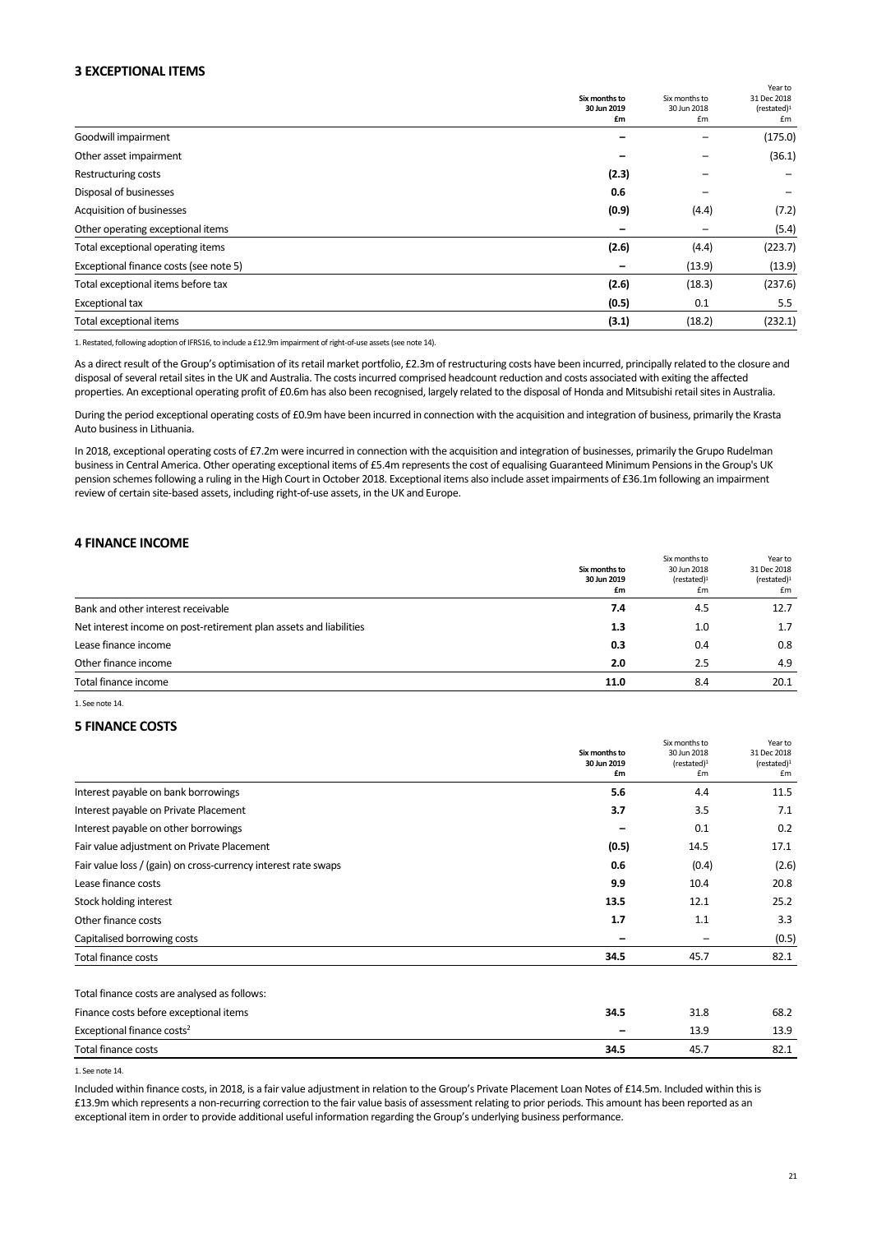## **3 EXCEPTIONAL ITEMS**

|                                        | Six months to<br>30 Jun 2019 | Six months to<br>30 Jun 2018 | וכםו נט<br>31 Dec 2018<br>(rested) <sup>1</sup> |
|----------------------------------------|------------------------------|------------------------------|-------------------------------------------------|
|                                        | £m                           | £m                           | £m                                              |
| Goodwill impairment                    |                              |                              | (175.0)                                         |
| Other asset impairment                 |                              |                              | (36.1)                                          |
| <b>Restructuring costs</b>             | (2.3)                        |                              |                                                 |
| Disposal of businesses                 | 0.6                          |                              |                                                 |
| Acquisition of businesses              | (0.9)                        | (4.4)                        | (7.2)                                           |
| Other operating exceptional items      |                              |                              | (5.4)                                           |
| Total exceptional operating items      | (2.6)                        | (4.4)                        | (223.7)                                         |
| Exceptional finance costs (see note 5) |                              | (13.9)                       | (13.9)                                          |
| Total exceptional items before tax     | (2.6)                        | (18.3)                       | (237.6)                                         |
| Exceptional tax                        | (0.5)                        | 0.1                          | 5.5                                             |
| Total exceptional items                | (3.1)                        | (18.2)                       | (232.1)                                         |

1. Restated, following adoption of IFRS16, to include a £12.9m impairment of right‐of‐use assets (see note 14).

As a direct result of the Group's optimisation of its retail market portfolio, £2.3m of restructuring costs have been incurred, principally related to the closure and disposal of several retail sites in the UK and Australia. The costs incurred comprised headcount reduction and costs associated with exiting the affected properties. An exceptional operating profit of £0.6m has also been recognised, largely related to the disposal of Honda and Mitsubishi retail sites in Australia.

During the period exceptional operating costs of £0.9m have been incurred in connection with the acquisition and integration of business, primarily the Krasta Auto business in Lithuania.

In 2018, exceptional operating costs of £7.2m were incurred in connection with the acquisition and integration of businesses, primarily the Grupo Rudelman business in Central America. Other operating exceptional items of £5.4m represents the cost of equalising Guaranteed Minimum Pensions in the Group's UK pension schemes following a ruling in the High Court in October 2018. Exceptional items also include asset impairments of £36.1m following an impairment review of certain site‐based assets, including right‐of‐use assets, in the UK and Europe.

#### **4 FINANCE INCOME**

|                                                                    |               |                       | Year to               |
|--------------------------------------------------------------------|---------------|-----------------------|-----------------------|
|                                                                    | Six months to | 30 Jun 2018           | 31 Dec 2018           |
|                                                                    | 30 Jun 2019   | (rested) <sup>1</sup> | (rested) <sup>1</sup> |
|                                                                    | £m            | £m                    | £m                    |
| Bank and other interest receivable                                 | 7.4           | 4.5                   | 12.7                  |
| Net interest income on post-retirement plan assets and liabilities | 1.3           | 1.0                   | 1.7                   |
| Lease finance income                                               | 0.3           | 0.4                   | 0.8                   |
| Other finance income                                               | 2.0           | 2.5                   | 4.9                   |
| Total finance income                                               | 11.0          | 8.4                   | 20.1                  |

1. See note 14.

#### **5 FINANCE COSTS**

|                                                                | Six months to<br>30 Jun 2019<br>£m | Six months to<br>30 Jun 2018<br>(rested) <sup>1</sup><br>£m | Year to<br>31 Dec 2018<br>(rested) <sup>1</sup><br>£m |
|----------------------------------------------------------------|------------------------------------|-------------------------------------------------------------|-------------------------------------------------------|
| Interest payable on bank borrowings                            | 5.6                                | 4.4                                                         | 11.5                                                  |
| Interest payable on Private Placement                          | 3.7                                | 3.5                                                         | 7.1                                                   |
| Interest payable on other borrowings                           |                                    | 0.1                                                         | 0.2                                                   |
| Fair value adjustment on Private Placement                     | (0.5)                              | 14.5                                                        | 17.1                                                  |
| Fair value loss / (gain) on cross-currency interest rate swaps | 0.6                                | (0.4)                                                       | (2.6)                                                 |
| Lease finance costs                                            | 9.9                                | 10.4                                                        | 20.8                                                  |
| Stock holding interest                                         | 13.5                               | 12.1                                                        | 25.2                                                  |
| Other finance costs                                            | 1.7                                | 1.1                                                         | 3.3                                                   |
| Capitalised borrowing costs                                    |                                    |                                                             | (0.5)                                                 |
| Total finance costs                                            | 34.5                               | 45.7                                                        | 82.1                                                  |
| Total finance costs are analysed as follows:                   |                                    |                                                             |                                                       |
| Finance costs before exceptional items                         | 34.5                               | 31.8                                                        | 68.2                                                  |
| Exceptional finance costs <sup>2</sup>                         |                                    | 13.9                                                        | 13.9                                                  |
| Total finance costs                                            | 34.5                               | 45.7                                                        | 82.1                                                  |

1. See note 14.

Included within finance costs, in 2018, is a fair value adjustment in relation to the Group's Private Placement Loan Notes of £14.5m. Included within this is £13.9m which represents a non‐recurring correction to the fair value basis of assessment relating to prior periods. This amount has been reported as an exceptional item in order to provide additional useful information regarding the Group's underlying business performance.

Year to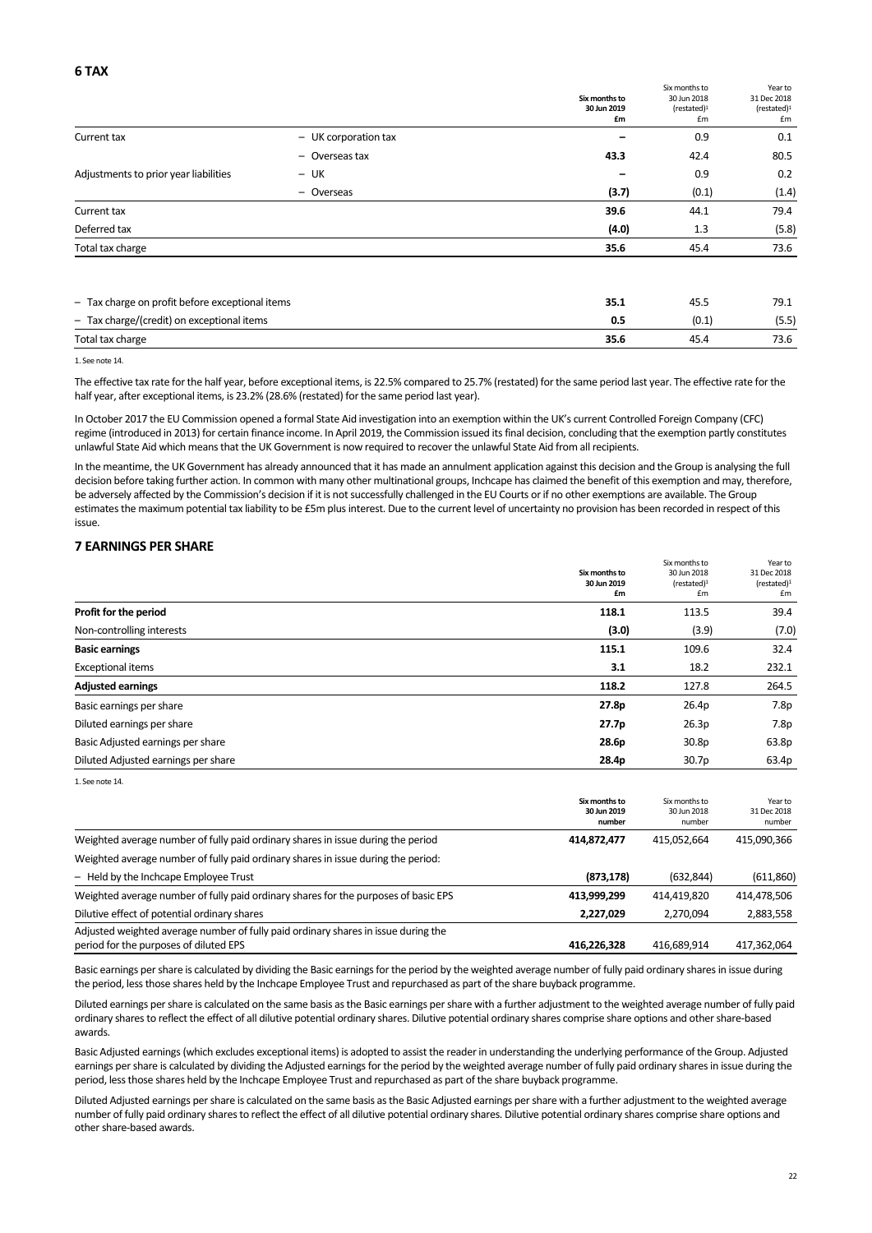|                                                 |                      | Six months to<br>30 Jun 2019<br>£m | Six months to<br>30 Jun 2018<br>(rested) <sup>1</sup><br>£m | Year to<br>31 Dec 2018<br>(rested) <sup>1</sup><br>£m |
|-------------------------------------------------|----------------------|------------------------------------|-------------------------------------------------------------|-------------------------------------------------------|
| Current tax                                     | - UK corporation tax |                                    | 0.9                                                         | 0.1                                                   |
|                                                 | - Overseas tax       | 43.3                               | 42.4                                                        | 80.5                                                  |
| Adjustments to prior year liabilities           | – UK                 |                                    | 0.9                                                         | 0.2                                                   |
|                                                 | - Overseas           | (3.7)                              | (0.1)                                                       | (1.4)                                                 |
| Current tax                                     |                      | 39.6                               | 44.1                                                        | 79.4                                                  |
| Deferred tax                                    |                      | (4.0)                              | 1.3                                                         | (5.8)                                                 |
| Total tax charge                                |                      | 35.6                               | 45.4                                                        | 73.6                                                  |
| - Tax charge on profit before exceptional items |                      | 35.1                               | 45.5                                                        | 79.1                                                  |
| - Tax charge/(credit) on exceptional items      |                      | 0.5                                | (0.1)                                                       | (5.5)                                                 |
| Total tax charge                                |                      | 35.6                               | 45.4                                                        | 73.6                                                  |

1. See note 14.

The effective tax rate for the half year, before exceptional items, is 22.5% compared to 25.7% (restated) for the same period last year. The effective rate for the half year, after exceptional items, is 23.2% (28.6% (restated) for the same period last year).

In October 2017 the EU Commission opened a formal State Aid investigation into an exemption within the UK's current Controlled Foreign Company (CFC) regime (introduced in 2013) for certain finance income. In April 2019, the Commission issued its final decision, concluding that the exemption partly constitutes unlawful State Aid which means that the UK Government is now required to recover the unlawful State Aid from all recipients.

In the meantime, the UK Government has already announced that it has made an annulment application against this decision and the Group is analysing the full decision before taking further action. In common with many other multinational groups, Inchcape has claimed the benefit of this exemption and may, therefore, be adversely affected by the Commission's decision if it is not successfully challenged in the EU Courts or if no other exemptions are available. The Group estimates the maximum potential tax liability to be £5m plus interest. Due to the current level of uncertainty no provision has been recorded in respect of this issue.

#### **7 EARNINGS PER SHARE**

|                                     | Six months to<br>30 Jun 2019<br>£m | Six months to<br>30 Jun 2018<br>(rested) <sup>1</sup><br>£m | Year to<br>31 Dec 2018<br>(rested) <sup>1</sup><br>£m |
|-------------------------------------|------------------------------------|-------------------------------------------------------------|-------------------------------------------------------|
| Profit for the period               | 118.1                              | 113.5                                                       | 39.4                                                  |
| Non-controlling interests           | (3.0)                              | (3.9)                                                       | (7.0)                                                 |
| <b>Basic earnings</b>               | 115.1                              | 109.6                                                       | 32.4                                                  |
| <b>Exceptional items</b>            | 3.1                                | 18.2                                                        | 232.1                                                 |
| <b>Adjusted earnings</b>            | 118.2                              | 127.8                                                       | 264.5                                                 |
| Basic earnings per share            | 27.8p                              | 26.4p                                                       | 7.8p                                                  |
| Diluted earnings per share          | 27.7 <sub>p</sub>                  | 26.3p                                                       | 7.8p                                                  |
| Basic Adjusted earnings per share   | 28.6p                              | 30.8p                                                       | 63.8p                                                 |
| Diluted Adjusted earnings per share | 28.4p                              | 30.7p                                                       | 63.4p                                                 |
| 1. See note 14.                     |                                    |                                                             |                                                       |

 **Six months to 30 Jun 2019 number**  Six months to 30 Jun 2018 number Year to 31 Dec 2018 number Weighted average number of fully paid ordinary shares in issue during the period **414,872,477**  415,052,664 415,090,366 Weighted average number of fully paid ordinary shares in issue during the period: – Held by the Inchcape Employee Trust **(873,178)**  (632,844) (611,860) Weighted average number of fully paid ordinary shares for the purposes of basic EPS **413,999,299**  414,419,820 414,478,506 Dilutive effect of potential ordinary shares **2,227,029**  2,270,094 2,883,558 Adjusted weighted average number of fully paid ordinary shares in issue during the period for the purposes of diluted EPS **416,226,328**  416,689,914 417,362,064

Basic earnings per share is calculated by dividing the Basic earnings for the period by the weighted average number of fully paid ordinary shares in issue during the period, less those shares held by the Inchcape Employee Trust and repurchased as part of the share buyback programme.

Diluted earnings per share is calculated on the same basis as the Basic earnings per share with a further adjustment to the weighted average number of fully paid ordinary shares to reflect the effect of all dilutive potential ordinary shares. Dilutive potential ordinary shares comprise share options and other share‐based awards.

Basic Adjusted earnings (which excludes exceptional items) is adopted to assist the reader in understanding the underlying performance of the Group. Adjusted earnings per share is calculated by dividing the Adjusted earnings for the period by the weighted average number of fully paid ordinary shares in issue during the period, less those shares held by the Inchcape Employee Trust and repurchased as part of the share buyback programme.

Diluted Adjusted earnings per share is calculated on the same basis as the Basic Adjusted earnings per share with a further adjustment to the weighted average number of fully paid ordinary shares to reflect the effect of all dilutive potential ordinary shares. Dilutive potential ordinary shares comprise share options and other share‐based awards.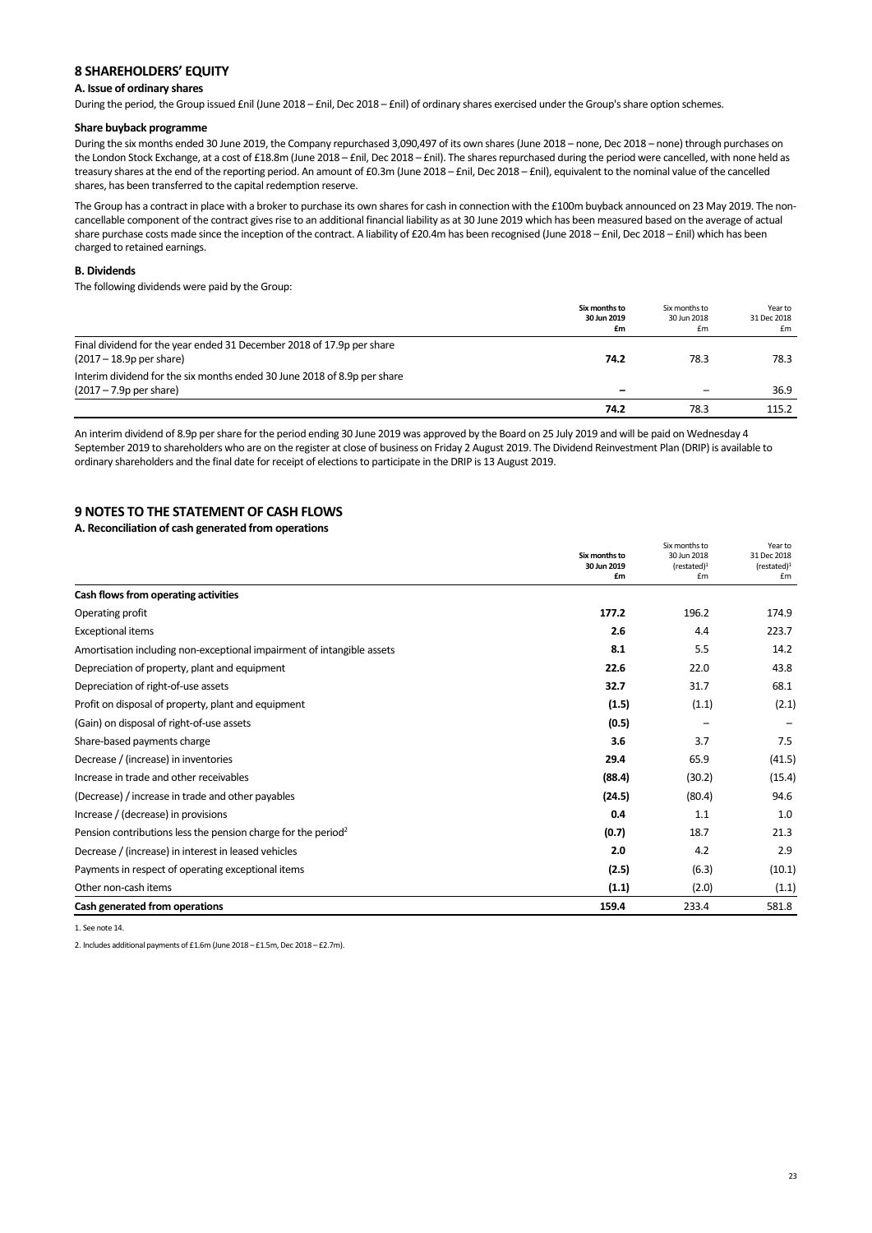## **8 SHAREHOLDERS' EQUITY**

## **A. Issue of ordinary shares**

During the period, the Group issued £nil (June 2018 – £nil, Dec 2018 – £nil) of ordinary shares exercised under the Group's share option schemes.

#### **Share buyback programme**

During the six months ended 30 June 2019, the Company repurchased 3,090,497 of its own shares (June 2018 – none, Dec 2018 – none) through purchases on the London Stock Exchange, at a cost of £18.8m (June 2018 – £nil, Dec 2018 – £nil). The shares repurchased during the period were cancelled, with none held as treasury shares at the end of the reporting period. An amount of £0.3m (June 2018 – £nil, Dec 2018 – £nil), equivalent to the nominal value of the cancelled shares, has been transferred to the capital redemption reserve.

The Group has a contract in place with a broker to purchase its own shares for cash in connection with the £100m buyback announced on 23 May 2019. The noncancellable component of the contract gives rise to an additional financial liability as at 30 June 2019 which has been measured based on the average of actual share purchase costs made since the inception of the contract. A liability of £20.4m has been recognised (June 2018 - £nil, Dec 2018 - £nil) which has been charged to retained earnings.

#### **B. Dividends**

The following dividends were paid by the Group:

|                                                                          | Six months to<br>30 Jun 2019<br>£m | Six months to<br>30 Jun 2018<br>£m | Year to<br>31 Dec 2018<br>£m |
|--------------------------------------------------------------------------|------------------------------------|------------------------------------|------------------------------|
| Final dividend for the year ended 31 December 2018 of 17.9p per share    |                                    |                                    |                              |
| $(2017 - 18.9p \text{ per share})$                                       | 74.2                               | 78.3                               | 78.3                         |
| Interim dividend for the six months ended 30 June 2018 of 8.9p per share |                                    |                                    |                              |
| $(2017 - 7.9p \text{ per share})$                                        |                                    |                                    | 36.9                         |
|                                                                          | 74.2                               | 78.3                               | 115.2                        |

An interim dividend of 8.9p per share for the period ending 30 June 2019 was approved by the Board on 25 July 2019 and will be paid on Wednesday 4 September 2019 to shareholders who are on the register at close of business on Friday 2 August 2019. The Dividend Reinvestment Plan (DRIP) is available to ordinary shareholders and the final date for receipt of elections to participate in the DRIP is 13 August 2019.

## **9 NOTES TO THE STATEMENT OF CASH FLOWS**

#### **A. Reconciliation of cash generated from operations**

|                                                                           | Six months to<br>30 Jun 2019 | Six months to<br>30 Jun 2018 | Year to<br>31 Dec 2018 |
|---------------------------------------------------------------------------|------------------------------|------------------------------|------------------------|
|                                                                           |                              | (rested) <sup>1</sup>        | (rested) <sup>1</sup>  |
|                                                                           | £m                           | £m                           | £m                     |
| Cash flows from operating activities                                      |                              |                              |                        |
| Operating profit                                                          | 177.2                        | 196.2                        | 174.9                  |
| <b>Exceptional items</b>                                                  | 2.6                          | 4.4                          | 223.7                  |
| Amortisation including non-exceptional impairment of intangible assets    | 8.1                          | 5.5                          | 14.2                   |
| Depreciation of property, plant and equipment                             | 22.6                         | 22.0                         | 43.8                   |
| Depreciation of right-of-use assets                                       | 32.7                         | 31.7                         | 68.1                   |
| Profit on disposal of property, plant and equipment                       | (1.5)                        | (1.1)                        | (2.1)                  |
| (Gain) on disposal of right-of-use assets                                 | (0.5)                        |                              |                        |
| Share-based payments charge                                               | 3.6                          | 3.7                          | 7.5                    |
| Decrease / (increase) in inventories                                      | 29.4                         | 65.9                         | (41.5)                 |
| Increase in trade and other receivables                                   | (88.4)                       | (30.2)                       | (15.4)                 |
| (Decrease) / increase in trade and other payables                         | (24.5)                       | (80.4)                       | 94.6                   |
| Increase / (decrease) in provisions                                       | 0.4                          | 1.1                          | 1.0                    |
| Pension contributions less the pension charge for the period <sup>2</sup> | (0.7)                        | 18.7                         | 21.3                   |
| Decrease / (increase) in interest in leased vehicles                      | 2.0                          | 4.2                          | 2.9                    |
| Payments in respect of operating exceptional items                        | (2.5)                        | (6.3)                        | (10.1)                 |
| Other non-cash items                                                      | (1.1)                        | (2.0)                        | (1.1)                  |
| Cash generated from operations                                            | 159.4                        | 233.4                        | 581.8                  |

1. See note 14.

2. Includes additional payments of £1.6m (June 2018 – £1.5m, Dec 2018 – £2.7m).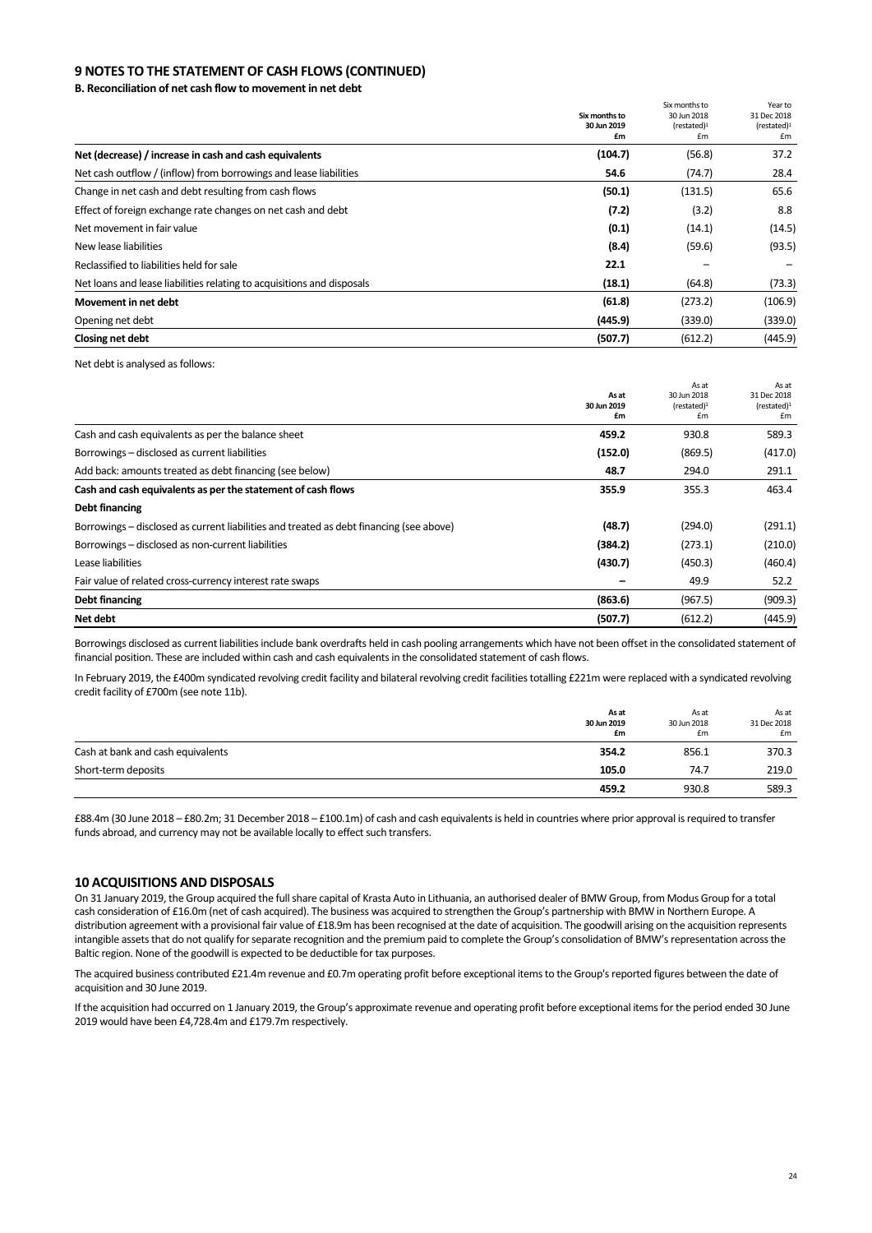## **9 NOTES TO THE STATEMENT OF CASH FLOWS (CONTINUED)**

**B. Reconciliation of net cash flow to movement in net debt** 

|                                                                        |                              | Six months to                        | Year to                              |
|------------------------------------------------------------------------|------------------------------|--------------------------------------|--------------------------------------|
|                                                                        | Six months to<br>30 Jun 2019 | 30 Jun 2018<br>(rested) <sup>1</sup> | 31 Dec 2018<br>(rested) <sup>1</sup> |
|                                                                        | £m                           | £m                                   | £m                                   |
| Net (decrease) / increase in cash and cash equivalents                 | (104.7)                      | (56.8)                               | 37.2                                 |
| Net cash outflow / (inflow) from borrowings and lease liabilities      | 54.6                         | (74.7)                               | 28.4                                 |
| Change in net cash and debt resulting from cash flows                  | (50.1)                       | (131.5)                              | 65.6                                 |
| Effect of foreign exchange rate changes on net cash and debt           | (7.2)                        | (3.2)                                | 8.8                                  |
| Net movement in fair value                                             | (0.1)                        | (14.1)                               | (14.5)                               |
| New lease liabilities                                                  | (8.4)                        | (59.6)                               | (93.5)                               |
| Reclassified to liabilities held for sale                              | 22.1                         |                                      |                                      |
| Net loans and lease liabilities relating to acquisitions and disposals | (18.1)                       | (64.8)                               | (73.3)                               |
| Movement in net debt                                                   | (61.8)                       | (273.2)                              | (106.9)                              |
| Opening net debt                                                       | (445.9)                      | (339.0)                              | (339.0)                              |
| Closing net debt                                                       | (507.7)                      | (612.2)                              | (445.9)                              |

Net debt is analysed as follows:

|                                                                                         |                      | As at                                | As at                                |
|-----------------------------------------------------------------------------------------|----------------------|--------------------------------------|--------------------------------------|
|                                                                                         | As at<br>30 Jun 2019 | 30 Jun 2018<br>(rested) <sup>1</sup> | 31 Dec 2018<br>(rested) <sup>1</sup> |
|                                                                                         | £m                   | £m                                   | £m                                   |
| Cash and cash equivalents as per the balance sheet                                      | 459.2                | 930.8                                | 589.3                                |
| Borrowings - disclosed as current liabilities                                           | (152.0)              | (869.5)                              | (417.0)                              |
| Add back: amounts treated as debt financing (see below)                                 | 48.7                 | 294.0                                | 291.1                                |
| Cash and cash equivalents as per the statement of cash flows                            | 355.9                | 355.3                                | 463.4                                |
| Debt financing                                                                          |                      |                                      |                                      |
| Borrowings – disclosed as current liabilities and treated as debt financing (see above) | (48.7)               | (294.0)                              | (291.1)                              |
| Borrowings - disclosed as non-current liabilities                                       | (384.2)              | (273.1)                              | (210.0)                              |
| Lease liabilities                                                                       | (430.7)              | (450.3)                              | (460.4)                              |
| Fair value of related cross-currency interest rate swaps                                |                      | 49.9                                 | 52.2                                 |
| Debt financing                                                                          | (863.6)              | (967.5)                              | (909.3)                              |
| Net debt                                                                                | (507.7)              | (612.2)                              | (445.9)                              |

Borrowings disclosed as current liabilities include bank overdrafts held in cash pooling arrangements which have not been offset in the consolidated statement of financial position. These are included within cash and cash equivalents in the consolidated statement of cash flows.

In February 2019, the £400m syndicated revolving credit facility and bilateral revolving credit facilities totalling £221m were replaced with a syndicated revolving credit facility of £700m (see note 11b).

|                                   | As at<br>30 Jun 2019<br>£m | As at<br>30 Jun 2018<br>£m | As at<br>31 Dec 2018<br>£m |
|-----------------------------------|----------------------------|----------------------------|----------------------------|
| Cash at bank and cash equivalents | 354.2                      | 856.1                      | 370.3                      |
| Short-term deposits               | 105.0                      | 74.7                       | 219.0                      |
|                                   | 459.2                      | 930.8                      | 589.3                      |

£88.4m (30 June 2018 – £80.2m; 31 December 2018 – £100.1m) of cash and cash equivalents is held in countries where prior approval is required to transfer funds abroad, and currency may not be available locally to effect such transfers.

#### **10 ACQUISITIONS AND DISPOSALS**

On 31 January 2019, the Group acquired the full share capital of Krasta Auto in Lithuania, an authorised dealer of BMW Group, from Modus Group for a total cash consideration of £16.0m (net of cash acquired). The business was acquired to strengthen the Group's partnership with BMW in Northern Europe. A distribution agreement with a provisional fair value of £18.9m has been recognised at the date of acquisition. The goodwill arising on the acquisition represents intangible assets that do not qualify for separate recognition and the premium paid to complete the Group's consolidation of BMW's representation across the Baltic region. None of the goodwill is expected to be deductible for tax purposes.

The acquired business contributed £21.4m revenue and £0.7m operating profit before exceptional items to the Group's reported figures between the date of acquisition and 30 June 2019.

If the acquisition had occurred on 1 January 2019, the Group's approximate revenue and operating profit before exceptional items for the period ended 30 June 2019 would have been £4,728.4m and £179.7m respectively.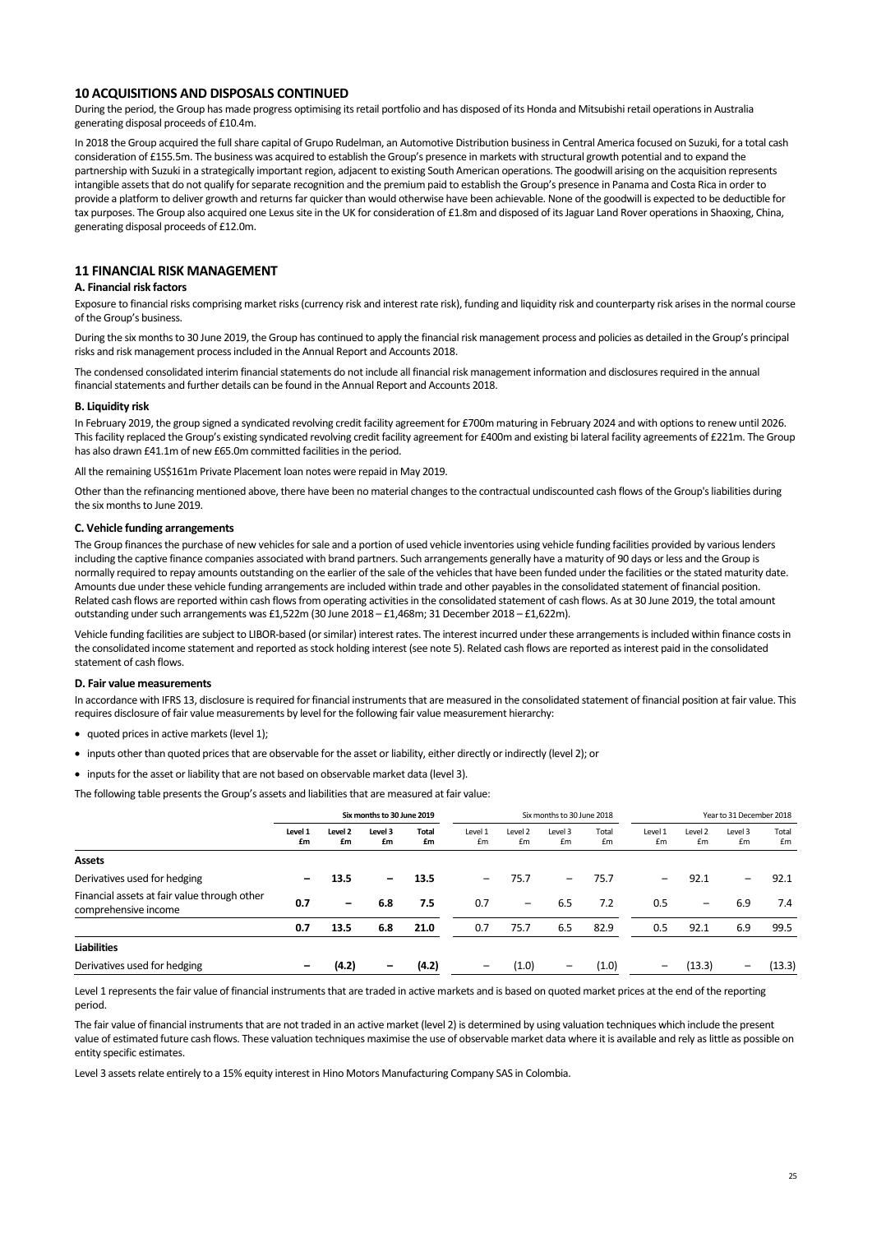#### **10 ACQUISITIONS AND DISPOSALS CONTINUED**

During the period, the Group has made progress optimising its retail portfolio and has disposed of its Honda and Mitsubishi retail operations in Australia generating disposal proceeds of £10.4m.

In 2018 the Group acquired the full share capital of Grupo Rudelman, an Automotive Distribution business in Central America focused on Suzuki, for a total cash consideration of £155.5m. The business was acquired to establish the Group's presence in markets with structural growth potential and to expand the partnership with Suzuki in a strategically important region, adjacent to existing South American operations. The goodwill arising on the acquisition represents intangible assets that do not qualify for separate recognition and the premium paid to establish the Group's presence in Panama and Costa Rica in order to provide a platform to deliver growth and returns far quicker than would otherwise have been achievable. None of the goodwill is expected to be deductible for tax purposes. The Group also acquired one Lexus site in the UK for consideration of £1.8m and disposed of its Jaguar Land Rover operations in Shaoxing, China, generating disposal proceeds of £12.0m.

## **11 FINANCIAL RISK MANAGEMENT**

#### **A. Financial risk factors**

Exposure to financial risks comprising market risks (currency risk and interest rate risk), funding and liquidity risk and counterparty risk arises in the normal course of the Group's business.

During the six months to 30 June 2019, the Group has continued to apply the financial risk management process and policies as detailed in the Group's principal risks and risk management process included in the Annual Report and Accounts 2018.

The condensed consolidated interim financial statements do not include all financial risk management information and disclosures required in the annual financial statements and further details can be found in the Annual Report and Accounts 2018.

#### **B. Liquidity risk**

In February 2019, the group signed a syndicated revolving credit facility agreement for £700m maturing in February 2024 and with options to renew until 2026. This facility replaced the Group's existing syndicated revolving credit facility agreement for £400m and existing bi lateral facility agreements of £221m. The Group has also drawn £41.1m of new £65.0m committed facilities in the period.

All the remaining US\$161m Private Placement loan notes were repaid in May 2019.

Other than the refinancing mentioned above, there have been no material changes to the contractual undiscounted cash flows of the Group's liabilities during the six months to June 2019.

#### **C. Vehicle funding arrangements**

The Group finances the purchase of new vehicles for sale and a portion of used vehicle inventories using vehicle funding facilities provided by various lenders including the captive finance companies associated with brand partners. Such arrangements generally have a maturity of 90 days or less and the Group is normally required to repay amounts outstanding on the earlier of the sale of the vehicles that have been funded under the facilities or the stated maturity date. Amounts due under these vehicle funding arrangements are included within trade and other payables in the consolidated statement of financial position. Related cash flows are reported within cash flows from operating activities in the consolidated statement of cash flows. As at 30 June 2019, the total amount outstanding under such arrangements was £1,522m (30 June 2018 – £1,468m; 31 December 2018 – £1,622m).

Vehicle funding facilities are subject to LIBOR-based (or similar) interest rates. The interest incurred under these arrangements is included within finance costs in the consolidated income statement and reported as stock holding interest (see note 5). Related cash flows are reported as interest paid in the consolidated statement of cash flows.

#### **D. Fair value measurements**

In accordance with IFRS 13, disclosure is required for financial instruments that are measured in the consolidated statement of financial position at fair value. This requires disclosure of fair value measurements by level for the following fair value measurement hierarchy:

- quoted prices in active markets (level 1):
- inputs other than quoted prices that are observable for the asset or liability, either directly or indirectly (level 2); or
- inputs for the asset or liability that are not based on observable market data (level 3).

The following table presents the Group's assets and liabilities that are measured at fair value:

|                                                                      | Six months to 30 June 2019 |                 |                          |             | Six months to 30 June 2018 |               |                 | Year to 31 December 2018 |               |               |                          |             |
|----------------------------------------------------------------------|----------------------------|-----------------|--------------------------|-------------|----------------------------|---------------|-----------------|--------------------------|---------------|---------------|--------------------------|-------------|
|                                                                      | Level 1<br>£m              | Level 2<br>£m   | Level 3<br>£m            | Total<br>£m | Level 1<br>£m              | Level 2<br>£m | Level 3<br>£m   | Total<br>£m              | Level 1<br>£m | Level 2<br>£m | Level 3<br>£m            | Total<br>£m |
| <b>Assets</b>                                                        |                            |                 |                          |             |                            |               |                 |                          |               |               |                          |             |
| Derivatives used for hedging                                         |                            | 13.5            | $\overline{\phantom{0}}$ | 13.5        | -                          | 75.7          | -               | 75.7                     | -             | 92.1          | $\overline{\phantom{m}}$ | 92.1        |
| Financial assets at fair value through other<br>comprehensive income | 0.7                        | $\qquad \qquad$ | 6.8                      | 7.5         | 0.7                        |               | 6.5             | 7.2                      | 0.5           | -             | 6.9                      | 7.4         |
|                                                                      | 0.7                        | 13.5            | 6.8                      | 21.0        | 0.7                        | 75.7          | 6.5             | 82.9                     | 0.5           | 92.1          | 6.9                      | 99.5        |
| <b>Liabilities</b>                                                   |                            |                 |                          |             |                            |               |                 |                          |               |               |                          |             |
| Derivatives used for hedging                                         |                            | (4.2)           | $\overline{\phantom{0}}$ | (4.2)       | -                          | (1.0)         | $\qquad \qquad$ | (1.0)                    | -             | (13.3)        | $\overline{\phantom{m}}$ | (13.3)      |

Level 1 represents the fair value of financial instruments that are traded in active markets and is based on quoted market prices at the end of the reporting period.

The fair value of financial instruments that are not traded in an active market (level 2) is determined by using valuation techniques which include the present value of estimated future cash flows. These valuation techniques maximise the use of observable market data where it is available and rely as little as possible on entity specific estimates.

Level 3 assets relate entirely to a 15% equity interest in Hino Motors Manufacturing Company SAS in Colombia.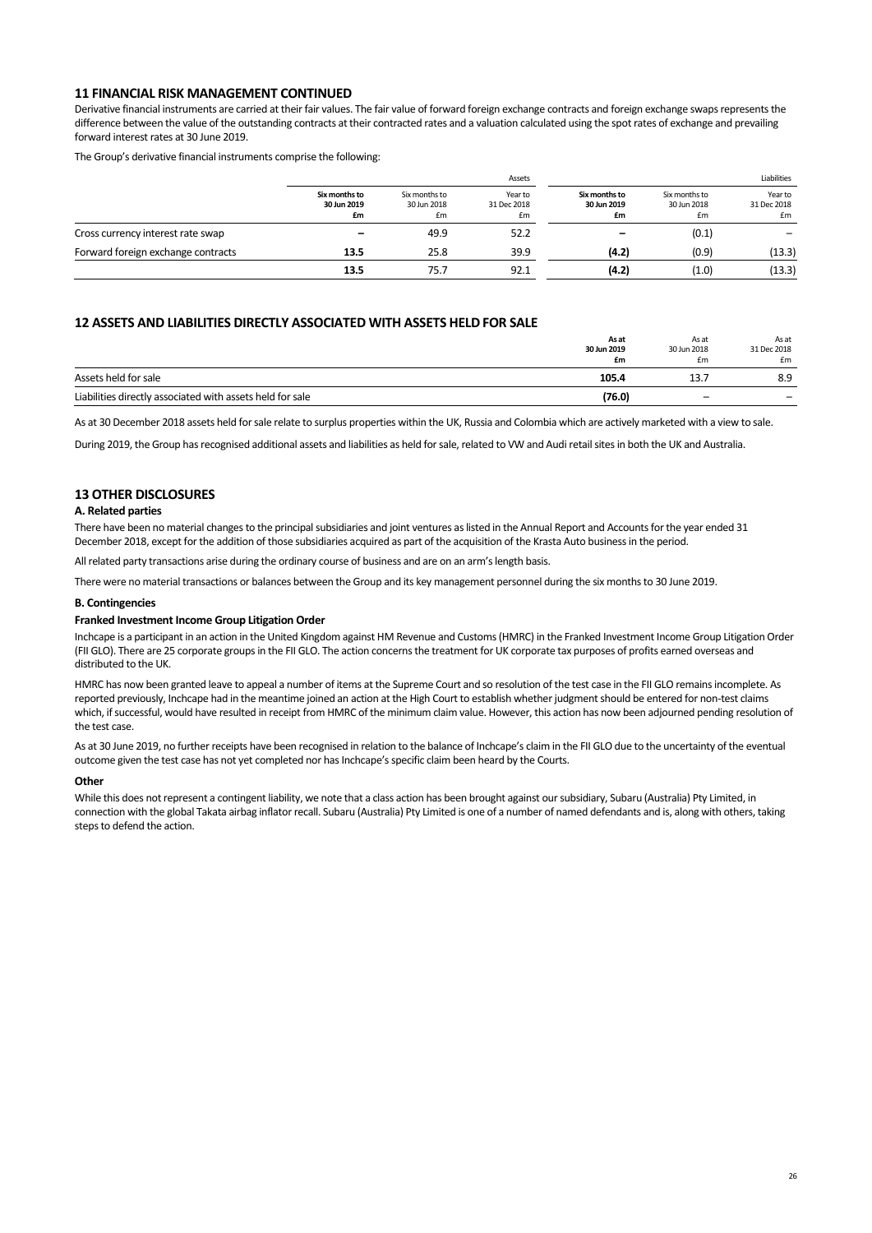#### **11 FINANCIAL RISK MANAGEMENT CONTINUED**

Derivative financial instruments are carried at their fair values. The fair value of forward foreign exchange contracts and foreign exchange swaps represents the difference between the value of the outstanding contracts at their contracted rates and a valuation calculated using the spot rates of exchange and prevailing forward interest rates at 30 June 2019.

The Group's derivative financial instruments comprise the following:

|                                    |                                    | Assets                             |                              |                                    |                                    | Liabilities                  |
|------------------------------------|------------------------------------|------------------------------------|------------------------------|------------------------------------|------------------------------------|------------------------------|
|                                    | Six months to<br>30 Jun 2019<br>£m | Six months to<br>30 Jun 2018<br>£m | Year to<br>31 Dec 2018<br>£m | Six months to<br>30 Jun 2019<br>£m | Six months to<br>30 Jun 2018<br>£m | Year to<br>31 Dec 2018<br>£m |
| Cross currency interest rate swap  |                                    | 49.9                               | 52.2                         |                                    | (0.1)                              |                              |
| Forward foreign exchange contracts | 13.5                               | 25.8                               | 39.9                         | (4.2)                              | (0.9)                              | (13.3)                       |
|                                    | 13.5                               | 75.7                               | 92.1                         | (4.2)                              | (1.0)                              | (13.3)                       |

## **12 ASSETS AND LIABILITIES DIRECTLY ASSOCIATED WITH ASSETS HELD FOR SALE**

|                                                           | As at<br>30 Jun 2019<br>£m | As at<br>30 Jun 2018<br>£m | As at<br>31 Dec 2018<br>£m |
|-----------------------------------------------------------|----------------------------|----------------------------|----------------------------|
| Assets held for sale                                      | 105.4                      | 13.                        | 8.9                        |
| Liabilities directly associated with assets held for sale | (76.0)                     | $\overline{\phantom{0}}$   |                            |

As at 30 December 2018 assets held for sale relate to surplus properties within the UK, Russia and Colombia which are actively marketed with a view to sale.

During 2019, the Group has recognised additional assets and liabilities as held for sale, related to VW and Audi retail sites in both the UK and Australia.

## **13 OTHER DISCLOSURES**

#### **A. Related parties**

There have been no material changes to the principal subsidiaries and joint ventures as listed in the Annual Report and Accounts for the year ended 31 December 2018, except for the addition of those subsidiaries acquired as part of the acquisition of the Krasta Auto business in the period.

All related party transactions arise during the ordinary course of business and are on an arm's length basis.

There were no material transactions or balances between the Group and its key management personnel during the six months to 30 June 2019.

#### **B. Contingencies**

#### **Franked Investment Income Group Litigation Order**

Inchcape is a participant in an action in the United Kingdom against HM Revenue and Customs (HMRC) in the Franked Investment Income Group Litigation Order (FII GLO). There are 25 corporate groups in the FII GLO. The action concerns the treatment for UK corporate tax purposes of profits earned overseas and distributed to the UK.

HMRC has now been granted leave to appeal a number of items at the Supreme Court and so resolution of the test case in the FII GLO remains incomplete. As reported previously, Inchcape had in the meantime joined an action at the High Court to establish whether judgment should be entered for non‐test claims which, if successful, would have resulted in receipt from HMRC of the minimum claim value. However, this action has now been adjourned pending resolution of the test case.

As at 30 June 2019, no further receipts have been recognised in relation to the balance of Inchcape's claim in the FII GLO due to the uncertainty of the eventual outcome given the test case has not yet completed nor has Inchcape's specific claim been heard by the Courts.

#### **Other**

While this does not represent a contingent liability, we note that a class action has been brought against our subsidiary, Subaru (Australia) Pty Limited, in connection with the global Takata airbag inflator recall. Subaru (Australia) Pty Limited is one of a number of named defendants and is, along with others, taking steps to defend the action.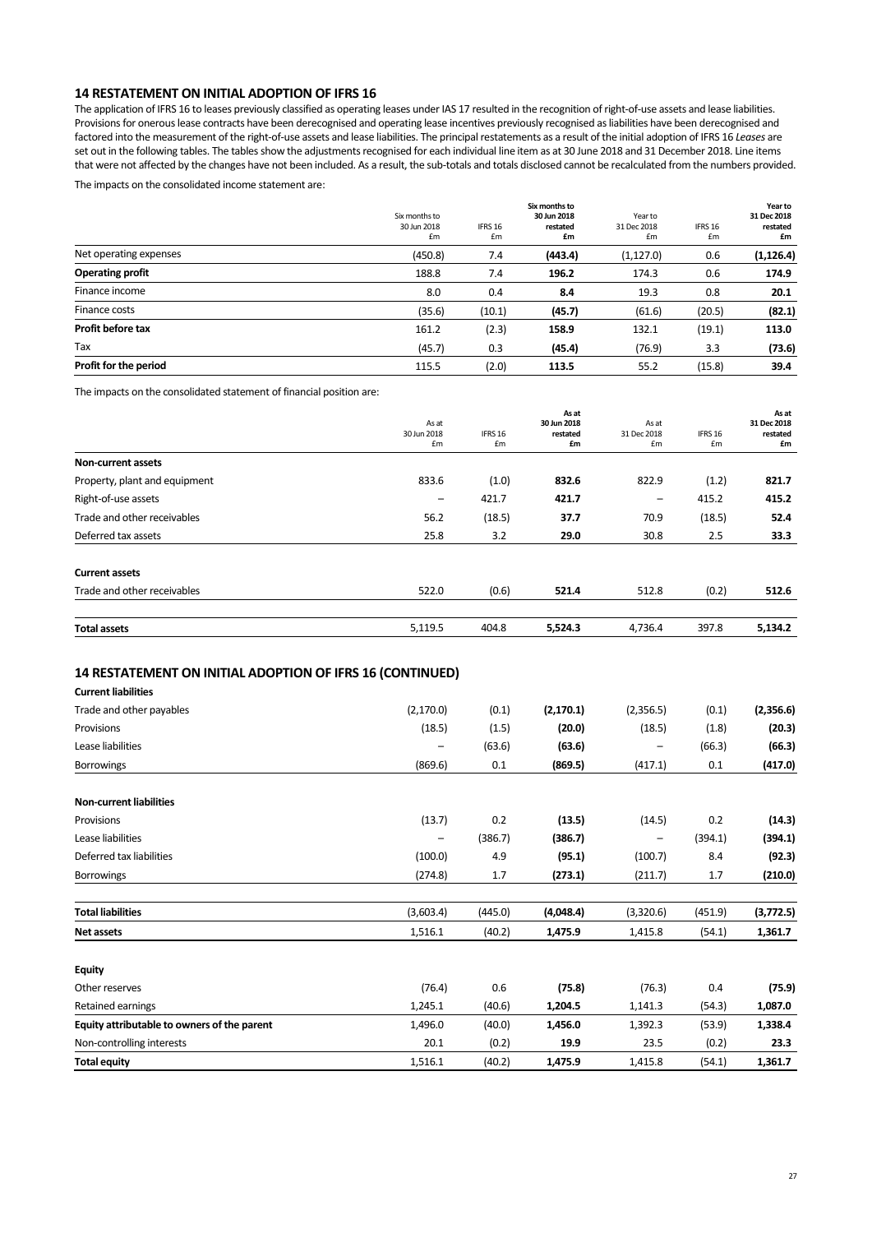## **14 RESTATEMENT ON INITIAL ADOPTION OF IFRS 16**

The application of IFRS 16 to leases previously classified as operating leases under IAS 17 resulted in the recognition of right-of-use assets and lease liabilities. Provisions for onerous lease contracts have been derecognised and operating lease incentives previously recognised as liabilities have been derecognised and factored into the measurement of the right‐of‐use assets and lease liabilities. The principal restatements as a result of the initial adoption of IFRS 16 *Leases* are set out in the following tables. The tables show the adjustments recognised for each individual line item as at 30 June 2018 and 31 December 2018. Line items that were not affected by the changes have not been included. As a result, the sub‐totals and totals disclosed cannot be recalculated from the numbers provided.

The impacts on the consolidated income statement are:

|                         | Six months to<br>30 Jun 2018<br>£m | IFRS 16<br>£m | Six months to<br>30 Jun 2018<br>restated<br>£m | Year to<br>31 Dec 2018<br>£m | IFRS 16<br>£m | <b>Year to</b><br>31 Dec 2018<br>restated<br>£m |
|-------------------------|------------------------------------|---------------|------------------------------------------------|------------------------------|---------------|-------------------------------------------------|
| Net operating expenses  | (450.8)                            | 7.4           | (443.4)                                        | (1, 127.0)                   | 0.6           | (1, 126.4)                                      |
| <b>Operating profit</b> | 188.8                              | 7.4           | 196.2                                          | 174.3                        | 0.6           | 174.9                                           |
| Finance income          | 8.0                                | 0.4           | 8.4                                            | 19.3                         | 0.8           | 20.1                                            |
| Finance costs           | (35.6)                             | (10.1)        | (45.7)                                         | (61.6)                       | (20.5)        | (82.1)                                          |
| Profit before tax       | 161.2                              | (2.3)         | 158.9                                          | 132.1                        | (19.1)        | 113.0                                           |
| Tax                     | (45.7)                             | 0.3           | (45.4)                                         | (76.9)                       | 3.3           | (73.6)                                          |
| Profit for the period   | 115.5                              | (2.0)         | 113.5                                          | 55.2                         | (15.8)        | 39.4                                            |

The impacts on the consolidated statement of financial position are:

|                                                           |                   |               | As at          |                   |               | As at<br>31 Dec 2018<br>restated<br>£m |
|-----------------------------------------------------------|-------------------|---------------|----------------|-------------------|---------------|----------------------------------------|
|                                                           | As at             |               | 30 Jun 2018    | As at             |               |                                        |
|                                                           | 30 Jun 2018<br>£m | IFRS 16<br>£m | restated<br>£m | 31 Dec 2018<br>£m | IFRS 16<br>£m |                                        |
| <b>Non-current assets</b>                                 |                   |               |                |                   |               |                                        |
| Property, plant and equipment                             | 833.6             | (1.0)         | 832.6          | 822.9             | (1.2)         | 821.7                                  |
| Right-of-use assets                                       | -                 | 421.7         | 421.7          | $\qquad \qquad -$ | 415.2         | 415.2                                  |
| Trade and other receivables                               | 56.2              | (18.5)        | 37.7           | 70.9              | (18.5)        | 52.4                                   |
| Deferred tax assets                                       | 25.8              | 3.2           | 29.0           | 30.8              | 2.5           | 33.3                                   |
| <b>Current assets</b>                                     |                   |               |                |                   |               |                                        |
| Trade and other receivables                               | 522.0             | (0.6)         | 521.4          | 512.8             | (0.2)         | 512.6                                  |
| <b>Total assets</b>                                       | 5,119.5           | 404.8         | 5,524.3        | 4,736.4           | 397.8         | 5,134.2                                |
| 14 RESTATEMENT ON INITIAL ADOPTION OF IFRS 16 (CONTINUED) |                   |               |                |                   |               |                                        |
| <b>Current liabilities</b>                                |                   |               |                |                   |               |                                        |
|                                                           |                   |               |                |                   |               |                                        |
| Trade and other payables                                  | (2, 170.0)        | (0.1)         | (2, 170.1)     | (2,356.5)         | (0.1)         | (2,356.6)                              |
| Provisions                                                | (18.5)            | (1.5)         | (20.0)         | (18.5)            | (1.8)         | (20.3)                                 |

| Lease liabilities                           | -         | (63.6)  | (63.6)    | -         | (66.3)  | (66.3)    |
|---------------------------------------------|-----------|---------|-----------|-----------|---------|-----------|
| <b>Borrowings</b>                           | (869.6)   | 0.1     | (869.5)   | (417.1)   | 0.1     | (417.0)   |
| <b>Non-current liabilities</b>              |           |         |           |           |         |           |
| Provisions                                  | (13.7)    | 0.2     | (13.5)    | (14.5)    | 0.2     | (14.3)    |
| Lease liabilities                           | -         | (386.7) | (386.7)   | —         | (394.1) | (394.1)   |
| Deferred tax liabilities                    | (100.0)   | 4.9     | (95.1)    | (100.7)   | 8.4     | (92.3)    |
| <b>Borrowings</b>                           | (274.8)   | 1.7     | (273.1)   | (211.7)   | 1.7     | (210.0)   |
| <b>Total liabilities</b>                    | (3,603.4) | (445.0) | (4,048.4) | (3,320.6) | (451.9) | (3,772.5) |
| <b>Net assets</b>                           | 1,516.1   | (40.2)  | 1,475.9   | 1,415.8   | (54.1)  | 1,361.7   |
| <b>Equity</b>                               |           |         |           |           |         |           |
| Other reserves                              | (76.4)    | 0.6     | (75.8)    | (76.3)    | 0.4     | (75.9)    |
| Retained earnings                           | 1,245.1   | (40.6)  | 1,204.5   | 1,141.3   | (54.3)  | 1,087.0   |
| Equity attributable to owners of the parent | 1,496.0   | (40.0)  | 1,456.0   | 1,392.3   | (53.9)  | 1,338.4   |
| Non-controlling interests                   | 20.1      | (0.2)   | 19.9      | 23.5      | (0.2)   | 23.3      |
| <b>Total equity</b>                         | 1,516.1   | (40.2)  | 1,475.9   | 1,415.8   | (54.1)  | 1,361.7   |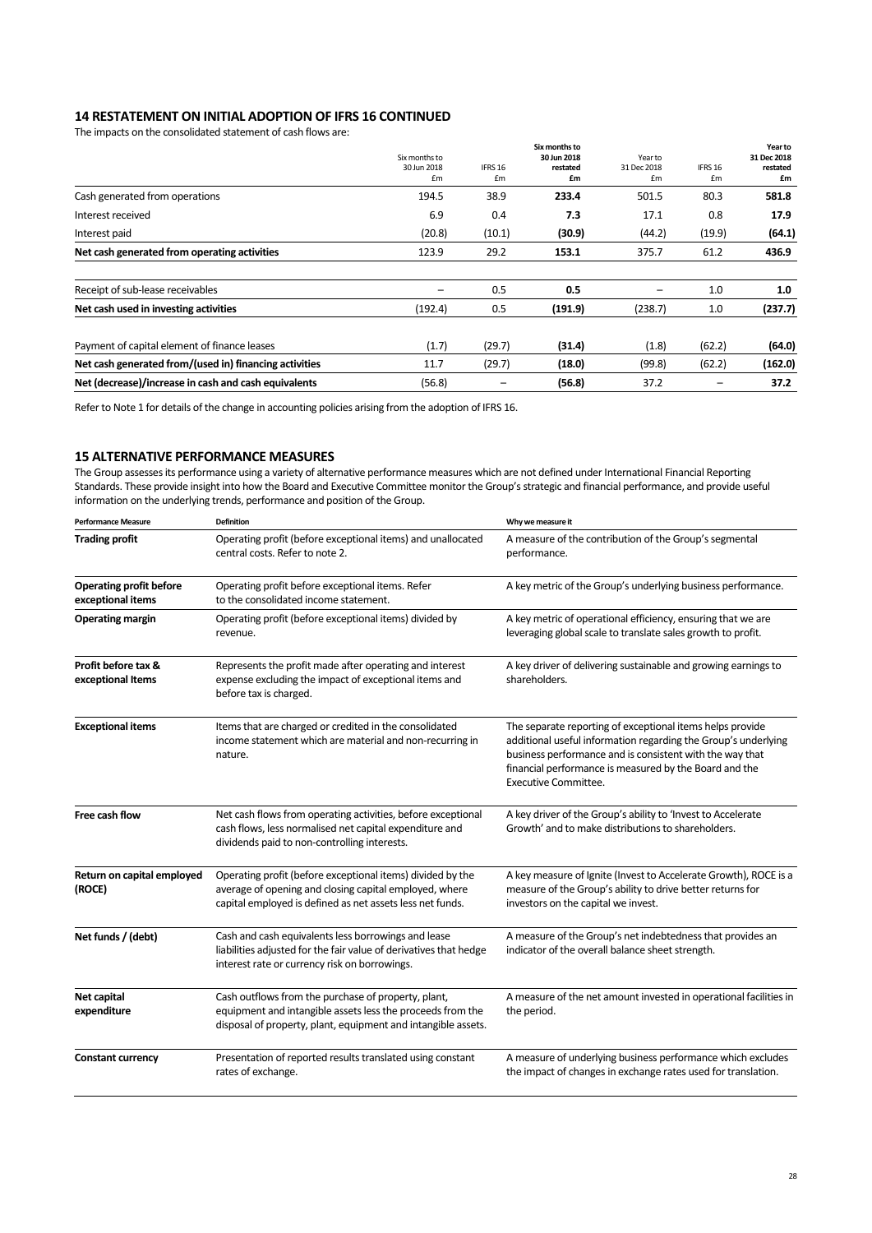## **14 RESTATEMENT ON INITIAL ADOPTION OF IFRS 16 CONTINUED**

The impacts on the consolidated statement of cash flows are:

|                                                        | Six months to<br>30 Jun 2018<br>£m | IFRS 16<br>£m | Six months to<br>30 Jun 2018<br>restated<br>£m | Year to<br>31 Dec 2018<br>£m | IFRS 16<br>£m | Year to<br>31 Dec 2018<br>restated<br>£m |
|--------------------------------------------------------|------------------------------------|---------------|------------------------------------------------|------------------------------|---------------|------------------------------------------|
| Cash generated from operations                         | 194.5                              | 38.9          | 233.4                                          | 501.5                        | 80.3          | 581.8                                    |
| Interest received                                      | 6.9                                | 0.4           | 7.3                                            | 17.1                         | 0.8           | 17.9                                     |
| Interest paid                                          | (20.8)                             | (10.1)        | (30.9)                                         | (44.2)                       | (19.9)        | (64.1)                                   |
| Net cash generated from operating activities           | 123.9                              | 29.2          | 153.1                                          | 375.7                        | 61.2          | 436.9                                    |
| Receipt of sub-lease receivables                       | -                                  | 0.5           | 0.5                                            | $\qquad \qquad -$            | 1.0           | 1.0                                      |
| Net cash used in investing activities                  | (192.4)                            | 0.5           | (191.9)                                        | (238.7)                      | 1.0           | (237.7)                                  |
| Payment of capital element of finance leases           | (1.7)                              | (29.7)        | (31.4)                                         | (1.8)                        | (62.2)        | (64.0)                                   |
| Net cash generated from/(used in) financing activities | 11.7                               | (29.7)        | (18.0)                                         | (99.8)                       | (62.2)        | (162.0)                                  |
| Net (decrease)/increase in cash and cash equivalents   | (56.8)                             | -             | (56.8)                                         | 37.2                         |               | 37.2                                     |

Refer to Note 1 for details of the change in accounting policies arising from the adoption of IFRS 16.

## **15 ALTERNATIVE PERFORMANCE MEASURES**

The Group assesses its performance using a variety of alternative performance measures which are not defined under International Financial Reporting Standards. These provide insight into how the Board and Executive Committee monitor the Group's strategic and financial performance, and provide useful information on the underlying trends, performance and position of the Group.

| <b>Performance Measure</b>                                                                                                                                                                      | <b>Definition</b>                                                                                                                                                                  | Why we measure it                                                                                                                                                                                                                                                                |
|-------------------------------------------------------------------------------------------------------------------------------------------------------------------------------------------------|------------------------------------------------------------------------------------------------------------------------------------------------------------------------------------|----------------------------------------------------------------------------------------------------------------------------------------------------------------------------------------------------------------------------------------------------------------------------------|
| <b>Trading profit</b>                                                                                                                                                                           | Operating profit (before exceptional items) and unallocated<br>central costs. Refer to note 2.                                                                                     | A measure of the contribution of the Group's segmental<br>performance.                                                                                                                                                                                                           |
| <b>Operating profit before</b><br>exceptional items                                                                                                                                             | Operating profit before exceptional items. Refer<br>to the consolidated income statement.                                                                                          | A key metric of the Group's underlying business performance.                                                                                                                                                                                                                     |
| <b>Operating margin</b><br>Operating profit (before exceptional items) divided by<br>revenue.                                                                                                   |                                                                                                                                                                                    | A key metric of operational efficiency, ensuring that we are<br>leveraging global scale to translate sales growth to profit.                                                                                                                                                     |
| Profit before tax &<br>Represents the profit made after operating and interest<br>expense excluding the impact of exceptional items and<br>exceptional Items<br>before tax is charged.          |                                                                                                                                                                                    | A key driver of delivering sustainable and growing earnings to<br>shareholders.                                                                                                                                                                                                  |
| <b>Exceptional items</b><br>Items that are charged or credited in the consolidated<br>income statement which are material and non-recurring in<br>nature.                                       |                                                                                                                                                                                    | The separate reporting of exceptional items helps provide<br>additional useful information regarding the Group's underlying<br>business performance and is consistent with the way that<br>financial performance is measured by the Board and the<br><b>Executive Committee.</b> |
| Free cash flow                                                                                                                                                                                  | Net cash flows from operating activities, before exceptional<br>cash flows, less normalised net capital expenditure and<br>dividends paid to non-controlling interests.            | A key driver of the Group's ability to 'Invest to Accelerate<br>Growth' and to make distributions to shareholders.                                                                                                                                                               |
| Return on capital employed<br>(ROCE)                                                                                                                                                            | Operating profit (before exceptional items) divided by the<br>average of opening and closing capital employed, where<br>capital employed is defined as net assets less net funds.  | A key measure of Ignite (Invest to Accelerate Growth), ROCE is a<br>measure of the Group's ability to drive better returns for<br>investors on the capital we invest.                                                                                                            |
| Net funds / (debt)<br>Cash and cash equivalents less borrowings and lease<br>liabilities adjusted for the fair value of derivatives that hedge<br>interest rate or currency risk on borrowings. |                                                                                                                                                                                    | A measure of the Group's net indebtedness that provides an<br>indicator of the overall balance sheet strength.                                                                                                                                                                   |
| Net capital<br>expenditure                                                                                                                                                                      | Cash outflows from the purchase of property, plant,<br>equipment and intangible assets less the proceeds from the<br>disposal of property, plant, equipment and intangible assets. | A measure of the net amount invested in operational facilities in<br>the period.                                                                                                                                                                                                 |
| <b>Constant currency</b>                                                                                                                                                                        | Presentation of reported results translated using constant<br>rates of exchange.                                                                                                   | A measure of underlying business performance which excludes<br>the impact of changes in exchange rates used for translation.                                                                                                                                                     |